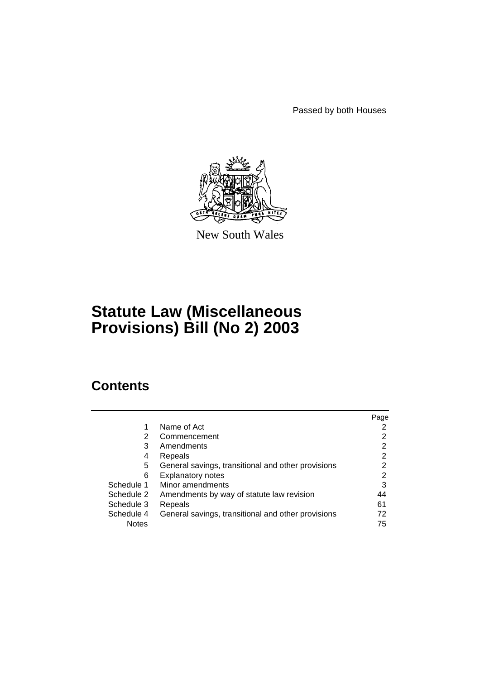Passed by both Houses



New South Wales

# **Statute Law (Miscellaneous Provisions) Bill (No 2) 2003**

## **Contents**

|              |                                                    | Page |
|--------------|----------------------------------------------------|------|
| 1            | Name of Act                                        | 2    |
| 2            | Commencement                                       | 2    |
| 3            | Amendments                                         | 2    |
| 4            | Repeals                                            | 2    |
| 5            | General savings, transitional and other provisions | 2    |
| 6            | <b>Explanatory notes</b>                           | 2    |
| Schedule 1   | Minor amendments                                   | 3    |
| Schedule 2   | Amendments by way of statute law revision          | 44   |
| Schedule 3   | Repeals                                            | 61   |
| Schedule 4   | General savings, transitional and other provisions | 72   |
| <b>Notes</b> |                                                    | 75   |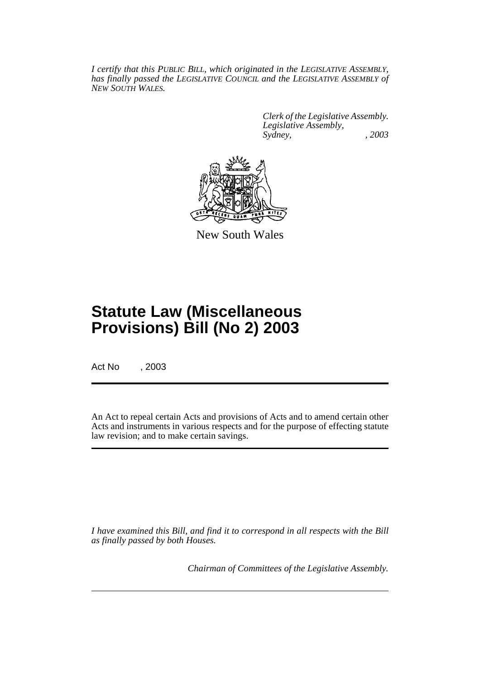*I certify that this PUBLIC BILL, which originated in the LEGISLATIVE ASSEMBLY, has finally passed the LEGISLATIVE COUNCIL and the LEGISLATIVE ASSEMBLY of NEW SOUTH WALES.*

> *Clerk of the Legislative Assembly. Legislative Assembly, Sydney, , 2003*



New South Wales

## **Statute Law (Miscellaneous Provisions) Bill (No 2) 2003**

Act No , 2003

An Act to repeal certain Acts and provisions of Acts and to amend certain other Acts and instruments in various respects and for the purpose of effecting statute law revision; and to make certain savings.

*I have examined this Bill, and find it to correspond in all respects with the Bill as finally passed by both Houses.*

*Chairman of Committees of the Legislative Assembly.*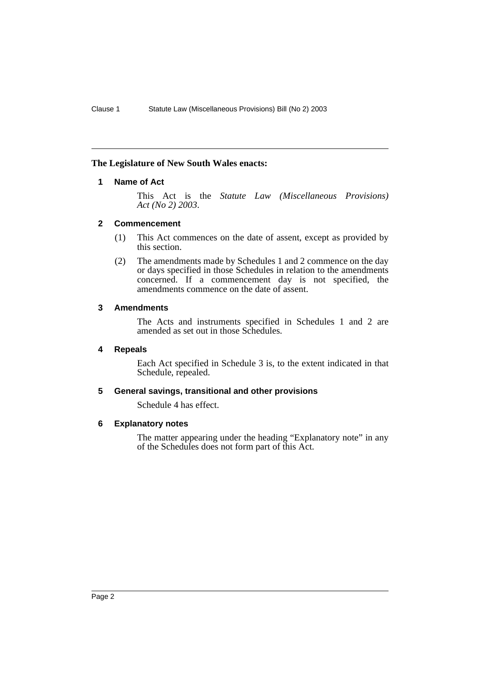### **The Legislature of New South Wales enacts:**

### **1 Name of Act**

This Act is the *Statute Law (Miscellaneous Provisions) Act (No 2) 2003*.

### **2 Commencement**

- (1) This Act commences on the date of assent, except as provided by this section.
- (2) The amendments made by Schedules 1 and 2 commence on the day or days specified in those Schedules in relation to the amendments concerned. If a commencement day is not specified, the amendments commence on the date of assent.

### **3 Amendments**

The Acts and instruments specified in Schedules 1 and 2 are amended as set out in those Schedules.

### **4 Repeals**

Each Act specified in Schedule 3 is, to the extent indicated in that Schedule, repealed.

### **5 General savings, transitional and other provisions**

Schedule 4 has effect.

### **6 Explanatory notes**

The matter appearing under the heading "Explanatory note" in any of the Schedules does not form part of this Act.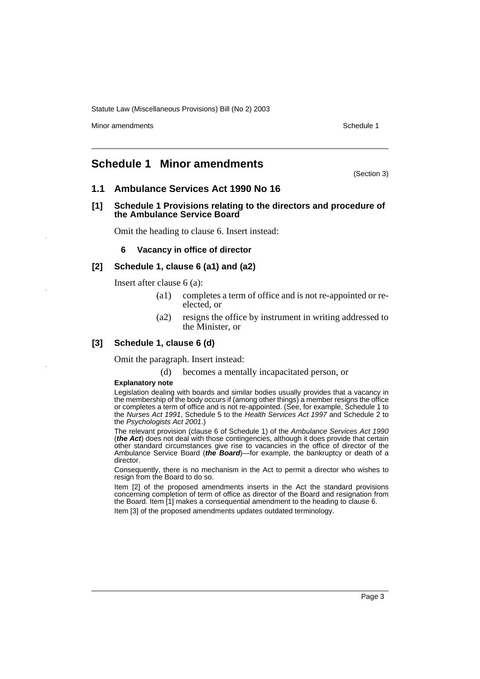Minor amendments **Schedule 1** and the state of the state of the state of the Schedule 1

## **Schedule 1 Minor amendments**

(Section 3)

### **1.1 Ambulance Services Act 1990 No 16**

**[1] Schedule 1 Provisions relating to the directors and procedure of the Ambulance Service Board**

Omit the heading to clause 6. Insert instead:

### **6 Vacancy in office of director**

### **[2] Schedule 1, clause 6 (a1) and (a2)**

Insert after clause 6 (a):

- (a1) completes a term of office and is not re-appointed or reelected, or
- (a2) resigns the office by instrument in writing addressed to the Minister, or

### **[3] Schedule 1, clause 6 (d)**

Omit the paragraph. Insert instead:

(d) becomes a mentally incapacitated person, or

#### **Explanatory note**

Legislation dealing with boards and similar bodies usually provides that a vacancy in the membership of the body occurs if (among other things) a member resigns the office or completes a term of office and is not re-appointed. (See, for example, Schedule 1 to the Nurses Act 1991, Schedule 5 to the Health Services Act 1997 and Schedule 2 to the Psychologists Act 2001.)

The relevant provision (clause 6 of Schedule 1) of the Ambulance Services Act 1990 (**the Act**) does not deal with those contingencies, although it does provide that certain other standard circumstances give rise to vacancies in the office of director of the Ambulance Service Board (**the Board**)—for example, the bankruptcy or death of a director.

Consequently, there is no mechanism in the Act to permit a director who wishes to resign from the Board to do so.

Item [2] of the proposed amendments inserts in the Act the standard provisions concerning completion of term of office as director of the Board and resignation from the Board. Item [1] makes a consequential amendment to the heading to clause 6.

Item [3] of the proposed amendments updates outdated terminology.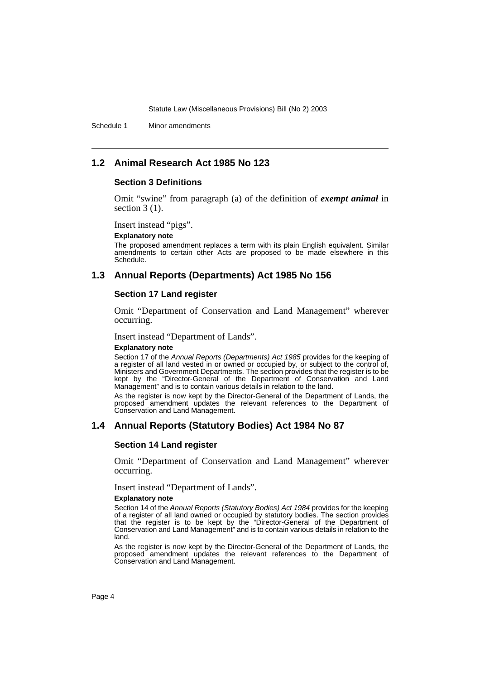Schedule 1 Minor amendments

### **1.2 Animal Research Act 1985 No 123**

### **Section 3 Definitions**

Omit "swine" from paragraph (a) of the definition of *exempt animal* in section  $3(1)$ .

Insert instead "pigs".

#### **Explanatory note**

The proposed amendment replaces a term with its plain English equivalent. Similar amendments to certain other Acts are proposed to be made elsewhere in this Schedule.

### **1.3 Annual Reports (Departments) Act 1985 No 156**

#### **Section 17 Land register**

Omit "Department of Conservation and Land Management" wherever occurring.

Insert instead "Department of Lands".

#### **Explanatory note**

Section 17 of the Annual Reports (Departments) Act 1985 provides for the keeping of a register of all land vested in or owned or occupied by, or subject to the control of, Ministers and Government Departments. The section provides that the register is to be kept by the "Director-General of the Department of Conservation and Land Management" and is to contain various details in relation to the land.

As the register is now kept by the Director-General of the Department of Lands, the proposed amendment updates the relevant references to the Department of Conservation and Land Management.

### **1.4 Annual Reports (Statutory Bodies) Act 1984 No 87**

### **Section 14 Land register**

Omit "Department of Conservation and Land Management" wherever occurring.

Insert instead "Department of Lands".

#### **Explanatory note**

Section 14 of the Annual Reports (Statutory Bodies) Act 1984 provides for the keeping of a register of all land owned or occupied by statutory bodies. The section provides that the register is to be kept by the "Director-General of the Department of Conservation and Land Management" and is to contain various details in relation to the land.

As the register is now kept by the Director-General of the Department of Lands, the proposed amendment updates the relevant references to the Department of Conservation and Land Management.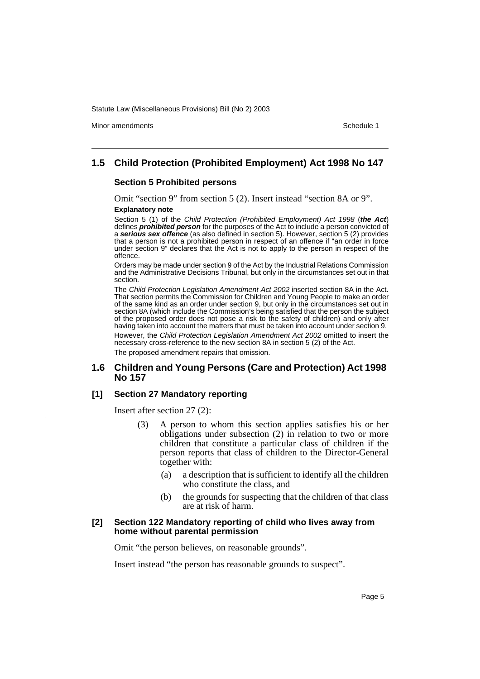Minor amendments **Schedule 1** and the state of the state of the state of the Schedule 1

### **1.5 Child Protection (Prohibited Employment) Act 1998 No 147**

### **Section 5 Prohibited persons**

Omit "section 9" from section 5 (2). Insert instead "section 8A or 9". **Explanatory note**

Section 5 (1) of the Child Protection (Prohibited Employment) Act 1998 (**the Act**) defines **prohibited person** for the purposes of the Act to include a person convicted of a **serious sex offence** (as also defined in section 5). However, section 5 (2) provides that a person is not a prohibited person in respect of an offence if "an order in force under section 9" declares that the Act is not to apply to the person in respect of the offence.

Orders may be made under section 9 of the Act by the Industrial Relations Commission and the Administrative Decisions Tribunal, but only in the circumstances set out in that section.

The Child Protection Legislation Amendment Act 2002 inserted section 8A in the Act. That section permits the Commission for Children and Young People to make an order of the same kind as an order under section 9, but only in the circumstances set out in section 8A (which include the Commission's being satisfied that the person the subject of the proposed order does not pose a risk to the safety of children) and only after having taken into account the matters that must be taken into account under section 9.

However, the Child Protection Legislation Amendment Act 2002 omitted to insert the necessary cross-reference to the new section 8A in section 5 (2) of the Act. The proposed amendment repairs that omission.

### **1.6 Children and Young Persons (Care and Protection) Act 1998 No 157**

### **[1] Section 27 Mandatory reporting**

Insert after section 27 (2):

- (3) A person to whom this section applies satisfies his or her obligations under subsection (2) in relation to two or more children that constitute a particular class of children if the person reports that class of children to the Director-General together with:
	- (a) a description that is sufficient to identify all the children who constitute the class, and
	- (b) the grounds for suspecting that the children of that class are at risk of harm.

#### **[2] Section 122 Mandatory reporting of child who lives away from home without parental permission**

Omit "the person believes, on reasonable grounds".

Insert instead "the person has reasonable grounds to suspect".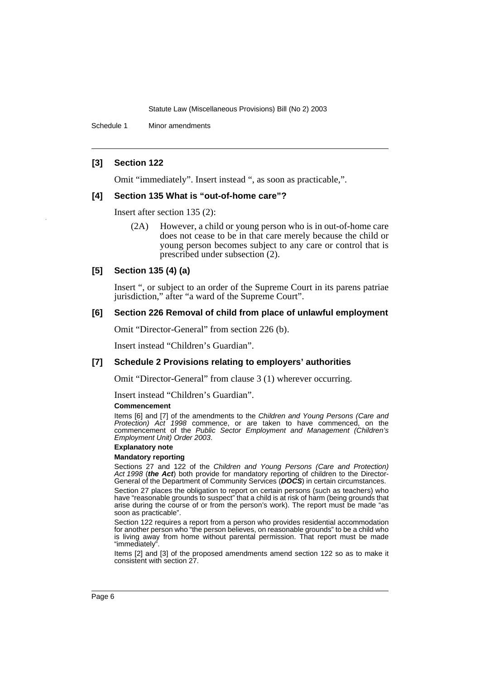Schedule 1 Minor amendments

### **[3] Section 122**

Omit "immediately". Insert instead ", as soon as practicable,".

### **[4] Section 135 What is "out-of-home care"?**

Insert after section 135 (2):

(2A) However, a child or young person who is in out-of-home care does not cease to be in that care merely because the child or young person becomes subject to any care or control that is prescribed under subsection (2).

### **[5] Section 135 (4) (a)**

Insert ", or subject to an order of the Supreme Court in its parens patriae jurisdiction," after "a ward of the Supreme Court".

### **[6] Section 226 Removal of child from place of unlawful employment**

Omit "Director-General" from section 226 (b).

Insert instead "Children's Guardian".

### **[7] Schedule 2 Provisions relating to employers' authorities**

Omit "Director-General" from clause 3 (1) wherever occurring.

Insert instead "Children's Guardian".

#### **Commencement**

Items [6] and [7] of the amendments to the Children and Young Persons (Care and Protection) Act 1998 commence, or are taken to have commenced, on the commencement of the Public Sector Employment and Management (Children's Employment Unit) Order 2003.

### **Explanatory note**

#### **Mandatory reporting**

Sections 27 and 122 of the Children and Young Persons (Care and Protection) Act 1998 (**the Act**) both provide for mandatory reporting of children to the Director-General of the Department of Community Services (**DOCS**) in certain circumstances.

Section 27 places the obligation to report on certain persons (such as teachers) who have "reasonable grounds to suspect" that a child is at risk of harm (being grounds that arise during the course of or from the person's work). The report must be made "as soon as practicable".

Section 122 requires a report from a person who provides residential accommodation for another person who "the person believes, on reasonable grounds" to be a child who is living away from home without parental permission. That report must be made "immediately".

Items [2] and [3] of the proposed amendments amend section 122 so as to make it consistent with section 27.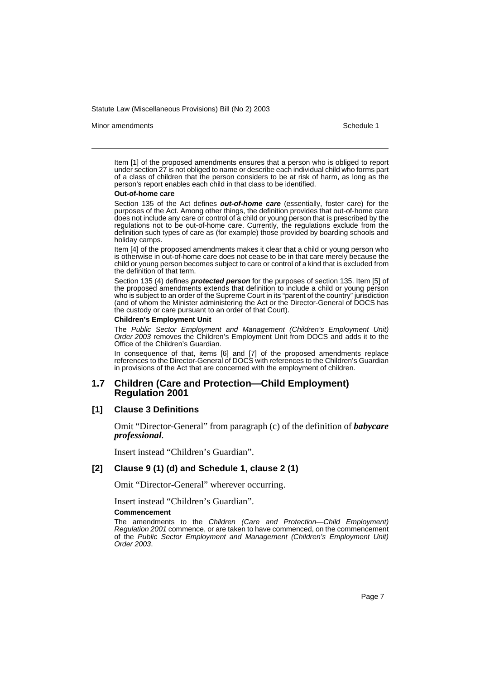Minor amendments **Schedule 1** and the state of the state of the state of the Schedule 1

Item [1] of the proposed amendments ensures that a person who is obliged to report under section 27 is not obliged to name or describe each individual child who forms part of a class of children that the person considers to be at risk of harm, as long as the person's report enables each child in that class to be identified.

#### **Out-of-home care**

Section 135 of the Act defines **out-of-home care** (essentially, foster care) for the purposes of the Act. Among other things, the definition provides that out-of-home care does not include any care or control of a child or young person that is prescribed by the regulations not to be out-of-home care. Currently, the regulations exclude from the definition such types of care as (for example) those provided by boarding schools and holiday camps.

Item [4] of the proposed amendments makes it clear that a child or young person who is otherwise in out-of-home care does not cease to be in that care merely because the child or young person becomes subject to care or control of a kind that is excluded from the definition of that term.

Section 135 (4) defines **protected person** for the purposes of section 135. Item [5] of the proposed amendments extends that definition to include a child or young person who is subject to an order of the Supreme Court in its "parent of the country" jurisdiction (and of whom the Minister administering the Act or the Director-General of DOCS has the custody or care pursuant to an order of that Court).

#### **Children's Employment Unit**

The Public Sector Employment and Management (Children's Employment Unit) Order 2003 removes the Children's Employment Unit from DOCS and adds it to the Office of the Children's Guardian.

In consequence of that, items [6] and [7] of the proposed amendments replace references to the Director-General of DOCS with references to the Children's Guardian in provisions of the Act that are concerned with the employment of children.

### **1.7 Children (Care and Protection—Child Employment) Regulation 2001**

#### **[1] Clause 3 Definitions**

Omit "Director-General" from paragraph (c) of the definition of *babycare professional*.

Insert instead "Children's Guardian".

### **[2] Clause 9 (1) (d) and Schedule 1, clause 2 (1)**

Omit "Director-General" wherever occurring.

Insert instead "Children's Guardian".

#### **Commencement**

The amendments to the Children (Care and Protection—Child Employment) Regulation 2001 commence, or are taken to have commenced, on the commencement of the Public Sector Employment and Management (Children's Employment Unit) Order 2003.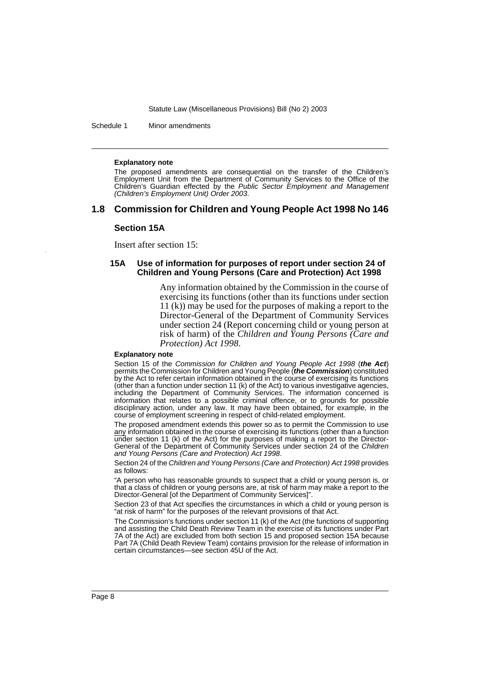Schedule 1 Minor amendments

#### **Explanatory note**

The proposed amendments are consequential on the transfer of the Children's Employment Unit from the Department of Community Services to the Office of the Children's Guardian effected by the Public Sector Employment and Management (Children's Employment Unit) Order 2003.

### **1.8 Commission for Children and Young People Act 1998 No 146**

#### **Section 15A**

Insert after section 15:

### **15A Use of information for purposes of report under section 24 of Children and Young Persons (Care and Protection) Act 1998**

Any information obtained by the Commission in the course of exercising its functions (other than its functions under section 11 (k)) may be used for the purposes of making a report to the Director-General of the Department of Community Services under section 24 (Report concerning child or young person at risk of harm) of the *Children and Young Persons (Care and Protection) Act 1998*.

#### **Explanatory note**

Section 15 of the Commission for Children and Young People Act 1998 (**the Act**) permits the Commission for Children and Young People (**the Commission**) constituted by the Act to refer certain information obtained in the course of exercising its functions (other than a function under section 11 (k) of the Act) to various investigative agencies, including the Department of Community Services. The information concerned is information that relates to a possible criminal offence, or to grounds for possible disciplinary action, under any law. It may have been obtained, for example, in the course of employment screening in respect of child-related employment.

The proposed amendment extends this power so as to permit the Commission to use any information obtained in the course of exercising its functions (other than a function under section 11 (k) of the Act) for the purposes of making a report to the Director-General of the Department of Community Services under section 24 of the Children and Young Persons (Care and Protection) Act 1998.

Section 24 of the Children and Young Persons (Care and Protection) Act 1998 provides as follows:

"A person who has reasonable grounds to suspect that a child or young person is, or that a class of children or young persons are, at risk of harm may make a report to the Director-General [of the Department of Community Services]".

Section 23 of that Act specifies the circumstances in which a child or young person is "at risk of harm" for the purposes of the relevant provisions of that Act.

The Commission's functions under section 11 (k) of the Act (the functions of supporting and assisting the Child Death Review Team in the exercise of its functions under Part 7A of the Act) are excluded from both section 15 and proposed section 15A because Part 7A (Child Death Review Team) contains provision for the release of information in certain circumstances—see section 45U of the Act.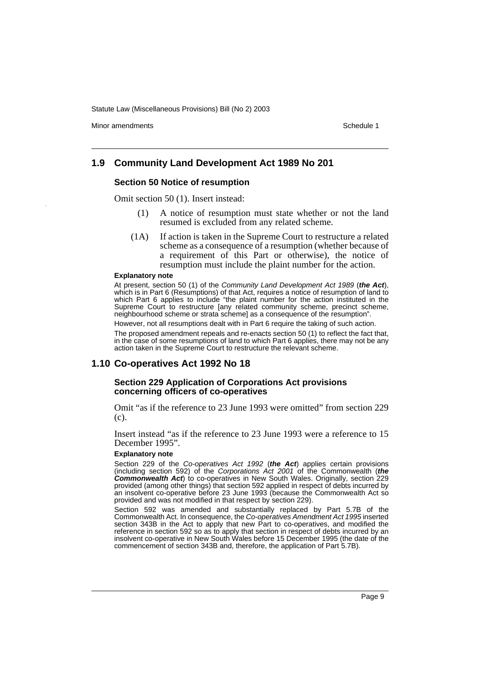Minor amendments **Schedule 1** and the state of the state of the state of the Schedule 1

### **1.9 Community Land Development Act 1989 No 201**

### **Section 50 Notice of resumption**

Omit section 50 (1). Insert instead:

- (1) A notice of resumption must state whether or not the land resumed is excluded from any related scheme.
- (1A) If action is taken in the Supreme Court to restructure a related scheme as a consequence of a resumption (whether because of a requirement of this Part or otherwise), the notice of resumption must include the plaint number for the action.

#### **Explanatory note**

At present, section 50 (1) of the Community Land Development Act 1989 (**the Act**), which is in Part 6 (Resumptions) of that Act, requires a notice of resumption of land to which Part 6 applies to include "the plaint number for the action instituted in the Supreme Court to restructure [any related community scheme, precinct scheme, neighbourhood scheme or strata scheme] as a consequence of the resumption".

However, not all resumptions dealt with in Part 6 require the taking of such action. The proposed amendment repeals and re-enacts section 50 (1) to reflect the fact that, in the case of some resumptions of land to which Part 6 applies, there may not be any

action taken in the Supreme Court to restructure the relevant scheme.

### **1.10 Co-operatives Act 1992 No 18**

#### **Section 229 Application of Corporations Act provisions concerning officers of co-operatives**

Omit "as if the reference to 23 June 1993 were omitted" from section 229 (c).

Insert instead "as if the reference to 23 June 1993 were a reference to 15 December 1995".

#### **Explanatory note**

Section 229 of the Co-operatives Act 1992 (**the Act**) applies certain provisions (including section 592) of the Corporations Act 2001 of the Commonwealth (**the Commonwealth Act**) to co-operatives in New South Wales. Originally, section 229 provided (among other things) that section 592 applied in respect of debts incurred by an insolvent co-operative before 23 June 1993 (because the Commonwealth Act so provided and was not modified in that respect by section 229).

Section 592 was amended and substantially replaced by Part 5.7B of the Commonwealth Act. In consequence, the Co-operatives Amendment Act 1995 inserted section 343B in the Act to apply that new Part to co-operatives, and modified the reference in section 592 so as to apply that section in respect of debts incurred by an insolvent co-operative in New South Wales before 15 December 1995 (the date of the commencement of section 343B and, therefore, the application of Part 5.7B).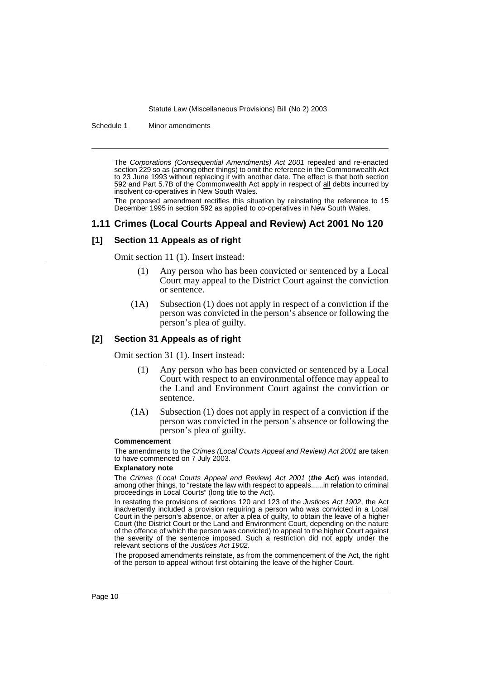Schedule 1 Minor amendments

The Corporations (Consequential Amendments) Act 2001 repealed and re-enacted section 229 so as (among other things) to omit the reference in the Commonwealth Act to 23 June 1993 without replacing it with another date. The effect is that both section 592 and Part 5.7B of the Commonwealth Act apply in respect of all debts incurred by insolvent co-operatives in New South Wales.

The proposed amendment rectifies this situation by reinstating the reference to 15 December 1995 in section 592 as applied to co-operatives in New South Wales.

### **1.11 Crimes (Local Courts Appeal and Review) Act 2001 No 120**

### **[1] Section 11 Appeals as of right**

Omit section 11 (1). Insert instead:

- (1) Any person who has been convicted or sentenced by a Local Court may appeal to the District Court against the conviction or sentence.
- (1A) Subsection (1) does not apply in respect of a conviction if the person was convicted in the person's absence or following the person's plea of guilty.

### **[2] Section 31 Appeals as of right**

Omit section 31 (1). Insert instead:

- (1) Any person who has been convicted or sentenced by a Local Court with respect to an environmental offence may appeal to the Land and Environment Court against the conviction or sentence.
- (1A) Subsection (1) does not apply in respect of a conviction if the person was convicted in the person's absence or following the person's plea of guilty.

#### **Commencement**

The amendments to the Crimes (Local Courts Appeal and Review) Act 2001 are taken to have commenced on 7 July 2003.

#### **Explanatory note**

The Crimes (Local Courts Appeal and Review) Act 2001 (**the Act**) was intended, among other things, to "restate the law with respect to appeals......in relation to criminal proceedings in Local Courts" (long title to the Act).

In restating the provisions of sections 120 and 123 of the Justices Act 1902, the Act inadvertently included a provision requiring a person who was convicted in a Local Court in the person's absence, or after a plea of guilty, to obtain the leave of a higher Court (the District Court or the Land and Environment Court, depending on the nature of the offence of which the person was convicted) to appeal to the higher Court against the severity of the sentence imposed. Such a restriction did not apply under the relevant sections of the Justices Act 1902.

The proposed amendments reinstate, as from the commencement of the Act, the right of the person to appeal without first obtaining the leave of the higher Court.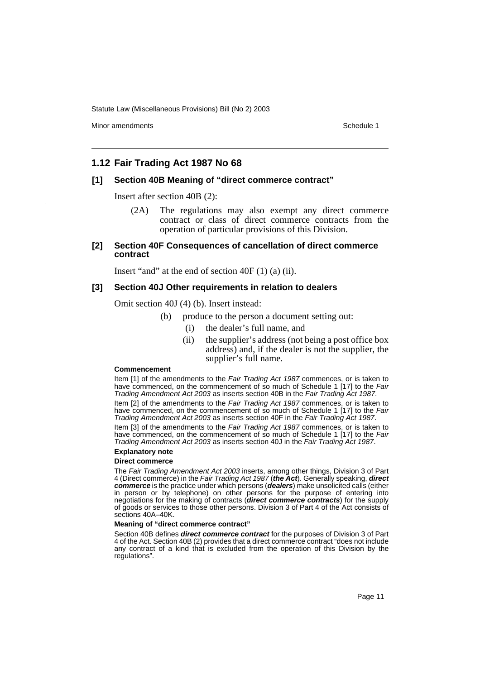Minor amendments **Schedule 1** and the state of the state of the state of the Schedule 1

### **1.12 Fair Trading Act 1987 No 68**

### **[1] Section 40B Meaning of "direct commerce contract"**

Insert after section 40B (2):

- (2A) The regulations may also exempt any direct commerce contract or class of direct commerce contracts from the operation of particular provisions of this Division.
- **[2] Section 40F Consequences of cancellation of direct commerce contract**

Insert "and" at the end of section 40F (1) (a) (ii).

### **[3] Section 40J Other requirements in relation to dealers**

Omit section 40J (4) (b). Insert instead:

- (b) produce to the person a document setting out:
	- (i) the dealer's full name, and
	- (ii) the supplier's address (not being a post office box address) and, if the dealer is not the supplier, the supplier's full name.

#### **Commencement**

Item [1] of the amendments to the Fair Trading Act 1987 commences, or is taken to have commenced, on the commencement of so much of Schedule 1 [17] to the Fair Trading Amendment Act 2003 as inserts section 40B in the Fair Trading Act 1987.

Item [2] of the amendments to the Fair Trading Act 1987 commences, or is taken to have commenced, on the commencement of so much of Schedule 1 [17] to the Fair Trading Amendment Act 2003 as inserts section 40F in the Fair Trading Act 1987.

Item [3] of the amendments to the Fair Trading Act 1987 commences, or is taken to have commenced, on the commencement of so much of Schedule 1 [17] to the Fair Trading Amendment Act 2003 as inserts section 40J in the Fair Trading Act 1987.

### **Explanatory note**

#### **Direct commerce**

The Fair Trading Amendment Act 2003 inserts, among other things, Division 3 of Part 4 (Direct commerce) in the Fair Trading Act 1987 (**the Act**). Generally speaking, **direct commerce** is the practice under which persons (**dealers**) make unsolicited calls (either in person or by telephone) on other persons for the purpose of entering into negotiations for the making of contracts (**direct commerce contracts**) for the supply of goods or services to those other persons. Division 3 of Part 4 of the Act consists of sections 40A–40K.

#### **Meaning of "direct commerce contract"**

Section 40B defines **direct commerce contract** for the purposes of Division 3 of Part 4 of the Act. Section 40B (2) provides that a direct commerce contract "does not include any contract of a kind that is excluded from the operation of this Division by the regulations".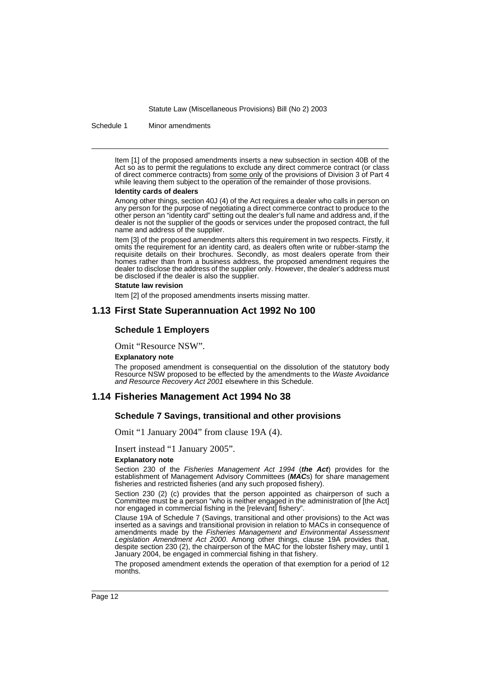Schedule 1 Minor amendments

Item [1] of the proposed amendments inserts a new subsection in section 40B of the Act so as to permit the regulations to exclude any direct commerce contract (or class of direct commerce contracts) from some only of the provisions of Division 3 of Part 4 while leaving them subject to the operation of the remainder of those provisions.

#### **Identity cards of dealers**

Among other things, section 40J (4) of the Act requires a dealer who calls in person on any person for the purpose of negotiating a direct commerce contract to produce to the other person an "identity card" setting out the dealer's full name and address and, if the dealer is not the supplier of the goods or services under the proposed contract, the full name and address of the supplier.

Item [3] of the proposed amendments alters this requirement in two respects. Firstly, it omits the requirement for an identity card, as dealers often write or rubber-stamp the requisite details on their brochures. Secondly, as most dealers operate from their homes rather than from a business address, the proposed amendment requires the dealer to disclose the address of the supplier only. However, the dealer's address must be disclosed if the dealer is also the supplier.

#### **Statute law revision**

Item [2] of the proposed amendments inserts missing matter.

### **1.13 First State Superannuation Act 1992 No 100**

#### **Schedule 1 Employers**

Omit "Resource NSW".

#### **Explanatory note**

The proposed amendment is consequential on the dissolution of the statutory body Resource NSW proposed to be effected by the amendments to the Waste Avoidance and Resource Recovery Act 2001 elsewhere in this Schedule.

### **1.14 Fisheries Management Act 1994 No 38**

### **Schedule 7 Savings, transitional and other provisions**

Omit "1 January 2004" from clause 19A (4).

Insert instead "1 January 2005".

#### **Explanatory note**

Section 230 of the Fisheries Management Act 1994 (**the Act**) provides for the establishment of Management Advisory Committees (**MAC**s) for share management fisheries and restricted fisheries (and any such proposed fishery).

Section 230 (2) (c) provides that the person appointed as chairperson of such a Committee must be a person "who is neither engaged in the administration of [the Act] nor engaged in commercial fishing in the [relevant] fishery".

Clause 19A of Schedule 7 (Savings, transitional and other provisions) to the Act was inserted as a savings and transitional provision in relation to MACs in consequence of amendments made by the Fisheries Management and Environmental Assessment Legislation Amendment Act 2000. Among other things, clause 19A provides that, despite section 230 (2), the chairperson of the MAC for the lobster fishery may, until 1 January 2004, be engaged in commercial fishing in that fishery.

The proposed amendment extends the operation of that exemption for a period of 12 months.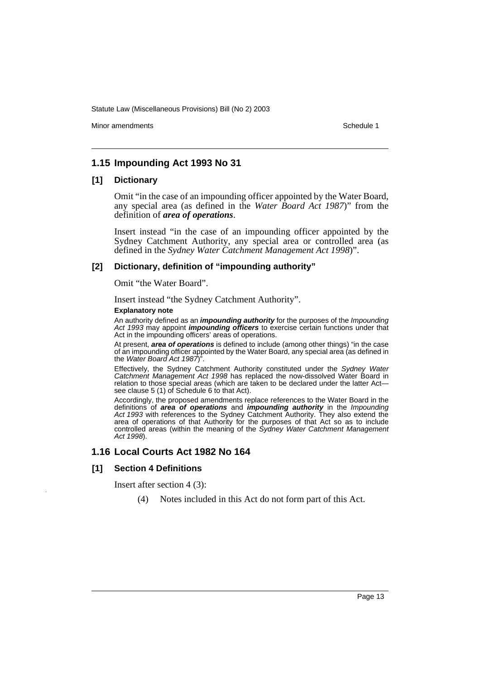Minor amendments **Schedule 1** and the state of the state of the state of the Schedule 1

### **1.15 Impounding Act 1993 No 31**

### **[1] Dictionary**

Omit "in the case of an impounding officer appointed by the Water Board, any special area (as defined in the *Water Board Act 1987*)" from the definition of *area of operations*.

Insert instead "in the case of an impounding officer appointed by the Sydney Catchment Authority, any special area or controlled area (as defined in the *Sydney Water Catchment Management Act 1998*)".

### **[2] Dictionary, definition of "impounding authority"**

Omit "the Water Board".

Insert instead "the Sydney Catchment Authority".

#### **Explanatory note**

An authority defined as an **impounding authority** for the purposes of the Impounding Act 1993 may appoint **impounding officers** to exercise certain functions under that Act in the impounding officers' areas of operations.

At present, **area of operations** is defined to include (among other things) "in the case of an impounding officer appointed by the Water Board, any special area (as defined in the Water Board Act 1987)<sup>"</sup>

Effectively, the Sydney Catchment Authority constituted under the Sydney Water Catchment Management Act 1998 has replaced the now-dissolved Water Board in relation to those special areas (which are taken to be declared under the latter Actsee clause 5 (1) of Schedule 6 to that Act).

Accordingly, the proposed amendments replace references to the Water Board in the definitions of **area of operations** and **impounding authority** in the Impounding Act 1993 with references to the Sydney Catchment Authority. They also extend the area of operations of that Authority for the purposes of that Act so as to include controlled areas (within the meaning of the Sydney Water Catchment Management Act 1998).

### **1.16 Local Courts Act 1982 No 164**

### **[1] Section 4 Definitions**

Insert after section 4 (3):

(4) Notes included in this Act do not form part of this Act.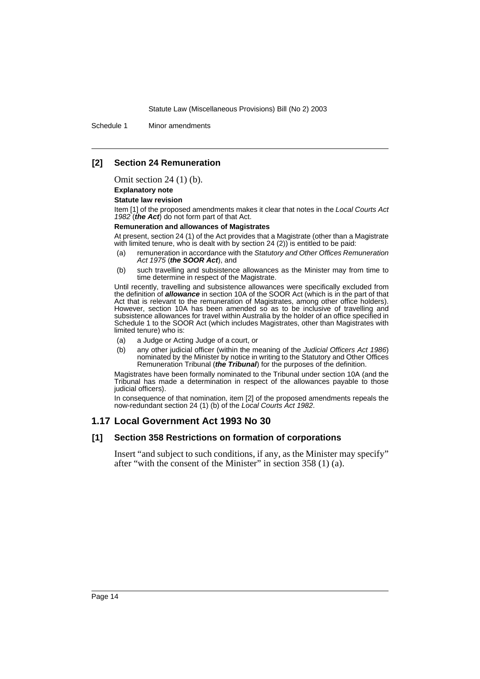Schedule 1 Minor amendments

### **[2] Section 24 Remuneration**

Omit section 24 (1) (b).

#### **Explanatory note**

#### **Statute law revision**

Item [1] of the proposed amendments makes it clear that notes in the Local Courts Act 1982 (**the Act**) do not form part of that Act.

#### **Remuneration and allowances of Magistrates**

At present, section 24 (1) of the Act provides that a Magistrate (other than a Magistrate with limited tenure, who is dealt with by section 24 (2)) is entitled to be paid:

- (a) remuneration in accordance with the Statutory and Other Offices Remuneration Act 1975 (**the SOOR Act**), and
- (b) such travelling and subsistence allowances as the Minister may from time to time determine in respect of the Magistrate.

Until recently, travelling and subsistence allowances were specifically excluded from the definition of **allowance** in section 10A of the SOOR Act (which is in the part of that Act that is relevant to the remuneration of Magistrates, among other office holders). However, section 10A has been amended so as to be inclusive of travelling and subsistence allowances for travel within Australia by the holder of an office specified in Schedule 1 to the SOOR Act (which includes Magistrates, other than Magistrates with limited tenure) who is:

- (a) a Judge or Acting Judge of a court, or
- (b) any other judicial officer (within the meaning of the Judicial Officers Act 1986) nominated by the Minister by notice in writing to the Statutory and Other Offices Remuneration Tribunal (**the Tribunal**) for the purposes of the definition.

Magistrates have been formally nominated to the Tribunal under section 10A (and the Tribunal has made a determination in respect of the allowances payable to those judicial officers).

In consequence of that nomination, item [2] of the proposed amendments repeals the now-redundant section 24 (1) (b) of the Local Courts Act 1982.

### **1.17 Local Government Act 1993 No 30**

### **[1] Section 358 Restrictions on formation of corporations**

Insert "and subject to such conditions, if any, as the Minister may specify" after "with the consent of the Minister" in section 358 (1) (a).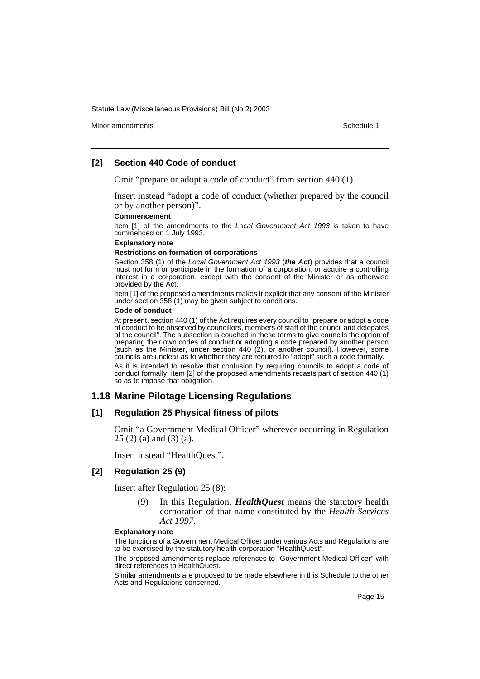Minor amendments **Schedule 1** and the state of the state of the state of the Schedule 1

### **[2] Section 440 Code of conduct**

Omit "prepare or adopt a code of conduct" from section 440 (1).

Insert instead "adopt a code of conduct (whether prepared by the council or by another person)".

#### **Commencement**

Item [1] of the amendments to the Local Government Act 1993 is taken to have commenced on 1 July 1993.

#### **Explanatory note**

#### **Restrictions on formation of corporations**

Section 358 (1) of the Local Government Act 1993 (**the Act**) provides that a council must not form or participate in the formation of a corporation, or acquire a controlling interest in a corporation, except with the consent of the Minister or as otherwise provided by the Act.

Item [1] of the proposed amendments makes it explicit that any consent of the Minister under section 358 (1) may be given subject to conditions.

#### **Code of conduct**

At present, section 440 (1) of the Act requires every council to "prepare or adopt a code of conduct to be observed by councillors, members of staff of the council and delegates of the council". The subsection is couched in these terms to give councils the option of preparing their own codes of conduct or adopting a code prepared by another person (such as the Minister, under section 440 (2), or another council). However, some councils are unclear as to whether they are required to "adopt" such a code formally.

As it is intended to resolve that confusion by requiring councils to adopt a code of conduct formally, item [2] of the proposed amendments recasts part of section 440 (1) so as to impose that obligation.

### **1.18 Marine Pilotage Licensing Regulations**

### **[1] Regulation 25 Physical fitness of pilots**

Omit "a Government Medical Officer" wherever occurring in Regulation 25 (2) (a) and (3) (a).

Insert instead "HealthQuest".

### **[2] Regulation 25 (9)**

Insert after Regulation 25 (8):

(9) In this Regulation, *HealthQuest* means the statutory health corporation of that name constituted by the *Health Services Act 1997*.

#### **Explanatory note**

The functions of a Government Medical Officer under various Acts and Regulations are to be exercised by the statutory health corporation "HealthQuest".

The proposed amendments replace references to "Government Medical Officer" with direct references to HealthQuest.

Similar amendments are proposed to be made elsewhere in this Schedule to the other Acts and Regulations concerned.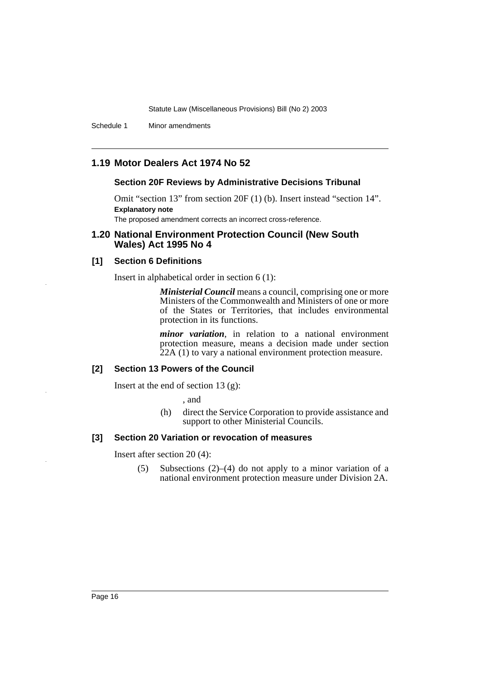Schedule 1 Minor amendments

### **1.19 Motor Dealers Act 1974 No 52**

### **Section 20F Reviews by Administrative Decisions Tribunal**

Omit "section 13" from section 20F (1) (b). Insert instead "section 14". **Explanatory note**

The proposed amendment corrects an incorrect cross-reference.

### **1.20 National Environment Protection Council (New South Wales) Act 1995 No 4**

### **[1] Section 6 Definitions**

Insert in alphabetical order in section 6 (1):

*Ministerial Council* means a council, comprising one or more Ministers of the Commonwealth and Ministers of one or more of the States or Territories, that includes environmental protection in its functions.

*minor variation*, in relation to a national environment protection measure, means a decision made under section 22A (1) to vary a national environment protection measure.

### **[2] Section 13 Powers of the Council**

Insert at the end of section  $13$  (g):

, and

(h) direct the Service Corporation to provide assistance and support to other Ministerial Councils.

### **[3] Section 20 Variation or revocation of measures**

Insert after section 20 (4):

(5) Subsections (2)–(4) do not apply to a minor variation of a national environment protection measure under Division 2A.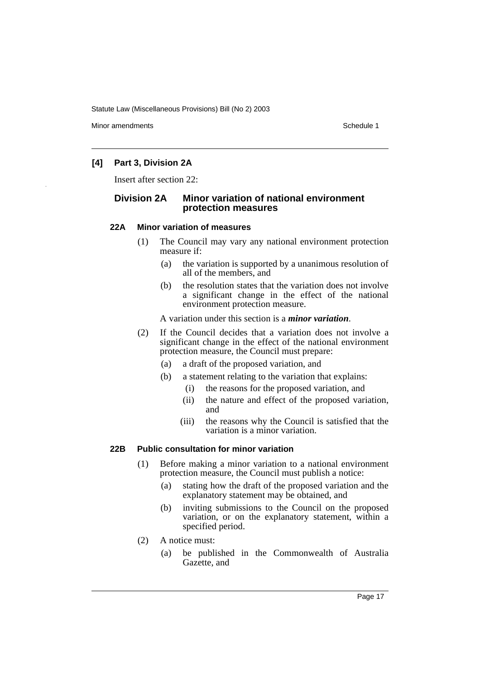Minor amendments **Schedule 1** and the state of the state of the state of the Schedule 1

### **[4] Part 3, Division 2A**

Insert after section 22:

### **Division 2A Minor variation of national environment protection measures**

### **22A Minor variation of measures**

- (1) The Council may vary any national environment protection measure if:
	- (a) the variation is supported by a unanimous resolution of all of the members, and
	- (b) the resolution states that the variation does not involve a significant change in the effect of the national environment protection measure.

A variation under this section is a *minor variation*.

- (2) If the Council decides that a variation does not involve a significant change in the effect of the national environment protection measure, the Council must prepare:
	- (a) a draft of the proposed variation, and
	- (b) a statement relating to the variation that explains:
		- (i) the reasons for the proposed variation, and
		- (ii) the nature and effect of the proposed variation, and
		- (iii) the reasons why the Council is satisfied that the variation is a minor variation.

### **22B Public consultation for minor variation**

- (1) Before making a minor variation to a national environment protection measure, the Council must publish a notice:
	- (a) stating how the draft of the proposed variation and the explanatory statement may be obtained, and
	- (b) inviting submissions to the Council on the proposed variation, or on the explanatory statement, within a specified period.
- (2) A notice must:
	- (a) be published in the Commonwealth of Australia Gazette, and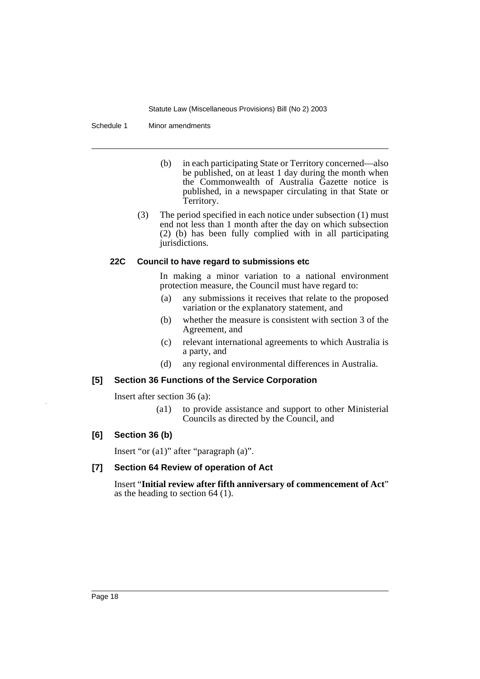Schedule 1 Minor amendments

- (b) in each participating State or Territory concerned—also be published, on at least 1 day during the month when the Commonwealth of Australia Gazette notice is published, in a newspaper circulating in that State or Territory.
- (3) The period specified in each notice under subsection (1) must end not less than 1 month after the day on which subsection (2) (b) has been fully complied with in all participating jurisdictions.

### **22C Council to have regard to submissions etc**

In making a minor variation to a national environment protection measure, the Council must have regard to:

- (a) any submissions it receives that relate to the proposed variation or the explanatory statement, and
- (b) whether the measure is consistent with section 3 of the Agreement, and
- (c) relevant international agreements to which Australia is a party, and
- (d) any regional environmental differences in Australia.

### **[5] Section 36 Functions of the Service Corporation**

Insert after section 36 (a):

(a1) to provide assistance and support to other Ministerial Councils as directed by the Council, and

### **[6] Section 36 (b)**

Insert "or (a1)" after "paragraph (a)".

### **[7] Section 64 Review of operation of Act**

Insert "**Initial review after fifth anniversary of commencement of Act**" as the heading to section 64 (1).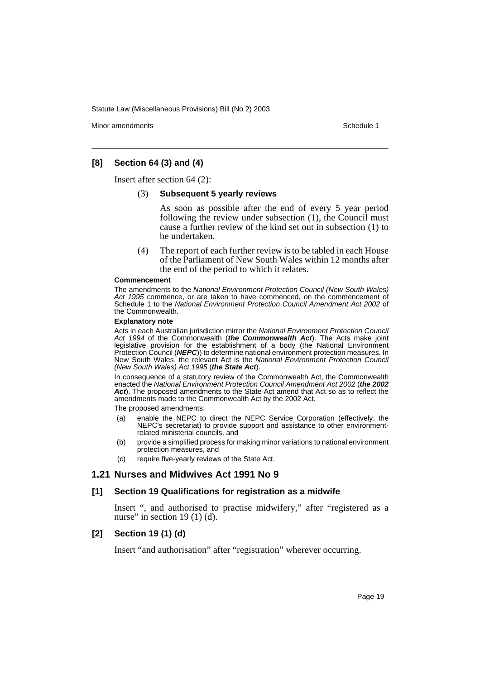Minor amendments **Schedule 1** and the state of the state of the state of the Schedule 1

### **[8] Section 64 (3) and (4)**

Insert after section 64 (2):

### (3) **Subsequent 5 yearly reviews**

As soon as possible after the end of every 5 year period following the review under subsection (1), the Council must cause a further review of the kind set out in subsection (1) to be undertaken.

(4) The report of each further review is to be tabled in each House of the Parliament of New South Wales within 12 months after the end of the period to which it relates.

#### **Commencement**

The amendments to the National Environment Protection Council (New South Wales) Act 1995 commence, or are taken to have commenced, on the commencement of Schedule 1 to the National Environment Protection Council Amendment Act 2002 of the Commonwealth.

#### **Explanatory note**

Acts in each Australian jurisdiction mirror the National Environment Protection Council Act 1994 of the Commonwealth (**the Commonwealth Act**). The Acts make joint legislative provision for the establishment of a body (the National Environment Protection Council (**NEPC**)) to determine national environment protection measures. In New South Wales, the relevant Act is the National Environment Protection Council (New South Wales) Act 1995 (**the State Act**).

In consequence of a statutory review of the Commonwealth Act, the Commonwealth enacted the National Environment Protection Council Amendment Act 2002 (**the 2002 Act**). The proposed amendments to the State Act amend that Act so as to reflect the amendments made to the Commonwealth Act by the 2002 Act.

The proposed amendments:

- (a) enable the NEPC to direct the NEPC Service Corporation (effectively, the NEPC's secretariat) to provide support and assistance to other environmentrelated ministerial councils, and
- (b) provide a simplified process for making minor variations to national environment protection measures, and
- (c) require five-yearly reviews of the State Act.

### **1.21 Nurses and Midwives Act 1991 No 9**

### **[1] Section 19 Qualifications for registration as a midwife**

Insert ", and authorised to practise midwifery," after "registered as a nurse" in section  $19(1)(d)$ .

### **[2] Section 19 (1) (d)**

Insert "and authorisation" after "registration" wherever occurring.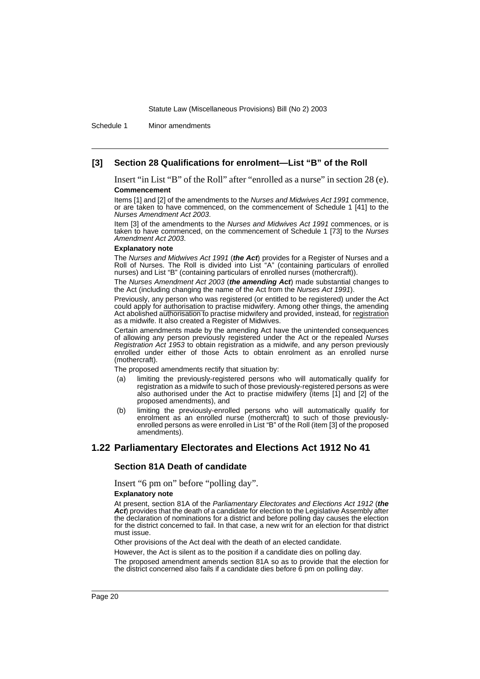Schedule 1 Minor amendments

### **[3] Section 28 Qualifications for enrolment—List "B" of the Roll**

Insert "in List "B" of the Roll" after "enrolled as a nurse" in section 28 (e). **Commencement**

Items [1] and [2] of the amendments to the Nurses and Midwives Act 1991 commence, or are taken to have commenced, on the commencement of Schedule 1 [41] to the Nurses Amendment Act 2003.

Item [3] of the amendments to the Nurses and Midwives Act 1991 commences, or is taken to have commenced, on the commencement of Schedule 1 [73] to the Nurses Amendment Act 2003.

#### **Explanatory note**

The Nurses and Midwives Act 1991 (**the Act**) provides for a Register of Nurses and a Roll of Nurses. The Roll is divided into List "A" (containing particulars of enrolled nurses) and List "B" (containing particulars of enrolled nurses (mothercraft)).

The Nurses Amendment Act 2003 (**the amending Act**) made substantial changes to the Act (including changing the name of the Act from the Nurses Act 1991).

Previously, any person who was registered (or entitled to be registered) under the Act could apply for authorisation to practise midwifery. Among other things, the amending Act abolished authorisation to practise midwifery and provided, instead, for registration as a midwife. It also created a Register of Midwives.

Certain amendments made by the amending Act have the unintended consequences of allowing any person previously registered under the Act or the repealed Nurses Registration Act 1953 to obtain registration as a midwife, and any person previously enrolled under either of those Acts to obtain enrolment as an enrolled nurse (mothercraft).

The proposed amendments rectify that situation by:

- (a) limiting the previously-registered persons who will automatically qualify for registration as a midwife to such of those previously-registered persons as were also authorised under the Act to practise midwifery (items [1] and [2] of the proposed amendments), and
- (b) limiting the previously-enrolled persons who will automatically qualify for enrolment as an enrolled nurse (mothercraft) to such of those previouslyenrolled persons as were enrolled in List "B" of the Roll (item [3] of the proposed amendments).

### **1.22 Parliamentary Electorates and Elections Act 1912 No 41**

### **Section 81A Death of candidate**

Insert "6 pm on" before "polling day".

#### **Explanatory note**

At present, section 81A of the Parliamentary Electorates and Elections Act 1912 (**the** Act) provides that the death of a candidate for election to the Legislative Assembly after the declaration of nominations for a district and before polling day causes the election for the district concerned to fail. In that case, a new writ for an election for that district must issue.

Other provisions of the Act deal with the death of an elected candidate.

However, the Act is silent as to the position if a candidate dies on polling day.

The proposed amendment amends section 81A so as to provide that the election for the district concerned also fails if a candidate dies before 6 pm on polling day.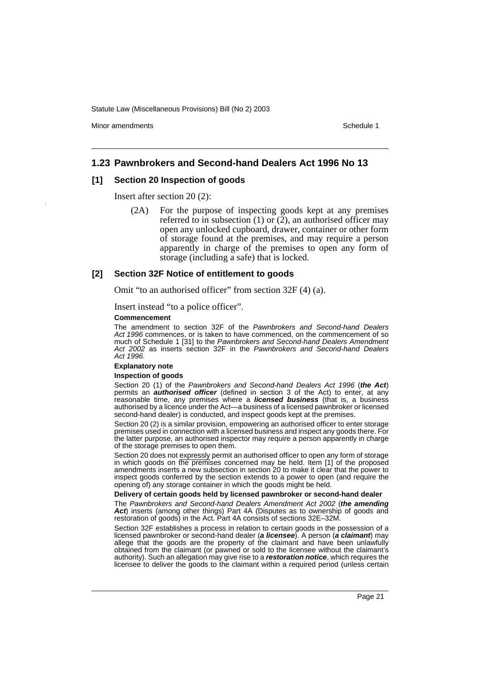Minor amendments **Schedule 1** and the state of the state of the state of the Schedule 1

### **1.23 Pawnbrokers and Second-hand Dealers Act 1996 No 13**

### **[1] Section 20 Inspection of goods**

Insert after section 20 (2):

(2A) For the purpose of inspecting goods kept at any premises referred to in subsection (1) or (2), an authorised officer may open any unlocked cupboard, drawer, container or other form of storage found at the premises, and may require a person apparently in charge of the premises to open any form of storage (including a safe) that is locked.

#### **[2] Section 32F Notice of entitlement to goods**

Omit "to an authorised officer" from section 32F (4) (a).

Insert instead "to a police officer".

#### **Commencement**

The amendment to section 32F of the Pawnbrokers and Second-hand Dealers Act 1996 commences, or is taken to have commenced, on the commencement of so much of Schedule 1 [31] to the Pawnbrokers and Second-hand Dealers Amendment Act 2002 as inserts section 32F in the Pawnbrokers and Second-hand Dealers Act 1996.

#### **Explanatory note**

#### **Inspection of goods**

Section 20 (1) of the Pawnbrokers and Second-hand Dealers Act 1996 (**the Act**) permits an **authorised officer** (defined in section 3 of the Act) to enter, at any reasonable time, any premises where a **licensed business** (that is, a business authorised by a licence under the Act—a business of a licensed pawnbroker or licensed second-hand dealer) is conducted, and inspect goods kept at the premises.

Section 20 (2) is a similar provision, empowering an authorised officer to enter storage premises used in connection with a licensed business and inspect any goods there. For the latter purpose, an authorised inspector may require a person apparently in charge of the storage premises to open them.

Section 20 does not expressly permit an authorised officer to open any form of storage in which goods on the premises concerned may be held. Item [1] of the proposed amendments inserts a new subsection in section 20 to make it clear that the power to inspect goods conferred by the section extends to a power to open (and require the opening of) any storage container in which the goods might be held.

#### **Delivery of certain goods held by licensed pawnbroker or second-hand dealer**

The Pawnbrokers and Second-hand Dealers Amendment Act 2002 (**the amending Act**) inserts (among other things) Part 4A (Disputes as to ownership of goods and restoration of goods) in the Act. Part 4A consists of sections 32E–32M.

Section 32F establishes a process in relation to certain goods in the possession of a licensed pawnbroker or second-hand dealer (**a licensee**). A person (**a claimant**) may allege that the goods are the property of the claimant and have been unlawfully obtained from the claimant (or pawned or sold to the licensee without the claimant's authority). Such an allegation may give rise to a **restoration notice**, which requires the licensee to deliver the goods to the claimant within a required period (unless certain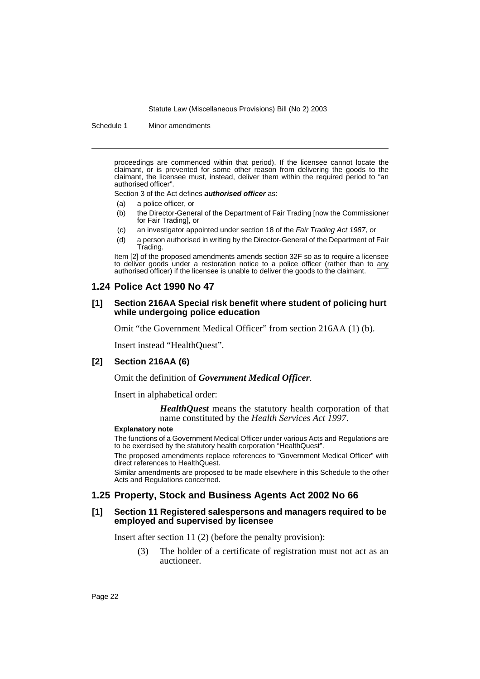Schedule 1 Minor amendments

proceedings are commenced within that period). If the licensee cannot locate the claimant, or is prevented for some other reason from delivering the goods to the claimant, the licensee must, instead, deliver them within the required period to "an authorised officer".

Section 3 of the Act defines **authorised officer** as:

- (a) a police officer, or
- (b) the Director-General of the Department of Fair Trading [now the Commissioner for Fair Trading], or
- (c) an investigator appointed under section 18 of the Fair Trading Act 1987, or
- (d) a person authorised in writing by the Director-General of the Department of Fair Trading.

Item [2] of the proposed amendments amends section 32F so as to require a licensee to deliver goods under a restoration notice to a police officer (rather than to any authorised officer) if the licensee is unable to deliver the goods to the claimant.

### **1.24 Police Act 1990 No 47**

### **[1] Section 216AA Special risk benefit where student of policing hurt while undergoing police education**

Omit "the Government Medical Officer" from section 216AA (1) (b).

Insert instead "HealthQuest".

### **[2] Section 216AA (6)**

Omit the definition of *Government Medical Officer*.

Insert in alphabetical order:

*HealthQuest* means the statutory health corporation of that name constituted by the *Health Services Act 1997*.

#### **Explanatory note**

The functions of a Government Medical Officer under various Acts and Regulations are to be exercised by the statutory health corporation "HealthQuest".

The proposed amendments replace references to "Government Medical Officer" with direct references to HealthQuest.

Similar amendments are proposed to be made elsewhere in this Schedule to the other Acts and Regulations concerned.

### **1.25 Property, Stock and Business Agents Act 2002 No 66**

#### **[1] Section 11 Registered salespersons and managers required to be employed and supervised by licensee**

Insert after section 11 (2) (before the penalty provision):

(3) The holder of a certificate of registration must not act as an auctioneer.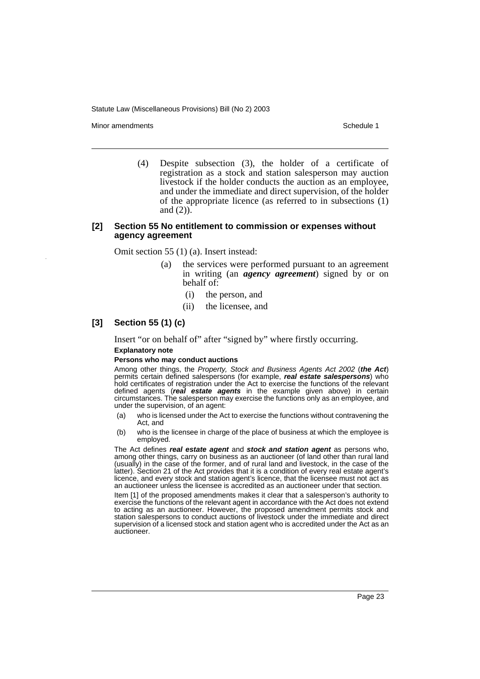Minor amendments **Schedule 1** and the state of the state of the state of the Schedule 1

(4) Despite subsection (3), the holder of a certificate of registration as a stock and station salesperson may auction livestock if the holder conducts the auction as an employee, and under the immediate and direct supervision, of the holder of the appropriate licence (as referred to in subsections (1) and (2)).

### **[2] Section 55 No entitlement to commission or expenses without agency agreement**

Omit section 55 (1) (a). Insert instead:

- (a) the services were performed pursuant to an agreement in writing (an *agency agreement*) signed by or on behalf of:
	- (i) the person, and
	- (ii) the licensee, and

### **[3] Section 55 (1) (c)**

Insert "or on behalf of" after "signed by" where firstly occurring.

### **Explanatory note**

#### **Persons who may conduct auctions**

Among other things, the Property, Stock and Business Agents Act 2002 (**the Act**) permits certain defined salespersons (for example, **real estate salespersons**) who hold certificates of registration under the Act to exercise the functions of the relevant defined agents (**real estate agents** in the example given above) in certain circumstances. The salesperson may exercise the functions only as an employee, and under the supervision, of an agent:

- (a) who is licensed under the Act to exercise the functions without contravening the Act, and
- (b) who is the licensee in charge of the place of business at which the employee is employed.

The Act defines **real estate agent** and **stock and station agent** as persons who, among other things, carry on business as an auctioneer (of land other than rural land (usually) in the case of the former, and of rural land and livestock, in the case of the latter). Section 21 of the Act provides that it is a condition of every real estate agent's licence, and every stock and station agent's licence, that the licensee must not act as an auctioneer unless the licensee is accredited as an auctioneer under that section.

Item [1] of the proposed amendments makes it clear that a salesperson's authority to exercise the functions of the relevant agent in accordance with the Act does not extend to acting as an auctioneer. However, the proposed amendment permits stock and station salespersons to conduct auctions of livestock under the immediate and direct supervision of a licensed stock and station agent who is accredited under the Act as an auctioneer.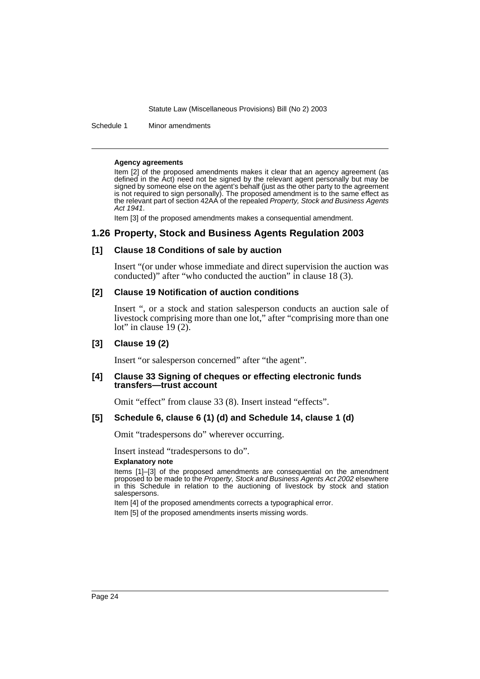Schedule 1 Minor amendments

#### **Agency agreements**

Item [2] of the proposed amendments makes it clear that an agency agreement (as defined in the Act) need not be signed by the relevant agent personally but may be signed by someone else on the agent's behalf (just as the other party to the agreement is not required to sign personally). The proposed amendment is to the same effect as the relevant part of section 42AA of the repealed Property, Stock and Business Agents Act 1941.

Item [3] of the proposed amendments makes a consequential amendment.

### **1.26 Property, Stock and Business Agents Regulation 2003**

### **[1] Clause 18 Conditions of sale by auction**

Insert "(or under whose immediate and direct supervision the auction was conducted)" after "who conducted the auction" in clause 18 (3).

### **[2] Clause 19 Notification of auction conditions**

Insert ", or a stock and station salesperson conducts an auction sale of livestock comprising more than one lot," after "comprising more than one lot" in clause  $19(2)$ .

### **[3] Clause 19 (2)**

Insert "or salesperson concerned" after "the agent".

### **[4] Clause 33 Signing of cheques or effecting electronic funds transfers—trust account**

Omit "effect" from clause 33 (8). Insert instead "effects".

### **[5] Schedule 6, clause 6 (1) (d) and Schedule 14, clause 1 (d)**

Omit "tradespersons do" wherever occurring.

Insert instead "tradespersons to do".

#### **Explanatory note**

Items [1]–[3] of the proposed amendments are consequential on the amendment proposed to be made to the Property, Stock and Business Agents Act 2002 elsewhere in this Schedule in relation to the auctioning of livestock by stock and station salespersons.

Item [4] of the proposed amendments corrects a typographical error.

Item [5] of the proposed amendments inserts missing words.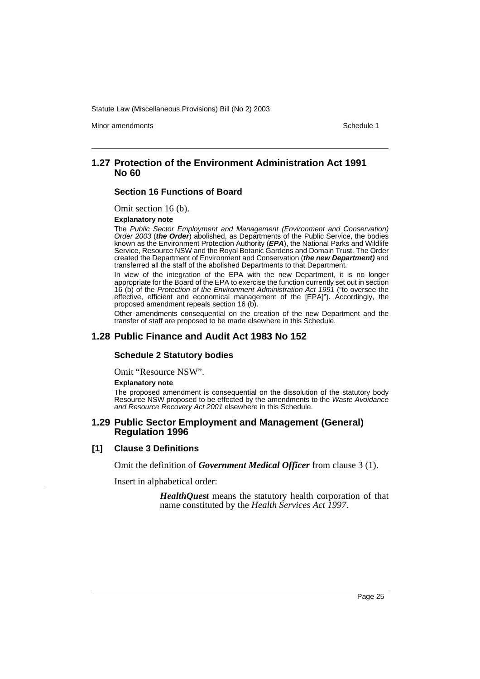Minor amendments **Schedule 1** and the state of the state of the state of the Schedule 1

### **1.27 Protection of the Environment Administration Act 1991 No 60**

### **Section 16 Functions of Board**

Omit section 16 (b).

#### **Explanatory note**

The Public Sector Employment and Management (Environment and Conservation) Order 2003 (**the Order**) abolished, as Departments of the Public Service, the bodies known as the Environment Protection Authority (**EPA**), the National Parks and Wildlife Service, Resource NSW and the Royal Botanic Gardens and Domain Trust. The Order created the Department of Environment and Conservation (**the new Department)** and transferred all the staff of the abolished Departments to that Department.

In view of the integration of the EPA with the new Department, it is no longer appropriate for the Board of the EPA to exercise the function currently set out in section 16 (b) of the Protection of the Environment Administration Act 1991 ("to oversee the effective, efficient and economical management of the [EPA]"). Accordingly, the proposed amendment repeals section 16 (b).

Other amendments consequential on the creation of the new Department and the transfer of staff are proposed to be made elsewhere in this Schedule.

### **1.28 Public Finance and Audit Act 1983 No 152**

#### **Schedule 2 Statutory bodies**

Omit "Resource NSW".

#### **Explanatory note**

The proposed amendment is consequential on the dissolution of the statutory body Resource NSW proposed to be effected by the amendments to the Waste Avoidance and Resource Recovery Act 2001 elsewhere in this Schedule.

### **1.29 Public Sector Employment and Management (General) Regulation 1996**

### **[1] Clause 3 Definitions**

Omit the definition of *Government Medical Officer* from clause 3 (1).

Insert in alphabetical order:

*HealthQuest* means the statutory health corporation of that name constituted by the *Health Services Act 1997*.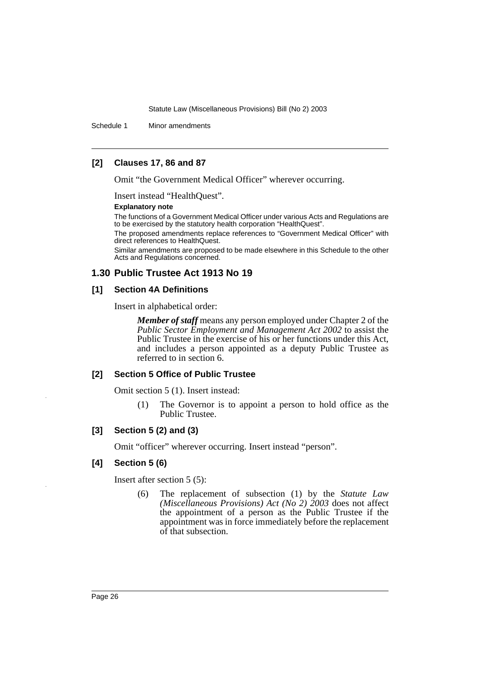Schedule 1 Minor amendments

### **[2] Clauses 17, 86 and 87**

Omit "the Government Medical Officer" wherever occurring.

Insert instead "HealthQuest".

#### **Explanatory note**

The functions of a Government Medical Officer under various Acts and Regulations are to be exercised by the statutory health corporation "HealthQuest".

The proposed amendments replace references to "Government Medical Officer" with direct references to HealthQuest.

Similar amendments are proposed to be made elsewhere in this Schedule to the other Acts and Regulations concerned.

### **1.30 Public Trustee Act 1913 No 19**

### **[1] Section 4A Definitions**

Insert in alphabetical order:

*Member of staff* means any person employed under Chapter 2 of the *Public Sector Employment and Management Act 2002* to assist the Public Trustee in the exercise of his or her functions under this Act, and includes a person appointed as a deputy Public Trustee as referred to in section 6.

### **[2] Section 5 Office of Public Trustee**

Omit section 5 (1). Insert instead:

(1) The Governor is to appoint a person to hold office as the Public Trustee.

### **[3] Section 5 (2) and (3)**

Omit "officer" wherever occurring. Insert instead "person".

### **[4] Section 5 (6)**

Insert after section 5 (5):

(6) The replacement of subsection (1) by the *Statute Law (Miscellaneous Provisions) Act (No 2) 2003* does not affect the appointment of a person as the Public Trustee if the appointment was in force immediately before the replacement of that subsection.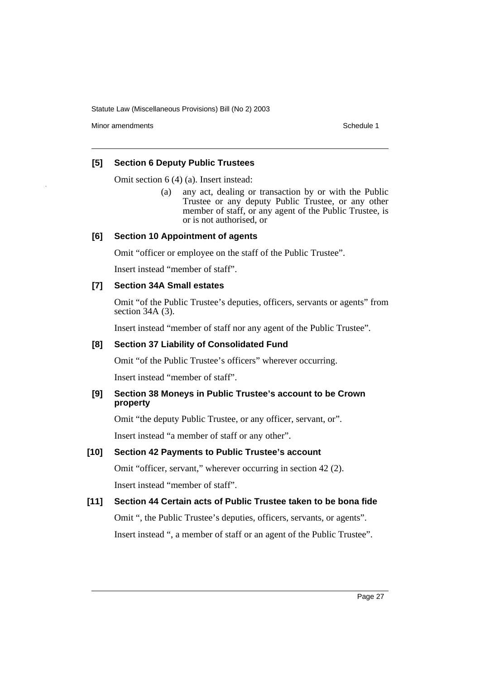Minor amendments **Schedule 1** and the state of the state of the state of the Schedule 1

### **[5] Section 6 Deputy Public Trustees**

Omit section 6 (4) (a). Insert instead:

(a) any act, dealing or transaction by or with the Public Trustee or any deputy Public Trustee, or any other member of staff, or any agent of the Public Trustee, is or is not authorised, or

### **[6] Section 10 Appointment of agents**

Omit "officer or employee on the staff of the Public Trustee".

Insert instead "member of staff".

### **[7] Section 34A Small estates**

Omit "of the Public Trustee's deputies, officers, servants or agents" from section 34A (3).

Insert instead "member of staff nor any agent of the Public Trustee".

### **[8] Section 37 Liability of Consolidated Fund**

Omit "of the Public Trustee's officers" wherever occurring.

Insert instead "member of staff".

### **[9] Section 38 Moneys in Public Trustee's account to be Crown property**

Omit "the deputy Public Trustee, or any officer, servant, or".

Insert instead "a member of staff or any other".

### **[10] Section 42 Payments to Public Trustee's account**

Omit "officer, servant," wherever occurring in section 42 (2). Insert instead "member of staff".

### **[11] Section 44 Certain acts of Public Trustee taken to be bona fide**

Omit ", the Public Trustee's deputies, officers, servants, or agents". Insert instead ", a member of staff or an agent of the Public Trustee".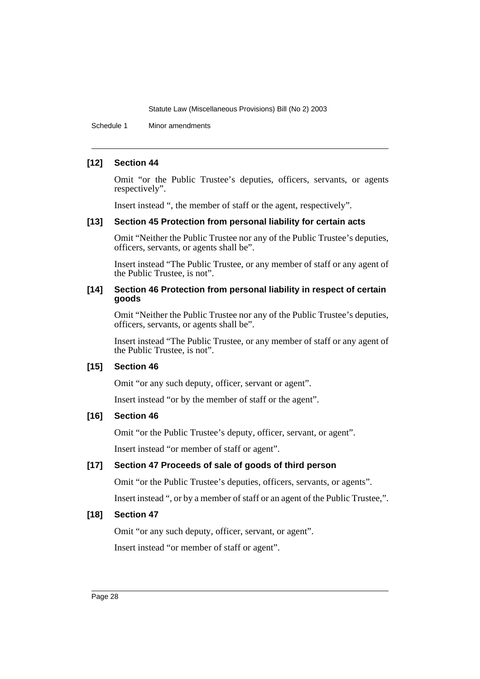Schedule 1 Minor amendments

### **[12] Section 44**

Omit "or the Public Trustee's deputies, officers, servants, or agents respectively".

Insert instead ", the member of staff or the agent, respectively".

### **[13] Section 45 Protection from personal liability for certain acts**

Omit "Neither the Public Trustee nor any of the Public Trustee's deputies, officers, servants, or agents shall be".

Insert instead "The Public Trustee, or any member of staff or any agent of the Public Trustee, is not".

### **[14] Section 46 Protection from personal liability in respect of certain goods**

Omit "Neither the Public Trustee nor any of the Public Trustee's deputies, officers, servants, or agents shall be".

Insert instead "The Public Trustee, or any member of staff or any agent of the Public Trustee, is not".

### **[15] Section 46**

Omit "or any such deputy, officer, servant or agent".

Insert instead "or by the member of staff or the agent".

### **[16] Section 46**

Omit "or the Public Trustee's deputy, officer, servant, or agent".

Insert instead "or member of staff or agent".

### **[17] Section 47 Proceeds of sale of goods of third person**

Omit "or the Public Trustee's deputies, officers, servants, or agents". Insert instead ", or by a member of staff or an agent of the Public Trustee,".

### **[18] Section 47**

Omit "or any such deputy, officer, servant, or agent".

Insert instead "or member of staff or agent".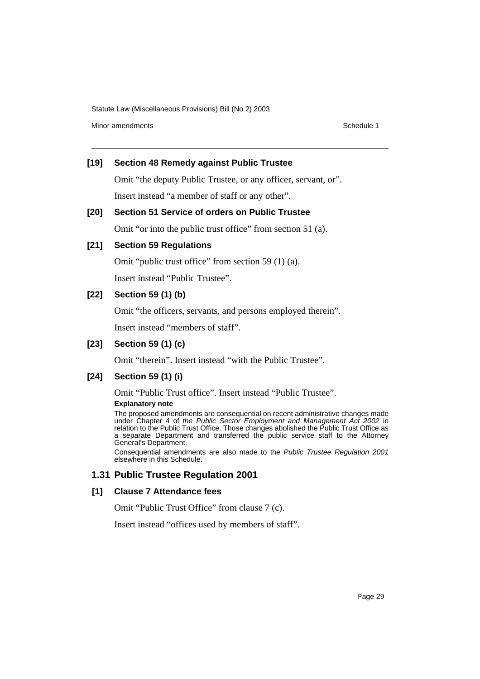Minor amendments **Schedule 1** and the state of the state of the state of the Schedule 1

### **[19] Section 48 Remedy against Public Trustee**

Omit "the deputy Public Trustee, or any officer, servant, or".

Insert instead "a member of staff or any other".

### **[20] Section 51 Service of orders on Public Trustee**

Omit "or into the public trust office" from section 51 (a).

### **[21] Section 59 Regulations**

Omit "public trust office" from section 59 (1) (a).

Insert instead "Public Trustee".

### **[22] Section 59 (1) (b)**

Omit "the officers, servants, and persons employed therein".

Insert instead "members of staff".

### **[23] Section 59 (1) (c)**

Omit "therein". Insert instead "with the Public Trustee".

### **[24] Section 59 (1) (i)**

Omit "Public Trust office". Insert instead "Public Trustee".

### **Explanatory note**

The proposed amendments are consequential on recent administrative changes made under Chapter 4 of the Public Sector Employment and Management Act 2002 in relation to the Public Trust Office. Those changes abolished the Public Trust Office as a separate Department and transferred the public service staff to the Attorney General's Department.

Consequential amendments are also made to the Public Trustee Regulation 2001 elsewhere in this Schedule.

### **1.31 Public Trustee Regulation 2001**

### **[1] Clause 7 Attendance fees**

Omit "Public Trust Office" from clause 7 (c).

Insert instead "offices used by members of staff".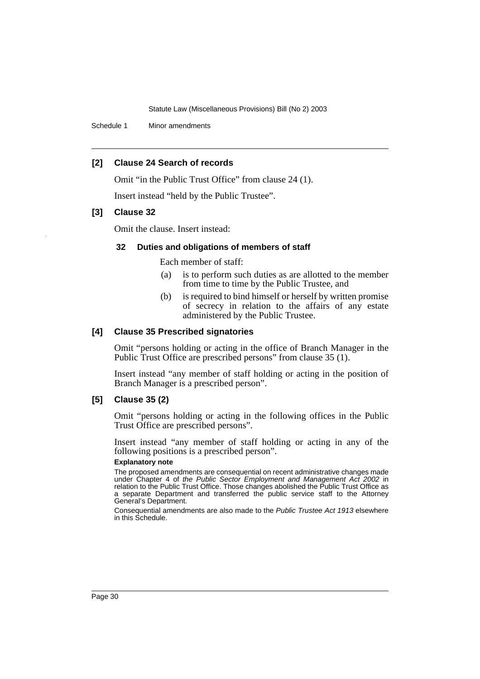Schedule 1 Minor amendments

### **[2] Clause 24 Search of records**

Omit "in the Public Trust Office" from clause 24 (1).

Insert instead "held by the Public Trustee".

### **[3] Clause 32**

Omit the clause. Insert instead:

### **32 Duties and obligations of members of staff**

Each member of staff:

- (a) is to perform such duties as are allotted to the member from time to time by the Public Trustee, and
- (b) is required to bind himself or herself by written promise of secrecy in relation to the affairs of any estate administered by the Public Trustee.

### **[4] Clause 35 Prescribed signatories**

Omit "persons holding or acting in the office of Branch Manager in the Public Trust Office are prescribed persons" from clause 35 (1).

Insert instead "any member of staff holding or acting in the position of Branch Manager is a prescribed person".

### **[5] Clause 35 (2)**

Omit "persons holding or acting in the following offices in the Public Trust Office are prescribed persons".

Insert instead "any member of staff holding or acting in any of the following positions is a prescribed person".

#### **Explanatory note**

The proposed amendments are consequential on recent administrative changes made under Chapter 4 of the Public Sector Employment and Management Act 2002 in relation to the Public Trust Office. Those changes abolished the Public Trust Office as a separate Department and transferred the public service staff to the Attorney General's Department.

Consequential amendments are also made to the Public Trustee Act 1913 elsewhere in this Schedule.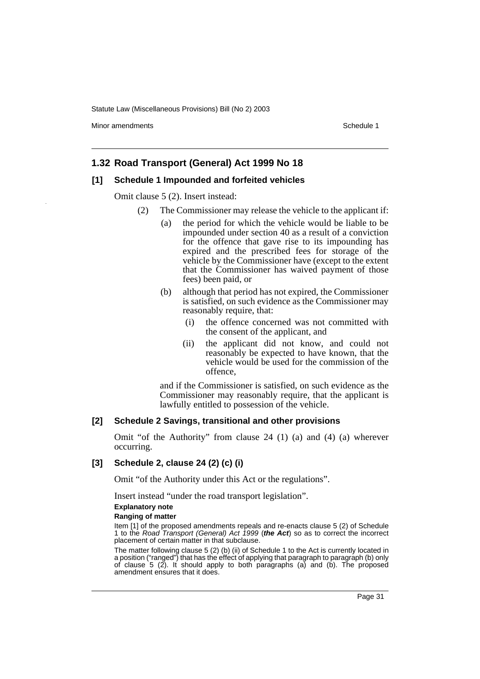Minor amendments **Schedule 1** and the state of the state of the state of the Schedule 1

### **1.32 Road Transport (General) Act 1999 No 18**

### **[1] Schedule 1 Impounded and forfeited vehicles**

Omit clause 5 (2). Insert instead:

- (2) The Commissioner may release the vehicle to the applicant if:
	- (a) the period for which the vehicle would be liable to be impounded under section 40 as a result of a conviction for the offence that gave rise to its impounding has expired and the prescribed fees for storage of the vehicle by the Commissioner have (except to the extent that the Commissioner has waived payment of those fees) been paid, or
	- (b) although that period has not expired, the Commissioner is satisfied, on such evidence as the Commissioner may reasonably require, that:
		- (i) the offence concerned was not committed with the consent of the applicant, and
		- (ii) the applicant did not know, and could not reasonably be expected to have known, that the vehicle would be used for the commission of the offence,

and if the Commissioner is satisfied, on such evidence as the Commissioner may reasonably require, that the applicant is lawfully entitled to possession of the vehicle.

#### **[2] Schedule 2 Savings, transitional and other provisions**

Omit "of the Authority" from clause 24 (1) (a) and (4) (a) wherever occurring.

### **[3] Schedule 2, clause 24 (2) (c) (i)**

Omit "of the Authority under this Act or the regulations".

Insert instead "under the road transport legislation".

#### **Explanatory note**

#### **Ranging of matter**

Item [1] of the proposed amendments repeals and re-enacts clause 5 (2) of Schedule 1 to the Road Transport (General) Act 1999 (**the Act**) so as to correct the incorrect placement of certain matter in that subclause.

The matter following clause 5 (2) (b) (ii) of Schedule 1 to the Act is currently located in a position ("ranged") that has the effect of applying that paragraph to paragraph (b) only of clause 5 (2). It should apply to both paragraphs (a) and (b). The proposed amendment ensures that it does.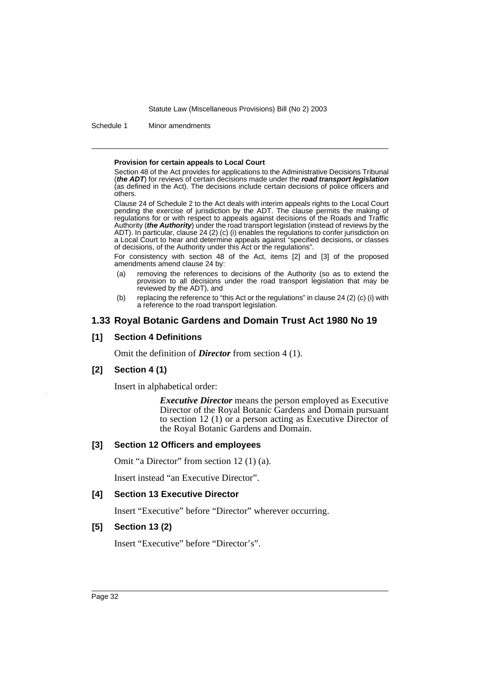Schedule 1 Minor amendments

#### **Provision for certain appeals to Local Court**

Section 48 of the Act provides for applications to the Administrative Decisions Tribunal (**the ADT**) for reviews of certain decisions made under the **road transport legislation** (as defined in the Act). The decisions include certain decisions of police officers and others.

Clause 24 of Schedule 2 to the Act deals with interim appeals rights to the Local Court pending the exercise of jurisdiction by the ADT. The clause permits the making of regulations for or with respect to appeals against decisions of the Roads and Traffic Authority (**the Authority**) under the road transport legislation (instead of reviews by the ADT). In particular, clause 24 (2) (c) (i) enables the regulations to confer jurisdiction on a Local Court to hear and determine appeals against "specified decisions, or classes of decisions, of the Authority under this Act or the regulations".

For consistency with section 48 of the Act, items [2] and [3] of the proposed amendments amend clause 24 by:

- (a) removing the references to decisions of the Authority (so as to extend the provision to all decisions under the road transport legislation that may be reviewed by the ADT), and
- (b) replacing the reference to "this Act or the regulations" in clause 24 (2) (c) (i) with a reference to the road transport legislation.

### **1.33 Royal Botanic Gardens and Domain Trust Act 1980 No 19**

### **[1] Section 4 Definitions**

Omit the definition of *Director* from section 4 (1).

### **[2] Section 4 (1)**

Insert in alphabetical order:

*Executive Director* means the person employed as Executive Director of the Royal Botanic Gardens and Domain pursuant to section 12 (1) or a person acting as Executive Director of the Royal Botanic Gardens and Domain.

### **[3] Section 12 Officers and employees**

Omit "a Director" from section 12 (1) (a).

Insert instead "an Executive Director".

### **[4] Section 13 Executive Director**

Insert "Executive" before "Director" wherever occurring.

### **[5] Section 13 (2)**

Insert "Executive" before "Director's".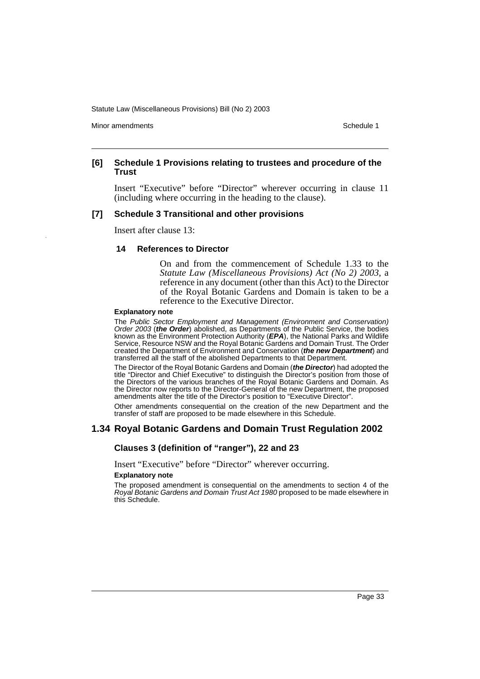Minor amendments **Schedule 1** and the state of the state of the state of the Schedule 1

### **[6] Schedule 1 Provisions relating to trustees and procedure of the Trust**

Insert "Executive" before "Director" wherever occurring in clause 11 (including where occurring in the heading to the clause).

### **[7] Schedule 3 Transitional and other provisions**

Insert after clause 13:

### **14 References to Director**

On and from the commencement of Schedule 1.33 to the *Statute Law (Miscellaneous Provisions) Act (No 2) 2003*, a reference in any document (other than this Act) to the Director of the Royal Botanic Gardens and Domain is taken to be a reference to the Executive Director.

#### **Explanatory note**

The Public Sector Employment and Management (Environment and Conservation) Order 2003 (**the Order**) abolished, as Departments of the Public Service, the bodies known as the Environment Protection Authority (**EPA**), the National Parks and Wildlife Service, Resource NSW and the Royal Botanic Gardens and Domain Trust. The Order created the Department of Environment and Conservation (**the new Department**) and transferred all the staff of the abolished Departments to that Department.

The Director of the Royal Botanic Gardens and Domain (**the Director**) had adopted the title "Director and Chief Executive" to distinguish the Director's position from those of the Directors of the various branches of the Royal Botanic Gardens and Domain. As the Director now reports to the Director-General of the new Department, the proposed amendments alter the title of the Director's position to "Executive Director".

Other amendments consequential on the creation of the new Department and the transfer of staff are proposed to be made elsewhere in this Schedule.

### **1.34 Royal Botanic Gardens and Domain Trust Regulation 2002**

### **Clauses 3 (definition of "ranger"), 22 and 23**

Insert "Executive" before "Director" wherever occurring.

#### **Explanatory note**

The proposed amendment is consequential on the amendments to section 4 of the Royal Botanic Gardens and Domain Trust Act 1980 proposed to be made elsewhere in this Schedule.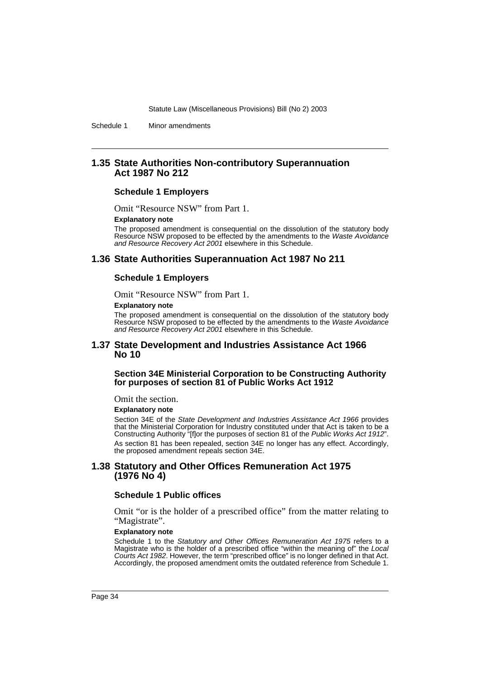Schedule 1 Minor amendments

### **1.35 State Authorities Non-contributory Superannuation Act 1987 No 212**

### **Schedule 1 Employers**

Omit "Resource NSW" from Part 1.

#### **Explanatory note**

The proposed amendment is consequential on the dissolution of the statutory body Resource NSW proposed to be effected by the amendments to the Waste Avoidance and Resource Recovery Act 2001 elsewhere in this Schedule.

### **1.36 State Authorities Superannuation Act 1987 No 211**

#### **Schedule 1 Employers**

Omit "Resource NSW" from Part 1.

#### **Explanatory note**

The proposed amendment is consequential on the dissolution of the statutory body Resource NSW proposed to be effected by the amendments to the Waste Avoidance and Resource Recovery Act 2001 elsewhere in this Schedule.

### **1.37 State Development and Industries Assistance Act 1966 No 10**

### **Section 34E Ministerial Corporation to be Constructing Authority for purposes of section 81 of Public Works Act 1912**

Omit the section.

#### **Explanatory note**

Section 34E of the State Development and Industries Assistance Act 1966 provides that the Ministerial Corporation for Industry constituted under that Act is taken to be a Constructing Authority "[f]or the purposes of section 81 of the Public Works Act 1912". As section 81 has been repealed, section 34E no longer has any effect. Accordingly, the proposed amendment repeals section 34E.

### **1.38 Statutory and Other Offices Remuneration Act 1975 (1976 No 4)**

### **Schedule 1 Public offices**

Omit "or is the holder of a prescribed office" from the matter relating to "Magistrate".

#### **Explanatory note**

Schedule 1 to the Statutory and Other Offices Remuneration Act 1975 refers to a Magistrate who is the holder of a prescribed office "within the meaning of" the Local Courts Act 1982. However, the term "prescribed office" is no longer defined in that Act. Accordingly, the proposed amendment omits the outdated reference from Schedule 1.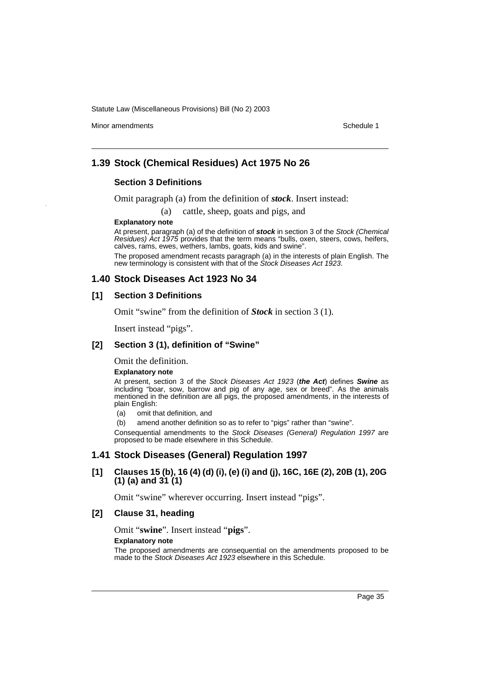Minor amendments **Schedule 1** and the state of the state of the state of the Schedule 1

### **1.39 Stock (Chemical Residues) Act 1975 No 26**

### **Section 3 Definitions**

Omit paragraph (a) from the definition of *stock*. Insert instead:

(a) cattle, sheep, goats and pigs, and

### **Explanatory note**

At present, paragraph (a) of the definition of **stock** in section 3 of the Stock (Chemical Residues) Act 1975 provides that the term means "bulls, oxen, steers, cows, heifers, calves, rams, ewes, wethers, lambs, goats, kids and swine".

The proposed amendment recasts paragraph (a) in the interests of plain English. The new terminology is consistent with that of the Stock Diseases Act 1923.

### **1.40 Stock Diseases Act 1923 No 34**

### **[1] Section 3 Definitions**

Omit "swine" from the definition of *Stock* in section 3 (1).

Insert instead "pigs".

### **[2] Section 3 (1), definition of "Swine"**

Omit the definition.

#### **Explanatory note**

At present, section 3 of the Stock Diseases Act 1923 (**the Act**) defines **Swine** as including "boar, sow, barrow and pig of any age, sex or breed". As the animals mentioned in the definition are all pigs, the proposed amendments, in the interests of plain English:

(a) omit that definition, and

(b) amend another definition so as to refer to "pigs" rather than "swine".

Consequential amendments to the Stock Diseases (General) Regulation 1997 are proposed to be made elsewhere in this Schedule.

### **1.41 Stock Diseases (General) Regulation 1997**

### **[1] Clauses 15 (b), 16 (4) (d) (i), (e) (i) and (j), 16C, 16E (2), 20B (1), 20G (1) (a) and 31 (1)**

Omit "swine" wherever occurring. Insert instead "pigs".

### **[2] Clause 31, heading**

Omit "**swine**". Insert instead "**pigs**".

#### **Explanatory note**

The proposed amendments are consequential on the amendments proposed to be made to the Stock Diseases Act 1923 elsewhere in this Schedule.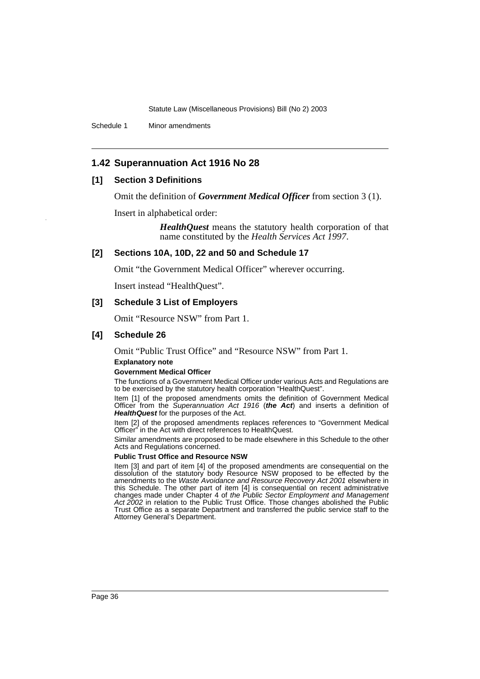Schedule 1 Minor amendments

## **1.42 Superannuation Act 1916 No 28**

### **[1] Section 3 Definitions**

Omit the definition of *Government Medical Officer* from section 3 (1).

Insert in alphabetical order:

*HealthQuest* means the statutory health corporation of that name constituted by the *Health Services Act 1997*.

### **[2] Sections 10A, 10D, 22 and 50 and Schedule 17**

Omit "the Government Medical Officer" wherever occurring.

Insert instead "HealthQuest".

### **[3] Schedule 3 List of Employers**

Omit "Resource NSW" from Part 1.

### **[4] Schedule 26**

Omit "Public Trust Office" and "Resource NSW" from Part 1.

### **Explanatory note**

#### **Government Medical Officer**

The functions of a Government Medical Officer under various Acts and Regulations are to be exercised by the statutory health corporation "HealthQuest".

Item [1] of the proposed amendments omits the definition of Government Medical Officer from the Superannuation Act 1916 (**the Act**) and inserts a definition of HealthQuest for the purposes of the Act.

Item [2] of the proposed amendments replaces references to "Government Medical Officer" in the Act with direct references to HealthQuest.

Similar amendments are proposed to be made elsewhere in this Schedule to the other Acts and Regulations concerned.

### **Public Trust Office and Resource NSW**

Item [3] and part of item [4] of the proposed amendments are consequential on the dissolution of the statutory body Resource NSW proposed to be effected by the amendments to the Waste Avoidance and Resource Recovery Act 2001 elsewhere in this Schedule. The other part of item [4] is consequential on recent administrative changes made under Chapter 4 of the Public Sector Employment and Management Act 2002 in relation to the Public Trust Office. Those changes abolished the Public Trust Office as a separate Department and transferred the public service staff to the Attorney General's Department.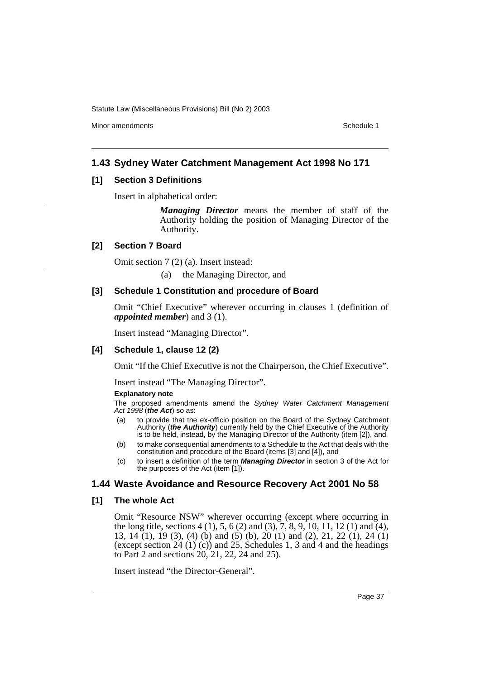Minor amendments **Schedule 1** and the state of the state of the state of the Schedule 1

## **1.43 Sydney Water Catchment Management Act 1998 No 171**

### **[1] Section 3 Definitions**

Insert in alphabetical order:

*Managing Director* means the member of staff of the Authority holding the position of Managing Director of the Authority.

### **[2] Section 7 Board**

Omit section 7 (2) (a). Insert instead:

(a) the Managing Director, and

### **[3] Schedule 1 Constitution and procedure of Board**

Omit "Chief Executive" wherever occurring in clauses 1 (definition of *appointed member*) and 3 (1).

Insert instead "Managing Director".

## **[4] Schedule 1, clause 12 (2)**

Omit "If the Chief Executive is not the Chairperson, the Chief Executive".

Insert instead "The Managing Director".

#### **Explanatory note**

The proposed amendments amend the Sydney Water Catchment Management Act 1998 (**the Act**) so as:

- (a) to provide that the ex-officio position on the Board of the Sydney Catchment Authority (**the Authority**) currently held by the Chief Executive of the Authority is to be held, instead, by the Managing Director of the Authority (item [2]), and
- (b) to make consequential amendments to a Schedule to the Act that deals with the constitution and procedure of the Board (items [3] and [4]), and
- (c) to insert a definition of the term **Managing Director** in section 3 of the Act for the purposes of the Act (item [1]).

## **1.44 Waste Avoidance and Resource Recovery Act 2001 No 58**

### **[1] The whole Act**

Omit "Resource NSW" wherever occurring (except where occurring in the long title, sections  $4(1)$ ,  $5$ ,  $6(2)$  and  $(3)$ ,  $7$ ,  $8$ ,  $9$ ,  $10$ ,  $11$ ,  $12(1)$  and  $(4)$ , 13, 14 (1), 19 (3), (4) (b) and (5) (b), 20 (1) and (2), 21, 22 (1), 24 (1) (except section  $24$  (1) (c)) and  $25$ , Schedules 1, 3 and 4 and the headings to Part 2 and sections 20, 21, 22, 24 and 25).

Insert instead "the Director-General".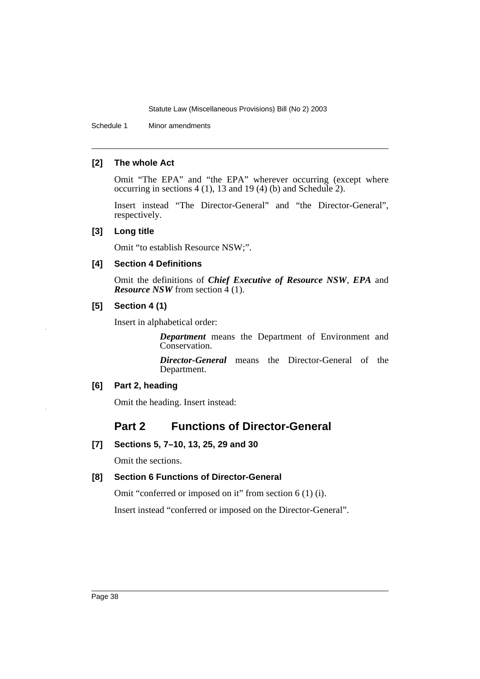Schedule 1 Minor amendments

## **[2] The whole Act**

Omit "The EPA" and "the EPA" wherever occurring (except where occurring in sections 4 (1), 13 and 19 (4) (b) and Schedule 2).

Insert instead "The Director-General" and "the Director-General", respectively.

## **[3] Long title**

Omit "to establish Resource NSW;".

## **[4] Section 4 Definitions**

Omit the definitions of *Chief Executive of Resource NSW*, *EPA* and *Resource NSW* from section 4 (1).

## **[5] Section 4 (1)**

Insert in alphabetical order:

*Department* means the Department of Environment and Conservation.

*Director-General* means the Director-General of the Department.

## **[6] Part 2, heading**

Omit the heading. Insert instead:

# **Part 2 Functions of Director-General**

## **[7] Sections 5, 7–10, 13, 25, 29 and 30**

Omit the sections.

## **[8] Section 6 Functions of Director-General**

Omit "conferred or imposed on it" from section 6 (1) (i).

Insert instead "conferred or imposed on the Director-General".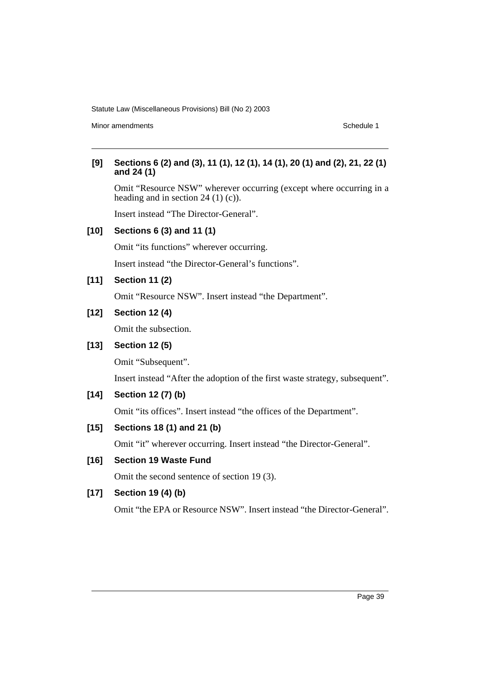Minor amendments **Schedule 1** and the state of the state of the state of the Schedule 1

## **[9] Sections 6 (2) and (3), 11 (1), 12 (1), 14 (1), 20 (1) and (2), 21, 22 (1) and 24 (1)**

Omit "Resource NSW" wherever occurring (except where occurring in a heading and in section 24 (1) (c)).

Insert instead "The Director-General".

## **[10] Sections 6 (3) and 11 (1)**

Omit "its functions" wherever occurring.

Insert instead "the Director-General's functions".

## **[11] Section 11 (2)**

Omit "Resource NSW". Insert instead "the Department".

## **[12] Section 12 (4)**

Omit the subsection.

## **[13] Section 12 (5)**

Omit "Subsequent".

Insert instead "After the adoption of the first waste strategy, subsequent".

## **[14] Section 12 (7) (b)**

Omit "its offices". Insert instead "the offices of the Department".

## **[15] Sections 18 (1) and 21 (b)**

Omit "it" wherever occurring. Insert instead "the Director-General".

## **[16] Section 19 Waste Fund**

Omit the second sentence of section 19 (3).

## **[17] Section 19 (4) (b)**

Omit "the EPA or Resource NSW". Insert instead "the Director-General".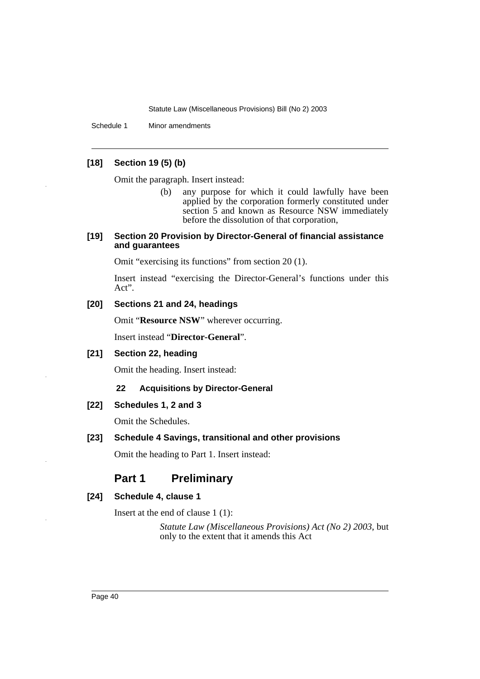Schedule 1 Minor amendments

## **[18] Section 19 (5) (b)**

Omit the paragraph. Insert instead:

(b) any purpose for which it could lawfully have been applied by the corporation formerly constituted under section 5 and known as Resource NSW immediately before the dissolution of that corporation,

### **[19] Section 20 Provision by Director-General of financial assistance and guarantees**

Omit "exercising its functions" from section 20 (1).

Insert instead "exercising the Director-General's functions under this Act".

## **[20] Sections 21 and 24, headings**

Omit "**Resource NSW**" wherever occurring.

Insert instead "**Director-General**".

## **[21] Section 22, heading**

Omit the heading. Insert instead:

## **22 Acquisitions by Director-General**

## **[22] Schedules 1, 2 and 3**

Omit the Schedules.

### **[23] Schedule 4 Savings, transitional and other provisions**

Omit the heading to Part 1. Insert instead:

# **Part 1 Preliminary**

### **[24] Schedule 4, clause 1**

Insert at the end of clause 1 (1):

*Statute Law (Miscellaneous Provisions) Act (No 2) 2003*, but only to the extent that it amends this Act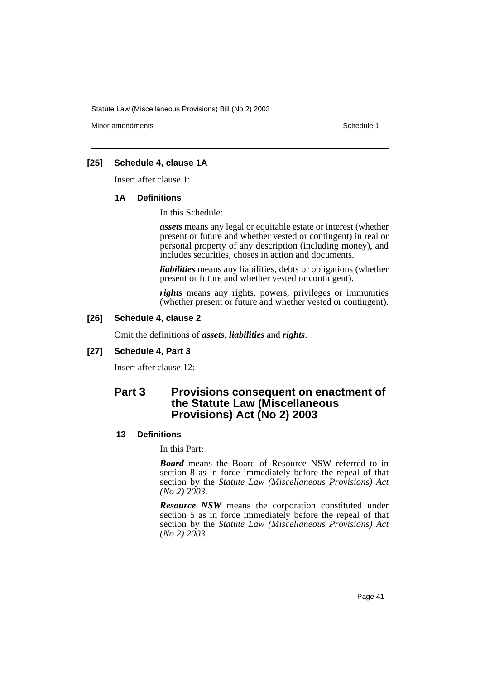Minor amendments **Schedule 1** and the state of the state of the state of the Schedule 1

## **[25] Schedule 4, clause 1A**

Insert after clause 1:

### **1A Definitions**

In this Schedule:

*assets* means any legal or equitable estate or interest (whether present or future and whether vested or contingent) in real or personal property of any description (including money), and includes securities, choses in action and documents.

*liabilities* means any liabilities, debts or obligations (whether present or future and whether vested or contingent).

*rights* means any rights, powers, privileges or immunities (whether present or future and whether vested or contingent).

## **[26] Schedule 4, clause 2**

Omit the definitions of *assets*, *liabilities* and *rights*.

### **[27] Schedule 4, Part 3**

Insert after clause 12:

# **Part 3 Provisions consequent on enactment of the Statute Law (Miscellaneous Provisions) Act (No 2) 2003**

### **13 Definitions**

In this Part:

*Board* means the Board of Resource NSW referred to in section 8 as in force immediately before the repeal of that section by the *Statute Law (Miscellaneous Provisions) Act (No 2) 2003*.

*Resource NSW* means the corporation constituted under section 5 as in force immediately before the repeal of that section by the *Statute Law (Miscellaneous Provisions) Act (No 2) 2003*.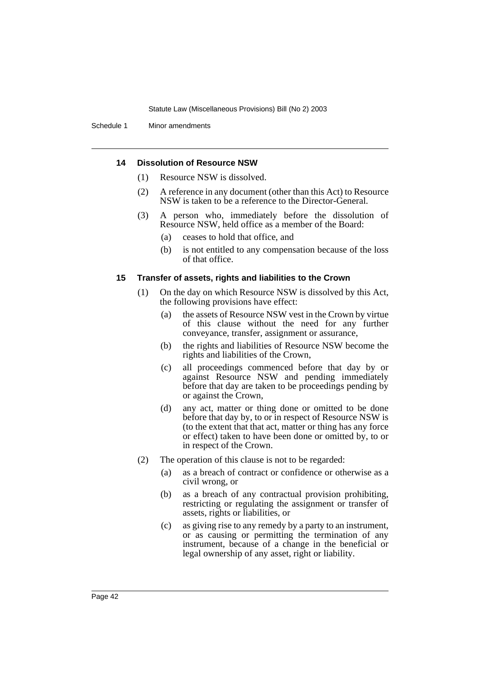Schedule 1 Minor amendments

### **14 Dissolution of Resource NSW**

- (1) Resource NSW is dissolved.
- (2) A reference in any document (other than this Act) to Resource NSW is taken to be a reference to the Director-General.
- (3) A person who, immediately before the dissolution of Resource NSW, held office as a member of the Board:
	- (a) ceases to hold that office, and
	- (b) is not entitled to any compensation because of the loss of that office.

### **15 Transfer of assets, rights and liabilities to the Crown**

- (1) On the day on which Resource NSW is dissolved by this Act, the following provisions have effect:
	- (a) the assets of Resource NSW vest in the Crown by virtue of this clause without the need for any further conveyance, transfer, assignment or assurance,
	- (b) the rights and liabilities of Resource NSW become the rights and liabilities of the Crown,
	- (c) all proceedings commenced before that day by or against Resource NSW and pending immediately before that day are taken to be proceedings pending by or against the Crown,
	- (d) any act, matter or thing done or omitted to be done before that day by, to or in respect of Resource NSW is (to the extent that that act, matter or thing has any force or effect) taken to have been done or omitted by, to or in respect of the Crown.
- (2) The operation of this clause is not to be regarded:
	- (a) as a breach of contract or confidence or otherwise as a civil wrong, or
	- (b) as a breach of any contractual provision prohibiting, restricting or regulating the assignment or transfer of assets, rights or liabilities, or
	- (c) as giving rise to any remedy by a party to an instrument, or as causing or permitting the termination of any instrument, because of a change in the beneficial or legal ownership of any asset, right or liability.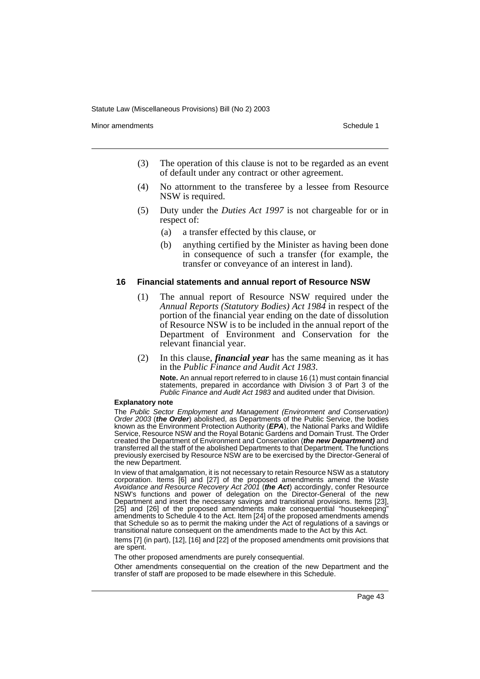Minor amendments **Schedule 1** and the state of the state of the state of the Schedule 1

- (3) The operation of this clause is not to be regarded as an event of default under any contract or other agreement.
- (4) No attornment to the transferee by a lessee from Resource NSW is required.
- (5) Duty under the *Duties Act 1997* is not chargeable for or in respect of:
	- (a) a transfer effected by this clause, or
	- (b) anything certified by the Minister as having been done in consequence of such a transfer (for example, the transfer or conveyance of an interest in land).

#### **16 Financial statements and annual report of Resource NSW**

- (1) The annual report of Resource NSW required under the *Annual Reports (Statutory Bodies) Act 1984* in respect of the portion of the financial year ending on the date of dissolution of Resource NSW is to be included in the annual report of the Department of Environment and Conservation for the relevant financial year.
- (2) In this clause, *financial year* has the same meaning as it has in the *Public Finance and Audit Act 1983*.

**Note.** An annual report referred to in clause 16 (1) must contain financial statements, prepared in accordance with Division 3 of Part 3 of the Public Finance and Audit Act 1983 and audited under that Division.

#### **Explanatory note**

The Public Sector Employment and Management (Environment and Conservation) Order 2003 (**the Order**) abolished, as Departments of the Public Service, the bodies known as the Environment Protection Authority (**EPA**), the National Parks and Wildlife Service, Resource NSW and the Royal Botanic Gardens and Domain Trust. The Order created the Department of Environment and Conservation (**the new Department)** and transferred all the staff of the abolished Departments to that Department. The functions previously exercised by Resource NSW are to be exercised by the Director-General of the new Department.

In view of that amalgamation, it is not necessary to retain Resource NSW as a statutory corporation. Items [6] and [27] of the proposed amendments amend the Waste Avoidance and Resource Recovery Act 2001 (**the Act**) accordingly, confer Resource NSW's functions and power of delegation on the Director-General of the new Department and insert the necessary savings and transitional provisions. Items [23], [25] and [26] of the proposed amendments make consequential "housekeeping" amendments to Schedule 4 to the Act. Item [24] of the proposed amendments amends that Schedule so as to permit the making under the Act of regulations of a savings or transitional nature consequent on the amendments made to the Act by this Act.

Items [7] (in part), [12], [16] and [22] of the proposed amendments omit provisions that are spent.

The other proposed amendments are purely consequential.

Other amendments consequential on the creation of the new Department and the transfer of staff are proposed to be made elsewhere in this Schedule.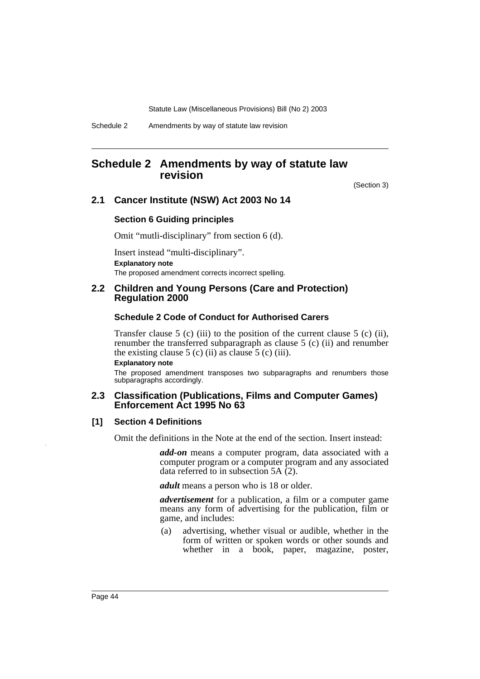Schedule 2 Amendments by way of statute law revision

# **Schedule 2 Amendments by way of statute law revision**

(Section 3)

## **2.1 Cancer Institute (NSW) Act 2003 No 14**

### **Section 6 Guiding principles**

Omit "mutli-disciplinary" from section 6 (d).

Insert instead "multi-disciplinary". **Explanatory note** The proposed amendment corrects incorrect spelling.

## **2.2 Children and Young Persons (Care and Protection) Regulation 2000**

### **Schedule 2 Code of Conduct for Authorised Carers**

Transfer clause 5 (c) (iii) to the position of the current clause 5 (c) (ii), renumber the transferred subparagraph as clause 5 (c) (ii) and renumber the existing clause 5 (c) (ii) as clause 5 (c) (iii).

**Explanatory note**

The proposed amendment transposes two subparagraphs and renumbers those subparagraphs accordingly.

### **2.3 Classification (Publications, Films and Computer Games) Enforcement Act 1995 No 63**

### **[1] Section 4 Definitions**

Omit the definitions in the Note at the end of the section. Insert instead:

*add-on* means a computer program, data associated with a computer program or a computer program and any associated data referred to in subsection  $5A(2)$ .

*adult* means a person who is 18 or older.

*advertisement* for a publication, a film or a computer game means any form of advertising for the publication, film or game, and includes:

(a) advertising, whether visual or audible, whether in the form of written or spoken words or other sounds and whether in a book, paper, magazine, poster,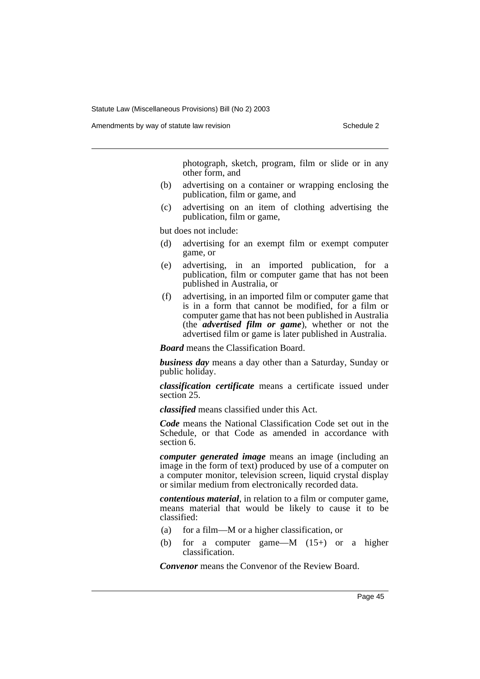Amendments by way of statute law revision Schedule 2 and Schedule 2

photograph, sketch, program, film or slide or in any other form, and

- (b) advertising on a container or wrapping enclosing the publication, film or game, and
- (c) advertising on an item of clothing advertising the publication, film or game,

but does not include:

- (d) advertising for an exempt film or exempt computer game, or
- (e) advertising, in an imported publication, for a publication, film or computer game that has not been published in Australia, or
- (f) advertising, in an imported film or computer game that is in a form that cannot be modified, for a film or computer game that has not been published in Australia (the *advertised film or game*), whether or not the advertised film or game is later published in Australia.

*Board* means the Classification Board.

*business day* means a day other than a Saturday, Sunday or public holiday.

*classification certificate* means a certificate issued under section 25.

*classified* means classified under this Act.

*Code* means the National Classification Code set out in the Schedule, or that Code as amended in accordance with section 6.

*computer generated image* means an image (including an image in the form of text) produced by use of a computer on a computer monitor, television screen, liquid crystal display or similar medium from electronically recorded data.

*contentious material*, in relation to a film or computer game, means material that would be likely to cause it to be classified:

- (a) for a film—M or a higher classification, or
- (b) for a computer game—M (15+) or a higher classification.

*Convenor* means the Convenor of the Review Board.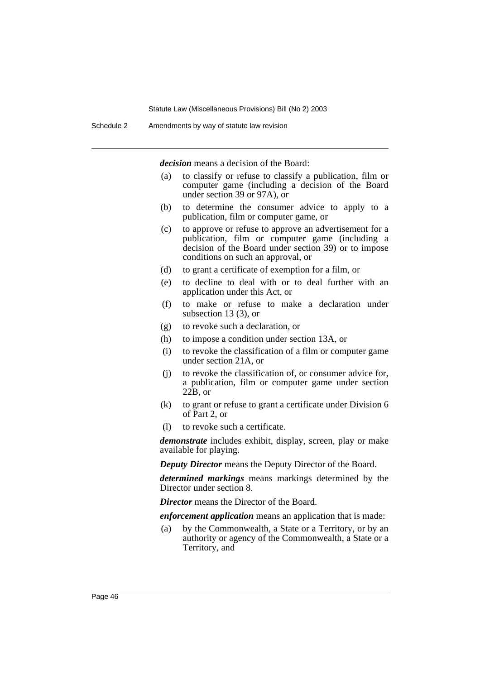*decision* means a decision of the Board:

- (a) to classify or refuse to classify a publication, film or computer game (including a decision of the Board under section 39 or 97A), or
- (b) to determine the consumer advice to apply to a publication, film or computer game, or
- (c) to approve or refuse to approve an advertisement for a publication, film or computer game (including a decision of the Board under section 39) or to impose conditions on such an approval, or
- (d) to grant a certificate of exemption for a film, or
- (e) to decline to deal with or to deal further with an application under this Act, or
- (f) to make or refuse to make a declaration under subsection 13 (3), or
- (g) to revoke such a declaration, or
- (h) to impose a condition under section 13A, or
- (i) to revoke the classification of a film or computer game under section 21A, or
- (j) to revoke the classification of, or consumer advice for, a publication, film or computer game under section  $22\overline{B}$ , or
- (k) to grant or refuse to grant a certificate under Division 6 of Part 2, or
- (l) to revoke such a certificate.

*demonstrate* includes exhibit, display, screen, play or make available for playing.

*Deputy Director* means the Deputy Director of the Board.

*determined markings* means markings determined by the Director under section 8.

*Director* means the Director of the Board.

*enforcement application* means an application that is made:

(a) by the Commonwealth, a State or a Territory, or by an authority or agency of the Commonwealth, a State or a Territory, and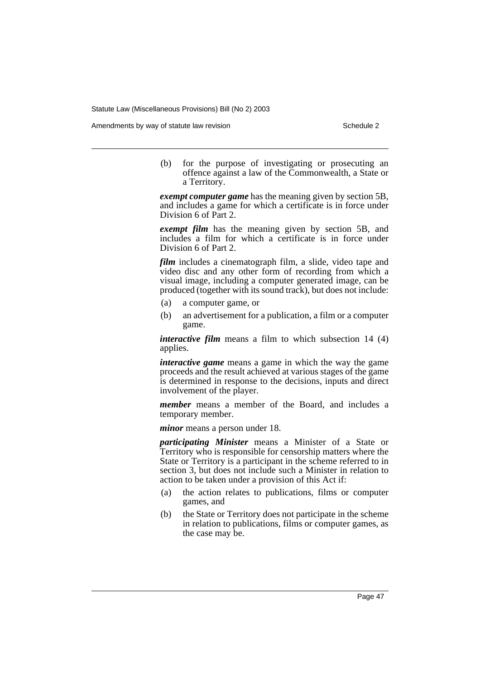Amendments by way of statute law revision Schedule 2 and Schedule 2

(b) for the purpose of investigating or prosecuting an offence against a law of the Commonwealth, a State or a Territory.

*exempt computer game* has the meaning given by section 5B, and includes a game for which a certificate is in force under Division 6 of Part 2.

*exempt film* has the meaning given by section 5B, and includes a film for which a certificate is in force under Division 6 of Part 2.

*film* includes a cinematograph film, a slide, video tape and video disc and any other form of recording from which a visual image, including a computer generated image, can be produced (together with its sound track), but does not include:

- (a) a computer game, or
- (b) an advertisement for a publication, a film or a computer game.

*interactive film* means a film to which subsection 14 (4) applies.

*interactive game* means a game in which the way the game proceeds and the result achieved at various stages of the game is determined in response to the decisions, inputs and direct involvement of the player.

*member* means a member of the Board, and includes a temporary member.

*minor* means a person under 18.

*participating Minister* means a Minister of a State or Territory who is responsible for censorship matters where the State or Territory is a participant in the scheme referred to in section 3, but does not include such a Minister in relation to action to be taken under a provision of this Act if:

- (a) the action relates to publications, films or computer games, and
- (b) the State or Territory does not participate in the scheme in relation to publications, films or computer games, as the case may be.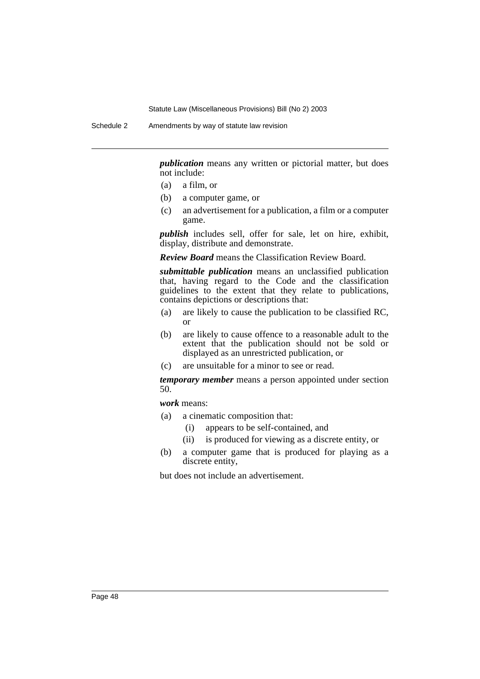Schedule 2 Amendments by way of statute law revision

*publication* means any written or pictorial matter, but does not include:

- (a) a film, or
- (b) a computer game, or
- (c) an advertisement for a publication, a film or a computer game.

*publish* includes sell, offer for sale, let on hire, exhibit, display, distribute and demonstrate.

*Review Board* means the Classification Review Board.

*submittable publication* means an unclassified publication that, having regard to the Code and the classification guidelines to the extent that they relate to publications, contains depictions or descriptions that:

- (a) are likely to cause the publication to be classified RC, or
- (b) are likely to cause offence to a reasonable adult to the extent that the publication should not be sold or displayed as an unrestricted publication, or
- (c) are unsuitable for a minor to see or read.

*temporary member* means a person appointed under section 50.

*work* means:

- (a) a cinematic composition that:
	- (i) appears to be self-contained, and
	- (ii) is produced for viewing as a discrete entity, or
- (b) a computer game that is produced for playing as a discrete entity,

but does not include an advertisement.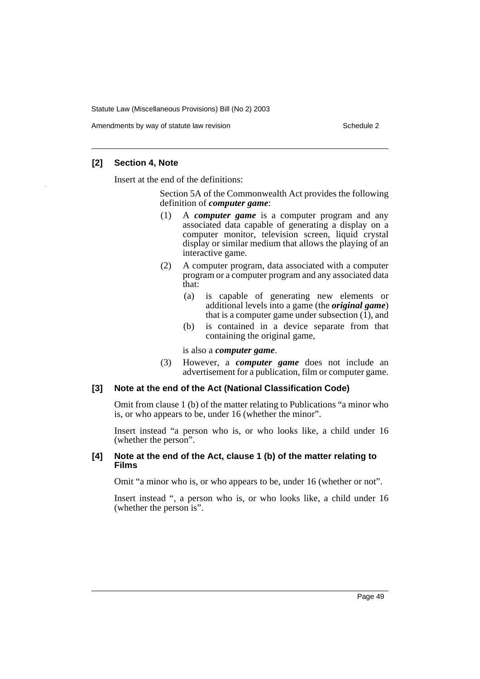Amendments by way of statute law revision example 2

## **[2] Section 4, Note**

Insert at the end of the definitions:

Section 5A of the Commonwealth Act provides the following definition of *computer game*:

- (1) A *computer game* is a computer program and any associated data capable of generating a display on a computer monitor, television screen, liquid crystal display or similar medium that allows the playing of an interactive game.
- (2) A computer program, data associated with a computer program or a computer program and any associated data that:
	- (a) is capable of generating new elements or additional levels into a game (the *original game*) that is a computer game under subsection  $(1)$ , and
	- (b) is contained in a device separate from that containing the original game,

is also a *computer game*.

(3) However, a *computer game* does not include an advertisement for a publication, film or computer game.

## **[3] Note at the end of the Act (National Classification Code)**

Omit from clause 1 (b) of the matter relating to Publications "a minor who is, or who appears to be, under 16 (whether the minor".

Insert instead "a person who is, or who looks like, a child under 16 (whether the person".

### **[4] Note at the end of the Act, clause 1 (b) of the matter relating to Films**

Omit "a minor who is, or who appears to be, under 16 (whether or not".

Insert instead ", a person who is, or who looks like, a child under 16 (whether the person is".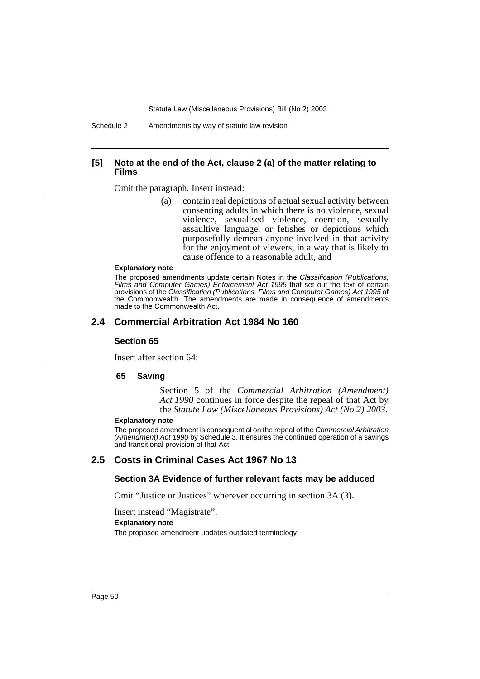Schedule 2 Amendments by way of statute law revision

### **[5] Note at the end of the Act, clause 2 (a) of the matter relating to Films**

Omit the paragraph. Insert instead:

(a) contain real depictions of actual sexual activity between consenting adults in which there is no violence, sexual violence, sexualised violence, coercion, sexually assaultive language, or fetishes or depictions which purposefully demean anyone involved in that activity for the enjoyment of viewers, in a way that is likely to cause offence to a reasonable adult, and

#### **Explanatory note**

The proposed amendments update certain Notes in the Classification (Publications, Films and Computer Games) Enforcement Act 1995 that set out the text of certain provisions of the Classification (Publications, Films and Computer Games) Act 1995 of the Commonwealth. The amendments are made in consequence of amendments made to the Commonwealth Act.

### **2.4 Commercial Arbitration Act 1984 No 160**

### **Section 65**

Insert after section 64:

#### **65 Saving**

Section 5 of the *Commercial Arbitration (Amendment) Act 1990* continues in force despite the repeal of that Act by the *Statute Law (Miscellaneous Provisions) Act (No 2) 2003*.

### **Explanatory note**

The proposed amendment is consequential on the repeal of the Commercial Arbitration (Amendment) Act 1990 by Schedule 3. It ensures the continued operation of a savings and transitional provision of that Act.

### **2.5 Costs in Criminal Cases Act 1967 No 13**

### **Section 3A Evidence of further relevant facts may be adduced**

Omit "Justice or Justices" wherever occurring in section 3A (3).

Insert instead "Magistrate".

**Explanatory note**

The proposed amendment updates outdated terminology.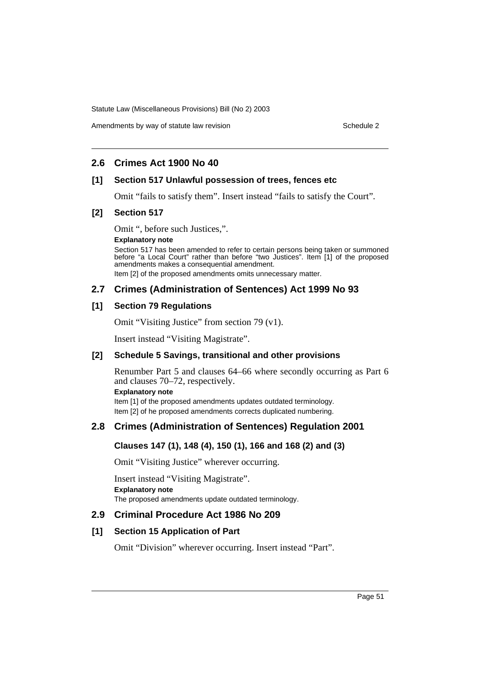## Amendments by way of statute law revision Schedule 2 and Schedule 2

## **2.6 Crimes Act 1900 No 40**

## **[1] Section 517 Unlawful possession of trees, fences etc**

Omit "fails to satisfy them". Insert instead "fails to satisfy the Court".

## **[2] Section 517**

Omit ", before such Justices,".

### **Explanatory note**

Section 517 has been amended to refer to certain persons being taken or summoned before "a Local Court" rather than before "two Justices". Item [1] of the proposed amendments makes a consequential amendment.

Item [2] of the proposed amendments omits unnecessary matter.

## **2.7 Crimes (Administration of Sentences) Act 1999 No 93**

## **[1] Section 79 Regulations**

Omit "Visiting Justice" from section 79 (v1).

Insert instead "Visiting Magistrate".

### **[2] Schedule 5 Savings, transitional and other provisions**

Renumber Part 5 and clauses 64–66 where secondly occurring as Part 6 and clauses 70–72, respectively.

**Explanatory note**

Item [1] of the proposed amendments updates outdated terminology. Item [2] of he proposed amendments corrects duplicated numbering.

# **2.8 Crimes (Administration of Sentences) Regulation 2001**

## **Clauses 147 (1), 148 (4), 150 (1), 166 and 168 (2) and (3)**

Omit "Visiting Justice" wherever occurring.

Insert instead "Visiting Magistrate". **Explanatory note** The proposed amendments update outdated terminology.

## **2.9 Criminal Procedure Act 1986 No 209**

### **[1] Section 15 Application of Part**

Omit "Division" wherever occurring. Insert instead "Part".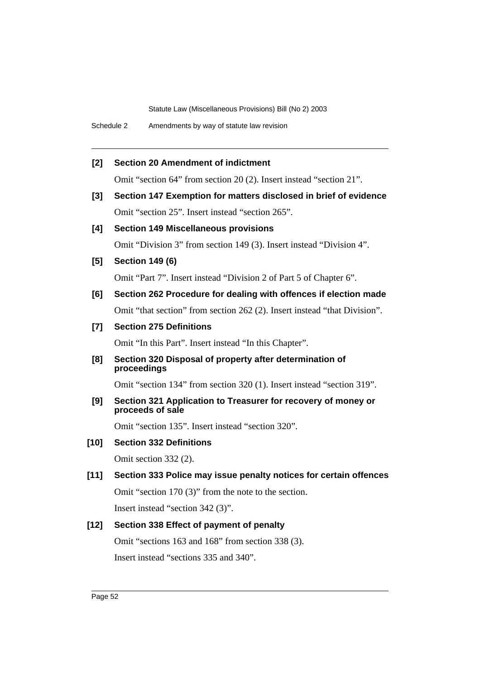## **[2] Section 20 Amendment of indictment**

Omit "section 64" from section 20 (2). Insert instead "section 21".

**[3] Section 147 Exemption for matters disclosed in brief of evidence** Omit "section 25". Insert instead "section 265".

### **[4] Section 149 Miscellaneous provisions**

Omit "Division 3" from section 149 (3). Insert instead "Division 4".

**[5] Section 149 (6)**

Omit "Part 7". Insert instead "Division 2 of Part 5 of Chapter 6".

# **[6] Section 262 Procedure for dealing with offences if election made** Omit "that section" from section 262 (2). Insert instead "that Division".

## **[7] Section 275 Definitions**

Omit "In this Part". Insert instead "In this Chapter".

**[8] Section 320 Disposal of property after determination of proceedings**

Omit "section 134" from section 320 (1). Insert instead "section 319".

**[9] Section 321 Application to Treasurer for recovery of money or proceeds of sale**

Omit "section 135". Insert instead "section 320".

## **[10] Section 332 Definitions**

Omit section 332 (2).

# **[11] Section 333 Police may issue penalty notices for certain offences**

Omit "section 170 (3)" from the note to the section.

Insert instead "section 342 (3)".

### **[12] Section 338 Effect of payment of penalty**

Omit "sections 163 and 168" from section 338 (3). Insert instead "sections 335 and 340".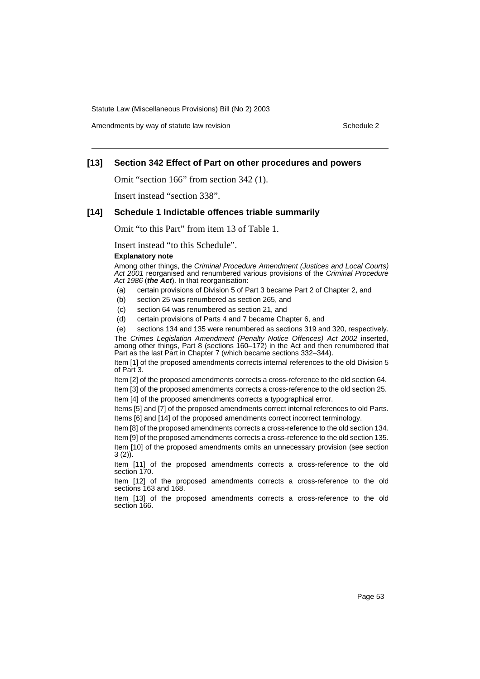Amendments by way of statute law revision Schedule 2 and Schedule 2

## **[13] Section 342 Effect of Part on other procedures and powers**

Omit "section 166" from section 342 (1).

Insert instead "section 338".

#### **[14] Schedule 1 Indictable offences triable summarily**

Omit "to this Part" from item 13 of Table 1.

Insert instead "to this Schedule".

#### **Explanatory note**

Among other things, the Criminal Procedure Amendment (Justices and Local Courts) Act 2001 reorganised and renumbered various provisions of the Criminal Procedure Act 1986 (**the Act**). In that reorganisation:

- (a) certain provisions of Division 5 of Part 3 became Part 2 of Chapter 2, and
- (b) section 25 was renumbered as section 265, and
- (c) section 64 was renumbered as section 21, and
- (d) certain provisions of Parts 4 and 7 became Chapter 6, and

(e) sections 134 and 135 were renumbered as sections 319 and 320, respectively.

The Crimes Legislation Amendment (Penalty Notice Offences) Act 2002 inserted, among other things, Part 8 (sections 160–172) in the Act and then renumbered that Part as the last Part in Chapter 7 (which became sections 332–344).

Item [1] of the proposed amendments corrects internal references to the old Division 5 of Part 3.

Item [2] of the proposed amendments corrects a cross-reference to the old section 64. Item [3] of the proposed amendments corrects a cross-reference to the old section 25.

Item [4] of the proposed amendments corrects a typographical error.

Items [5] and [7] of the proposed amendments correct internal references to old Parts. Items [6] and [14] of the proposed amendments correct incorrect terminology.

Item [8] of the proposed amendments corrects a cross-reference to the old section 134.

Item [9] of the proposed amendments corrects a cross-reference to the old section 135. Item [10] of the proposed amendments omits an unnecessary provision (see section 3 (2)).

Item [11] of the proposed amendments corrects a cross-reference to the old section 170.

Item [12] of the proposed amendments corrects a cross-reference to the old sections 163 and 168.

Item [13] of the proposed amendments corrects a cross-reference to the old section 166.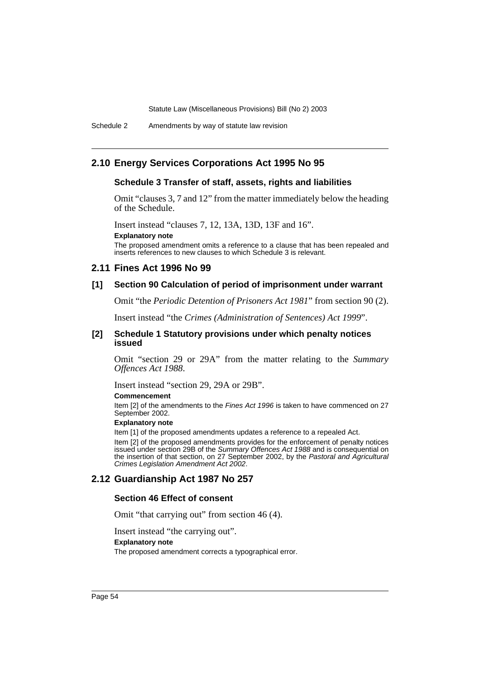Schedule 2 Amendments by way of statute law revision

### **2.10 Energy Services Corporations Act 1995 No 95**

### **Schedule 3 Transfer of staff, assets, rights and liabilities**

Omit "clauses 3, 7 and 12" from the matter immediately below the heading of the Schedule.

Insert instead "clauses 7, 12, 13A, 13D, 13F and 16".

**Explanatory note**

The proposed amendment omits a reference to a clause that has been repealed and inserts references to new clauses to which Schedule 3 is relevant.

### **2.11 Fines Act 1996 No 99**

### **[1] Section 90 Calculation of period of imprisonment under warrant**

Omit "the *Periodic Detention of Prisoners Act 1981*" from section 90 (2).

Insert instead "the *Crimes (Administration of Sentences) Act 1999*".

#### **[2] Schedule 1 Statutory provisions under which penalty notices issued**

Omit "section 29 or 29A" from the matter relating to the *Summary Offences Act 1988*.

Insert instead "section 29, 29A or 29B".

#### **Commencement**

Item [2] of the amendments to the Fines Act 1996 is taken to have commenced on 27 September 2002.

### **Explanatory note**

Item [1] of the proposed amendments updates a reference to a repealed Act.

Item [2] of the proposed amendments provides for the enforcement of penalty notices issued under section 29B of the Summary Offences Act 1988 and is consequential on the insertion of that section, on 27 September 2002, by the Pastoral and Agricultural Crimes Legislation Amendment Act 2002.

### **2.12 Guardianship Act 1987 No 257**

### **Section 46 Effect of consent**

Omit "that carrying out" from section 46 (4).

Insert instead "the carrying out".

### **Explanatory note**

The proposed amendment corrects a typographical error.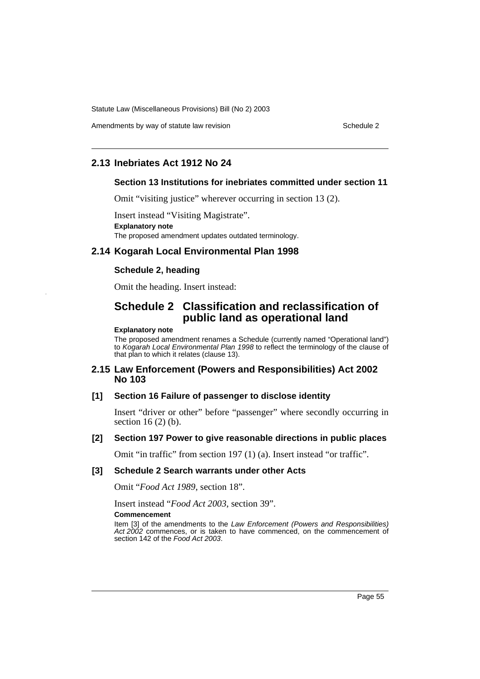Amendments by way of statute law revision Schedule 2 and Schedule 2

## **2.13 Inebriates Act 1912 No 24**

### **Section 13 Institutions for inebriates committed under section 11**

Omit "visiting justice" wherever occurring in section 13 (2).

Insert instead "Visiting Magistrate". **Explanatory note** The proposed amendment updates outdated terminology.

### **2.14 Kogarah Local Environmental Plan 1998**

### **Schedule 2, heading**

Omit the heading. Insert instead:

# **Schedule 2 Classification and reclassification of public land as operational land**

#### **Explanatory note**

The proposed amendment renames a Schedule (currently named "Operational land") to Kogarah Local Environmental Plan 1998 to reflect the terminology of the clause of that plan to which it relates (clause 13).

### **2.15 Law Enforcement (Powers and Responsibilities) Act 2002 No 103**

### **[1] Section 16 Failure of passenger to disclose identity**

Insert "driver or other" before "passenger" where secondly occurring in section 16 (2) (b).

### **[2] Section 197 Power to give reasonable directions in public places**

Omit "in traffic" from section 197 (1) (a). Insert instead "or traffic".

### **[3] Schedule 2 Search warrants under other Acts**

Omit "*Food Act 1989*, section 18".

Insert instead "*Food Act 2003*, section 39".

#### **Commencement**

Item [3] of the amendments to the Law Enforcement (Powers and Responsibilities) Act 2002 commences, or is taken to have commenced, on the commencement of section 142 of the Food Act 2003.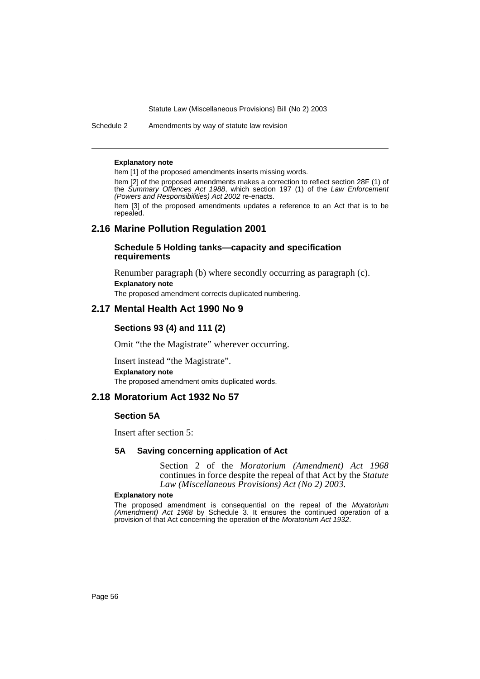Schedule 2 Amendments by way of statute law revision

#### **Explanatory note**

Item [1] of the proposed amendments inserts missing words.

Item [2] of the proposed amendments makes a correction to reflect section 28F (1) of the Summary Offences Act 1988, which section 197 (1) of the Law Enforcement (Powers and Responsibilities) Act 2002 re-enacts. Item [3] of the proposed amendments updates a reference to an Act that is to be repealed.

## **2.16 Marine Pollution Regulation 2001**

### **Schedule 5 Holding tanks—capacity and specification requirements**

Renumber paragraph (b) where secondly occurring as paragraph (c). **Explanatory note** The proposed amendment corrects duplicated numbering.

### **2.17 Mental Health Act 1990 No 9**

### **Sections 93 (4) and 111 (2)**

Omit "the the Magistrate" wherever occurring.

Insert instead "the Magistrate". **Explanatory note** The proposed amendment omits duplicated words.

## **2.18 Moratorium Act 1932 No 57**

## **Section 5A**

Insert after section 5:

### **5A Saving concerning application of Act**

Section 2 of the *Moratorium (Amendment) Act 1968* continues in force despite the repeal of that Act by the *Statute Law (Miscellaneous Provisions) Act (No 2) 2003*.

#### **Explanatory note**

The proposed amendment is consequential on the repeal of the Moratorium (Amendment) Act 1968 by Schedule 3. It ensures the continued operation of a provision of that Act concerning the operation of the Moratorium Act 1932.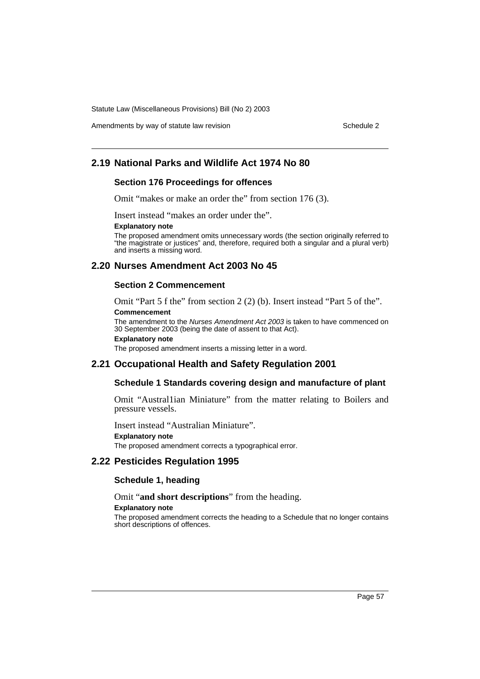Amendments by way of statute law revision Schedule 2 and Schedule 2

# **2.19 National Parks and Wildlife Act 1974 No 80**

### **Section 176 Proceedings for offences**

Omit "makes or make an order the" from section 176 (3).

Insert instead "makes an order under the".

#### **Explanatory note**

The proposed amendment omits unnecessary words (the section originally referred to "the magistrate or justices" and, therefore, required both a singular and a plural verb) and inserts a missing word.

## **2.20 Nurses Amendment Act 2003 No 45**

### **Section 2 Commencement**

Omit "Part 5 f the" from section 2 (2) (b). Insert instead "Part 5 of the". **Commencement**

The amendment to the Nurses Amendment Act 2003 is taken to have commenced on 30 September 2003 (being the date of assent to that Act).

#### **Explanatory note**

The proposed amendment inserts a missing letter in a word.

### **2.21 Occupational Health and Safety Regulation 2001**

### **Schedule 1 Standards covering design and manufacture of plant**

Omit "Austral1ian Miniature" from the matter relating to Boilers and pressure vessels.

Insert instead "Australian Miniature".

**Explanatory note**

The proposed amendment corrects a typographical error.

### **2.22 Pesticides Regulation 1995**

#### **Schedule 1, heading**

Omit "**and short descriptions**" from the heading.

#### **Explanatory note**

The proposed amendment corrects the heading to a Schedule that no longer contains short descriptions of offences.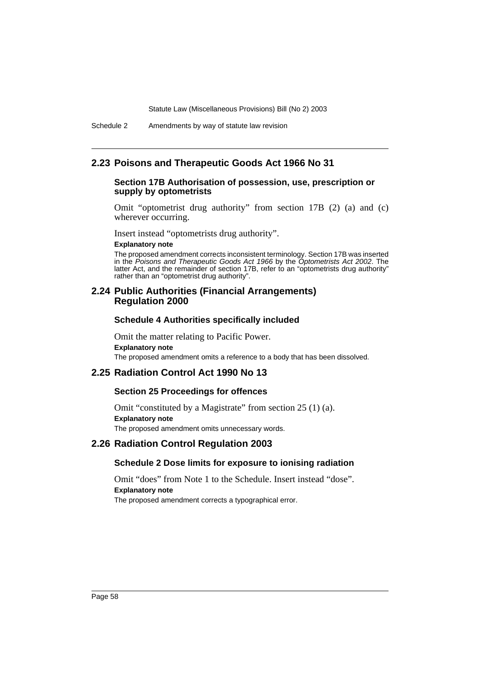### **2.23 Poisons and Therapeutic Goods Act 1966 No 31**

### **Section 17B Authorisation of possession, use, prescription or supply by optometrists**

Omit "optometrist drug authority" from section 17B (2) (a) and (c) wherever occurring.

Insert instead "optometrists drug authority".

### **Explanatory note**

The proposed amendment corrects inconsistent terminology. Section 17B was inserted in the Poisons and Therapeutic Goods Act 1966 by the Optometrists Act 2002. The latter Act, and the remainder of section 17B, refer to an "optometrists drug authority" rather than an "optometrist drug authority".

### **2.24 Public Authorities (Financial Arrangements) Regulation 2000**

### **Schedule 4 Authorities specifically included**

Omit the matter relating to Pacific Power. **Explanatory note** The proposed amendment omits a reference to a body that has been dissolved.

### **2.25 Radiation Control Act 1990 No 13**

### **Section 25 Proceedings for offences**

Omit "constituted by a Magistrate" from section 25 (1) (a). **Explanatory note** The proposed amendment omits unnecessary words.

### **2.26 Radiation Control Regulation 2003**

## **Schedule 2 Dose limits for exposure to ionising radiation**

Omit "does" from Note 1 to the Schedule. Insert instead "dose". **Explanatory note** The proposed amendment corrects a typographical error.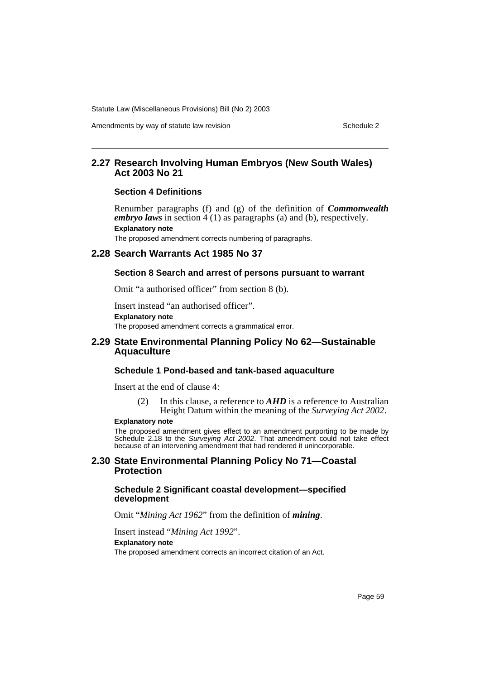Amendments by way of statute law revision Schedule 2 and Schedule 2

## **2.27 Research Involving Human Embryos (New South Wales) Act 2003 No 21**

### **Section 4 Definitions**

Renumber paragraphs (f) and (g) of the definition of *Commonwealth embryo laws* in section 4 (1) as paragraphs (a) and (b), respectively. **Explanatory note** The proposed amendment corrects numbering of paragraphs.

### **2.28 Search Warrants Act 1985 No 37**

### **Section 8 Search and arrest of persons pursuant to warrant**

Omit "a authorised officer" from section 8 (b).

Insert instead "an authorised officer". **Explanatory note** The proposed amendment corrects a grammatical error.

### **2.29 State Environmental Planning Policy No 62—Sustainable Aquaculture**

### **Schedule 1 Pond-based and tank-based aquaculture**

Insert at the end of clause 4:

(2) In this clause, a reference to *AHD* is a reference to Australian Height Datum within the meaning of the *Surveying Act 2002*.

#### **Explanatory note**

The proposed amendment gives effect to an amendment purporting to be made by Schedule 2.18 to the Surveying Act 2002. That amendment could not take effect because of an intervening amendment that had rendered it unincorporable.

### **2.30 State Environmental Planning Policy No 71—Coastal Protection**

### **Schedule 2 Significant coastal development—specified development**

Omit "*Mining Act 1962*" from the definition of *mining*.

Insert instead "*Mining Act 1992*".

#### **Explanatory note**

The proposed amendment corrects an incorrect citation of an Act.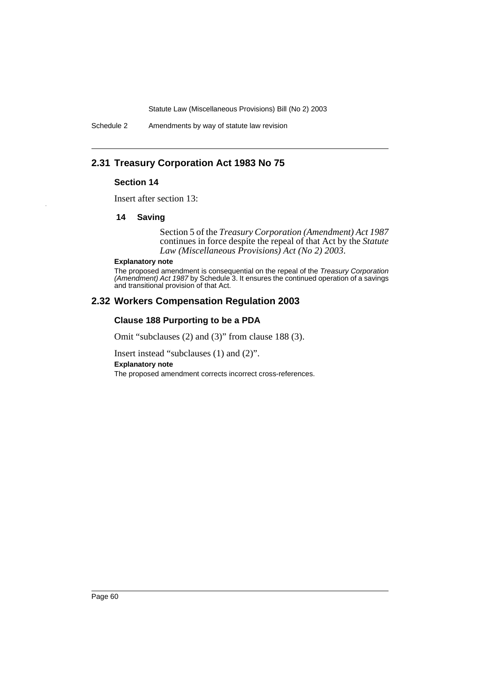Schedule 2 Amendments by way of statute law revision

# **2.31 Treasury Corporation Act 1983 No 75**

## **Section 14**

Insert after section 13:

### **14 Saving**

Section 5 of the *Treasury Corporation (Amendment) Act 1987* continues in force despite the repeal of that Act by the *Statute Law (Miscellaneous Provisions) Act (No 2) 2003*.

#### **Explanatory note**

The proposed amendment is consequential on the repeal of the Treasury Corporation (Amendment) Act 1987 by Schedule 3. It ensures the continued operation of a savings and transitional provision of that Act.

## **2.32 Workers Compensation Regulation 2003**

## **Clause 188 Purporting to be a PDA**

Omit "subclauses (2) and (3)" from clause 188 (3).

Insert instead "subclauses (1) and (2)".

**Explanatory note**

The proposed amendment corrects incorrect cross-references.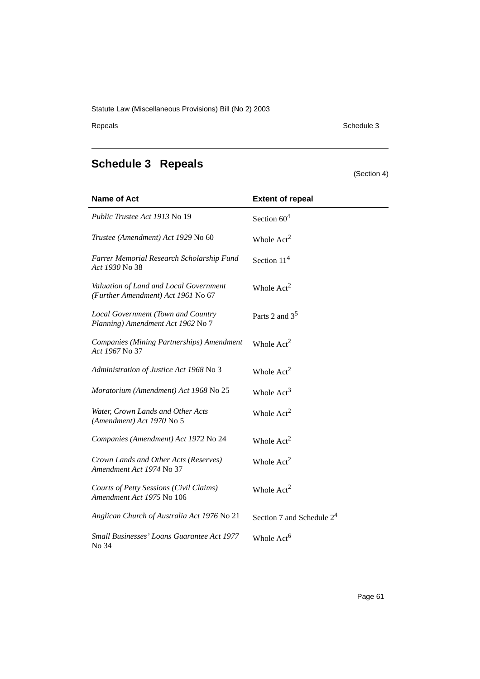Repeals Schedule 3

# **Schedule 3 Repeals**

(Section 4)

| <b>Name of Act</b>                                                           | <b>Extent of repeal</b>      |
|------------------------------------------------------------------------------|------------------------------|
| Public Trustee Act 1913 No 19                                                | Section $604$                |
| Trustee (Amendment) Act 1929 No 60                                           | Whole $Act2$                 |
| Farrer Memorial Research Scholarship Fund<br>Act 1930 No 38                  | Section $114$                |
| Valuation of Land and Local Government<br>(Further Amendment) Act 1961 No 67 | Whole $Act2$                 |
| Local Government (Town and Country<br>Planning) Amendment Act 1962 No 7      | Parts 2 and $3^5$            |
| Companies (Mining Partnerships) Amendment<br>Act 1967 No 37                  | Whole $Act2$                 |
| Administration of Justice Act 1968 No 3                                      | Whole Act <sup>2</sup>       |
| Moratorium (Amendment) Act 1968 No 25                                        | Whole Act <sup>3</sup>       |
| Water, Crown Lands and Other Acts<br>(Amendment) Act 1970 No 5               | Whole $Act2$                 |
| Companies (Amendment) Act 1972 No 24                                         | Whole $Act2$                 |
| Crown Lands and Other Acts (Reserves)<br>Amendment Act 1974 No 37            | Whole $Act2$                 |
| Courts of Petty Sessions (Civil Claims)<br>Amendment Act 1975 No 106         | Whole $Act2$                 |
| Anglican Church of Australia Act 1976 No 21                                  | Section 7 and Schedule $2^4$ |
| Small Businesses' Loans Guarantee Act 1977<br>No 34                          | Whole Act <sup>6</sup>       |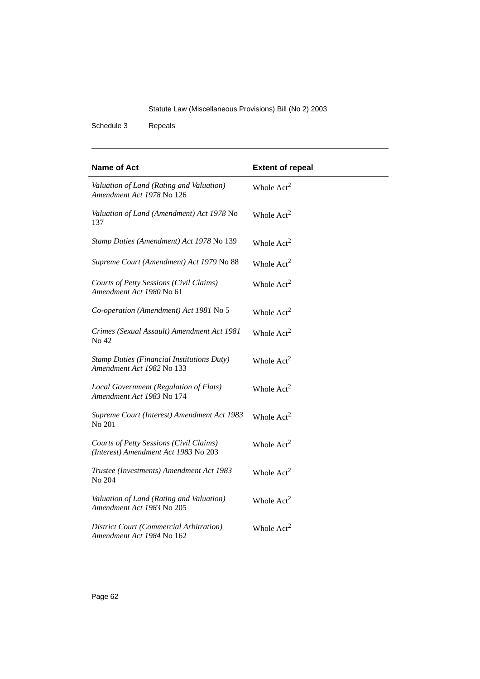Schedule 3 Repeals

| <b>Name of Act</b>                                                              | <b>Extent of repeal</b> |
|---------------------------------------------------------------------------------|-------------------------|
| Valuation of Land (Rating and Valuation)<br>Amendment Act 1978 No 126           | Whole $Act2$            |
| Valuation of Land (Amendment) Act 1978 No<br>137                                | Whole $Act2$            |
| Stamp Duties (Amendment) Act 1978 No 139                                        | Whole $Act2$            |
| Supreme Court (Amendment) Act 1979 No 88                                        | Whole $Act2$            |
| Courts of Petty Sessions (Civil Claims)<br>Amendment Act 1980 No 61             | Whole $Act2$            |
| Co-operation (Amendment) Act 1981 No 5                                          | Whole $Act2$            |
| Crimes (Sexual Assault) Amendment Act 1981<br>No 42                             | Whole $Act2$            |
| <b>Stamp Duties (Financial Institutions Duty)</b><br>Amendment Act 1982 No 133  | Whole $Act2$            |
| Local Government (Regulation of Flats)<br>Amendment Act 1983 No 174             | Whole $Act2$            |
| Supreme Court (Interest) Amendment Act 1983<br>No 201                           | Whole $Act2$            |
| Courts of Petty Sessions (Civil Claims)<br>(Interest) Amendment Act 1983 No 203 | Whole $Act2$            |
| Trustee (Investments) Amendment Act 1983<br>No 204                              | Whole $Act2$            |
| Valuation of Land (Rating and Valuation)<br>Amendment Act 1983 No 205           | Whole Act <sup>2</sup>  |
| <b>District Court (Commercial Arbitration)</b><br>Amendment Act 1984 No 162     | Whole $Act2$            |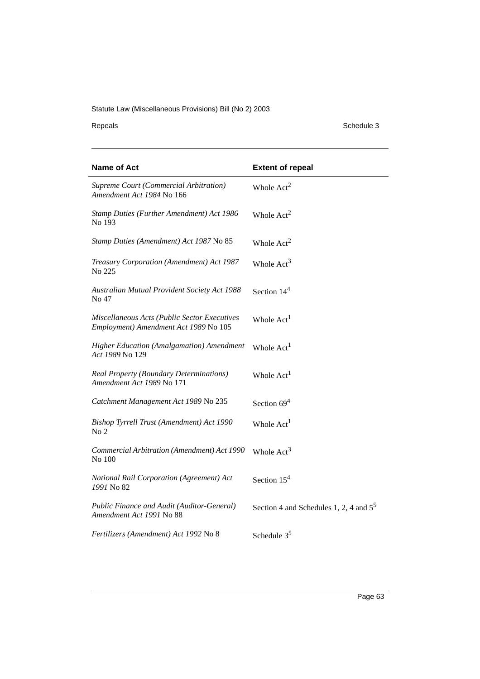Repeals Schedule 3

| Name of Act                                                                           | <b>Extent of repeal</b>                   |
|---------------------------------------------------------------------------------------|-------------------------------------------|
| Supreme Court (Commercial Arbitration)<br>Amendment Act 1984 No 166                   | Whole $Act2$                              |
| Stamp Duties (Further Amendment) Act 1986<br>No 193                                   | Whole $Act2$                              |
| Stamp Duties (Amendment) Act 1987 No 85                                               | Whole $Act2$                              |
| Treasury Corporation (Amendment) Act 1987<br>No 225                                   | Whole $Act3$                              |
| <b>Australian Mutual Provident Society Act 1988</b><br>No 47                          | Section $144$                             |
| Miscellaneous Acts (Public Sector Executives<br>Employment) Amendment Act 1989 No 105 | Whole Act <sup>1</sup>                    |
| <b>Higher Education (Amalgamation) Amendment</b><br>Act 1989 No 129                   | Whole Act <sup>1</sup>                    |
| <b>Real Property (Boundary Determinations)</b><br>Amendment Act 1989 No 171           | Whole Act <sup>1</sup>                    |
| Catchment Management Act 1989 No 235                                                  | Section $694$                             |
| Bishop Tyrrell Trust (Amendment) Act 1990<br>No <sub>2</sub>                          | Whole Act <sup>1</sup>                    |
| Commercial Arbitration (Amendment) Act 1990<br>No 100                                 | Whole $Act3$                              |
| National Rail Corporation (Agreement) Act<br>1991 No 82                               | Section $154$                             |
| Public Finance and Audit (Auditor-General)<br>Amendment Act 1991 No 88                | Section 4 and Schedules 1, 2, 4 and $5^5$ |
| Fertilizers (Amendment) Act 1992 No 8                                                 | Schedule $35$                             |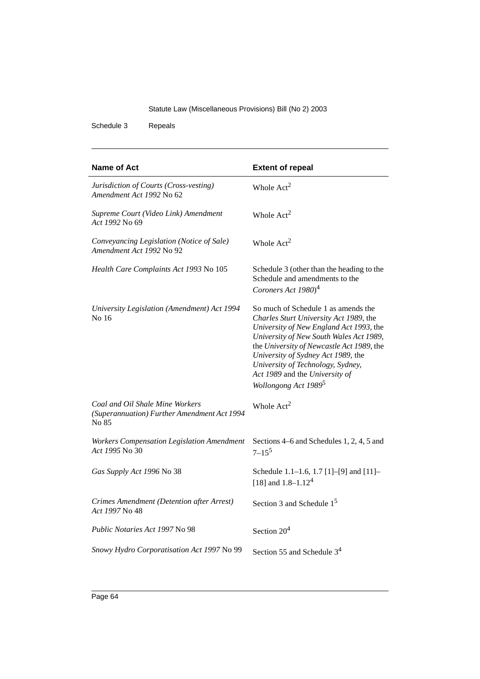Schedule 3 Repeals

| Name of Act                                                                             | <b>Extent of repeal</b>                                                                                                                                                                                                                                                                                                                                           |
|-----------------------------------------------------------------------------------------|-------------------------------------------------------------------------------------------------------------------------------------------------------------------------------------------------------------------------------------------------------------------------------------------------------------------------------------------------------------------|
| Jurisdiction of Courts (Cross-vesting)<br>Amendment Act 1992 No 62                      | Whole $Act2$                                                                                                                                                                                                                                                                                                                                                      |
| Supreme Court (Video Link) Amendment<br>Act 1992 No 69                                  | Whole $Act2$                                                                                                                                                                                                                                                                                                                                                      |
| Conveyancing Legislation (Notice of Sale)<br>Amendment Act 1992 No 92                   | Whole $Act2$                                                                                                                                                                                                                                                                                                                                                      |
| Health Care Complaints Act 1993 No 105                                                  | Schedule 3 (other than the heading to the<br>Schedule and amendments to the<br>Coroners Act 1980) <sup>4</sup>                                                                                                                                                                                                                                                    |
| University Legislation (Amendment) Act 1994<br>No 16                                    | So much of Schedule 1 as amends the<br>Charles Sturt University Act 1989, the<br>University of New England Act 1993, the<br>University of New South Wales Act 1989,<br>the University of Newcastle Act 1989, the<br>University of Sydney Act 1989, the<br>University of Technology, Sydney,<br>Act 1989 and the University of<br>Wollongong Act 1989 <sup>5</sup> |
| Coal and Oil Shale Mine Workers<br>(Superannuation) Further Amendment Act 1994<br>No 85 | Whole $Act2$                                                                                                                                                                                                                                                                                                                                                      |
| Workers Compensation Legislation Amendment<br>Act 1995 No 30                            | Sections 4–6 and Schedules 1, 2, 4, 5 and<br>$7 - 15^5$                                                                                                                                                                                                                                                                                                           |
| Gas Supply Act 1996 No 38                                                               | Schedule 1.1-1.6, 1.7 [1]-[9] and [11]-<br>[18] and $1.8 - 1.124$                                                                                                                                                                                                                                                                                                 |
| Crimes Amendment (Detention after Arrest)<br>Act 1997 No 48                             | Section 3 and Schedule $15$                                                                                                                                                                                                                                                                                                                                       |
| Public Notaries Act 1997 No 98                                                          | Section $204$                                                                                                                                                                                                                                                                                                                                                     |
| Snowy Hydro Corporatisation Act 1997 No 99                                              | Section 55 and Schedule $34$                                                                                                                                                                                                                                                                                                                                      |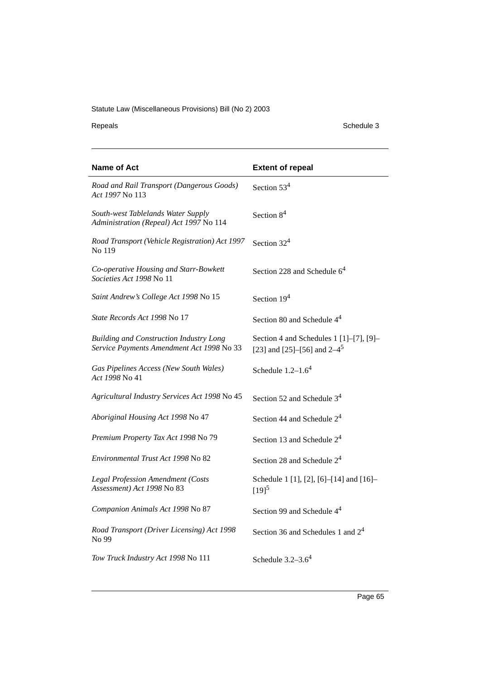Repeals Schedule 3

| <b>Name of Act</b>                                                                          | <b>Extent of repeal</b>                                                             |
|---------------------------------------------------------------------------------------------|-------------------------------------------------------------------------------------|
| Road and Rail Transport (Dangerous Goods)<br>Act 1997 No 113                                | Section $534$                                                                       |
| South-west Tablelands Water Supply<br>Administration (Repeal) Act 1997 No 114               | Section $84$                                                                        |
| Road Transport (Vehicle Registration) Act 1997<br>No 119                                    | Section $324$                                                                       |
| Co-operative Housing and Starr-Bowkett<br>Societies Act 1998 No 11                          | Section 228 and Schedule $64$                                                       |
| Saint Andrew's College Act 1998 No 15                                                       | Section $194$                                                                       |
| <i>State Records Act 1998</i> No 17                                                         | Section 80 and Schedule $44$                                                        |
| <b>Building and Construction Industry Long</b><br>Service Payments Amendment Act 1998 No 33 | Section 4 and Schedules 1 $[1]$ – $[7]$ , $[9]$ –<br>[23] and [25]–[56] and $2-4^5$ |
| Gas Pipelines Access (New South Wales)<br>Act 1998 No 41                                    | Schedule $1.2-1.64$                                                                 |
| Agricultural Industry Services Act 1998 No 45                                               | Section 52 and Schedule $34$                                                        |
| Aboriginal Housing Act 1998 No 47                                                           | Section 44 and Schedule $24$                                                        |
| Premium Property Tax Act 1998 No 79                                                         | Section 13 and Schedule $24$                                                        |
| Environmental Trust Act 1998 No 82                                                          | Section 28 and Schedule $24$                                                        |
| <b>Legal Profession Amendment (Costs</b><br>Assessment) Act 1998 No 83                      | Schedule 1 [1], [2], [6]-[14] and [16]-<br>$[19]^{5}$                               |
| Companion Animals Act 1998 No 87                                                            | Section 99 and Schedule 4 <sup>4</sup>                                              |
| Road Transport (Driver Licensing) Act 1998<br>No 99                                         | Section 36 and Schedules 1 and $2^4$                                                |
| Tow Truck Industry Act 1998 No 111                                                          | Schedule $3.2-3.64$                                                                 |

Page 65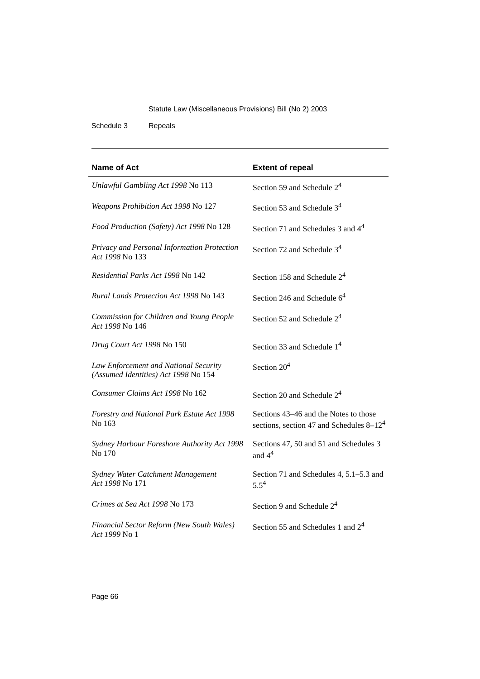Schedule 3 Repeals

| <b>Name of Act</b>                                                            | <b>Extent of repeal</b>                                                              |
|-------------------------------------------------------------------------------|--------------------------------------------------------------------------------------|
| Unlawful Gambling Act 1998 No 113                                             | Section 59 and Schedule $24$                                                         |
| Weapons Prohibition Act 1998 No 127                                           | Section 53 and Schedule $34$                                                         |
| Food Production (Safety) Act 1998 No 128                                      | Section 71 and Schedules 3 and $44$                                                  |
| Privacy and Personal Information Protection<br>Act 1998 No 133                | Section 72 and Schedule $34$                                                         |
| Residential Parks Act 1998 No 142                                             | Section 158 and Schedule $24$                                                        |
| Rural Lands Protection Act 1998 No 143                                        | Section 246 and Schedule $64$                                                        |
| Commission for Children and Young People<br>Act 1998 No 146                   | Section 52 and Schedule $24$                                                         |
| Drug Court Act 1998 No 150                                                    | Section 33 and Schedule $14$                                                         |
| Law Enforcement and National Security<br>(Assumed Identities) Act 1998 No 154 | Section $204$                                                                        |
| Consumer Claims Act 1998 No 162                                               | Section 20 and Schedule $24$                                                         |
| Forestry and National Park Estate Act 1998<br>No 163                          | Sections 43–46 and the Notes to those<br>sections, section 47 and Schedules $8-12^4$ |
| Sydney Harbour Foreshore Authority Act 1998<br>No 170                         | Sections 47, 50 and 51 and Schedules 3<br>and $44$                                   |
| Sydney Water Catchment Management<br>Act 1998 No 171                          | Section 71 and Schedules 4, 5.1–5.3 and<br>$5.5^{4}$                                 |
| Crimes at Sea Act 1998 No 173                                                 | Section 9 and Schedule $2^4$                                                         |
| Financial Sector Reform (New South Wales)<br>Act 1999 No 1                    | Section 55 and Schedules 1 and $24$                                                  |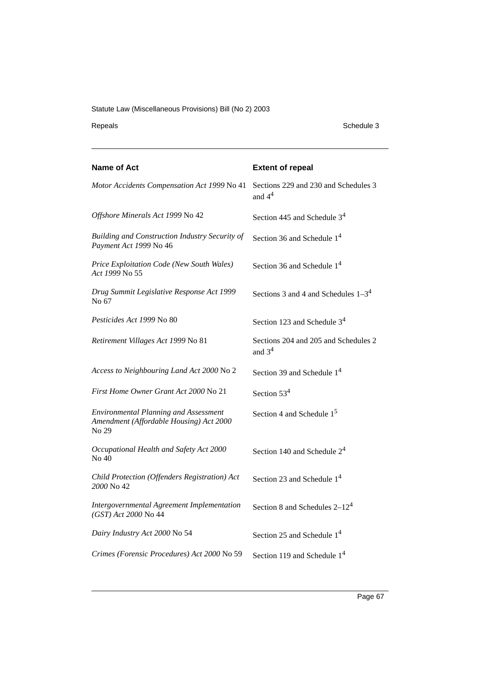Repeals Schedule 3

| <b>Name of Act</b>                                                                               | <b>Extent of repeal</b>                          |
|--------------------------------------------------------------------------------------------------|--------------------------------------------------|
| Motor Accidents Compensation Act 1999 No 41                                                      | Sections 229 and 230 and Schedules 3<br>and $44$ |
| Offshore Minerals Act 1999 No 42                                                                 | Section 445 and Schedule $34$                    |
| Building and Construction Industry Security of<br>Payment Act 1999 No 46                         | Section 36 and Schedule $14$                     |
| Price Exploitation Code (New South Wales)<br>Act 1999 No 55                                      | Section 36 and Schedule $14$                     |
| Drug Summit Legislative Response Act 1999<br>No 67                                               | Sections 3 and 4 and Schedules $1-3^4$           |
| Pesticides Act 1999 No 80                                                                        | Section 123 and Schedule $34$                    |
| Retirement Villages Act 1999 No 81                                                               | Sections 204 and 205 and Schedules 2<br>and $34$ |
| Access to Neighbouring Land Act 2000 No 2                                                        | Section 39 and Schedule $14$                     |
| First Home Owner Grant Act 2000 No 21                                                            | Section $534$                                    |
| <b>Environmental Planning and Assessment</b><br>Amendment (Affordable Housing) Act 2000<br>No 29 | Section 4 and Schedule $15$                      |
| Occupational Health and Safety Act 2000<br>No 40                                                 | Section 140 and Schedule 2 <sup>4</sup>          |
| Child Protection (Offenders Registration) Act<br>2000 No 42                                      | Section 23 and Schedule $14$                     |
| Intergovernmental Agreement Implementation<br>(GST) Act 2000 No 44                               | Section 8 and Schedules $2-12^4$                 |
| Dairy Industry Act 2000 No 54                                                                    | Section 25 and Schedule $14$                     |
| Crimes (Forensic Procedures) Act 2000 No 59                                                      | Section 119 and Schedule 1 <sup>4</sup>          |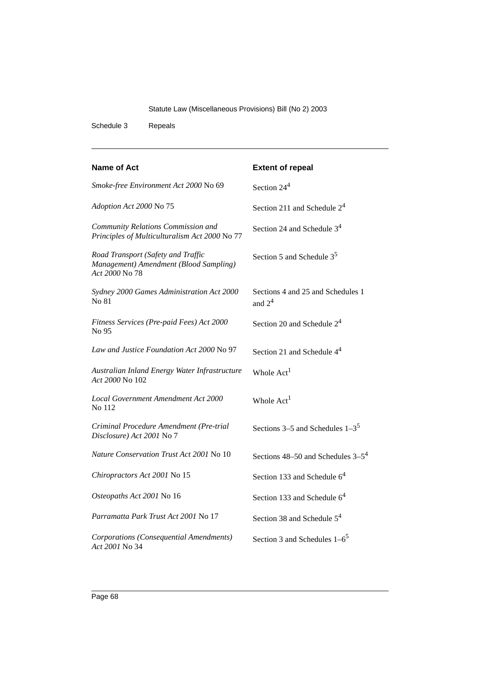Schedule 3 Repeals

| Name of Act                                                                                    | <b>Extent of repeal</b>                       |
|------------------------------------------------------------------------------------------------|-----------------------------------------------|
| Smoke-free Environment Act 2000 No 69                                                          | Section $244$                                 |
| Adoption Act 2000 No 75                                                                        | Section 211 and Schedule $24$                 |
| Community Relations Commission and<br>Principles of Multiculturalism Act 2000 No 77            | Section 24 and Schedule $34$                  |
| Road Transport (Safety and Traffic<br>Management) Amendment (Blood Sampling)<br>Act 2000 No 78 | Section 5 and Schedule $35$                   |
| Sydney 2000 Games Administration Act 2000<br>No 81                                             | Sections 4 and 25 and Schedules 1<br>and $24$ |
| Fitness Services (Pre-paid Fees) Act 2000<br>No 95                                             | Section 20 and Schedule $24$                  |
| Law and Justice Foundation Act 2000 No 97                                                      | Section 21 and Schedule 4 <sup>4</sup>        |
| Australian Inland Energy Water Infrastructure<br>Act 2000 No 102                               | Whole $Act1$                                  |
| Local Government Amendment Act 2000<br>No 112                                                  | Whole Act <sup>1</sup>                        |
| Criminal Procedure Amendment (Pre-trial<br>Disclosure) Act 2001 No 7                           | Sections 3–5 and Schedules $1-3^5$            |
| Nature Conservation Trust Act 2001 No 10                                                       | Sections $48-50$ and Schedules $3-5^4$        |
| Chiropractors Act 2001 No 15                                                                   | Section 133 and Schedule $64$                 |
| Osteopaths Act 2001 No 16                                                                      | Section 133 and Schedule $64$                 |
| Parramatta Park Trust Act 2001 No 17                                                           | Section 38 and Schedule $54$                  |
| Corporations (Consequential Amendments)<br>Act 2001 No 34                                      | Section 3 and Schedules $1-6^5$               |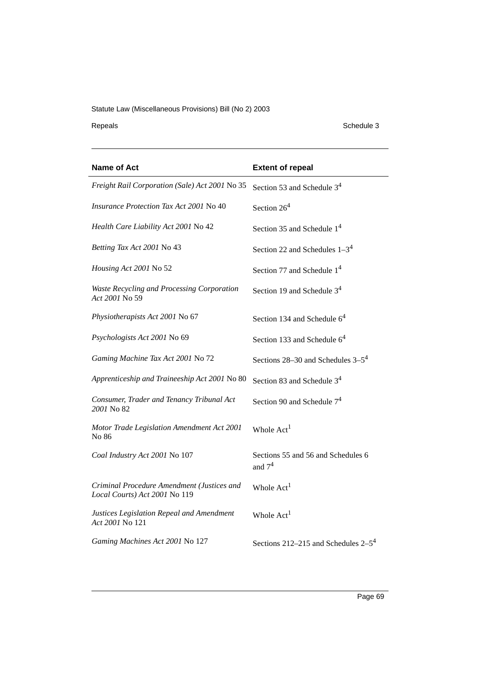Repeals Schedule 3

| <b>Name of Act</b>                                                          | <b>Extent of repeal</b>                        |
|-----------------------------------------------------------------------------|------------------------------------------------|
| Freight Rail Corporation (Sale) Act 2001 No 35                              | Section 53 and Schedule 3 <sup>4</sup>         |
| Insurance Protection Tax Act 2001 No 40                                     | Section $264$                                  |
| Health Care Liability Act 2001 No 42                                        | Section 35 and Schedule $14$                   |
| Betting Tax Act 2001 No 43                                                  | Section 22 and Schedules $1-3^4$               |
| Housing Act 2001 No 52                                                      | Section 77 and Schedule $14$                   |
| Waste Recycling and Processing Corporation<br>Act 2001 No 59                | Section 19 and Schedule $34$                   |
| Physiotherapists Act 2001 No 67                                             | Section 134 and Schedule $64$                  |
| Psychologists Act 2001 No 69                                                | Section 133 and Schedule 6 <sup>4</sup>        |
| Gaming Machine Tax Act 2001 No 72                                           | Sections $28-30$ and Schedules $3-5^4$         |
| Apprenticeship and Traineeship Act 2001 No 80                               | Section 83 and Schedule $34$                   |
| Consumer, Trader and Tenancy Tribunal Act<br>2001 No 82                     | Section 90 and Schedule $74$                   |
| Motor Trade Legislation Amendment Act 2001<br>No 86                         | Whole Act <sup>1</sup>                         |
| Coal Industry Act 2001 No 107                                               | Sections 55 and 56 and Schedules 6<br>and $74$ |
| Criminal Procedure Amendment (Justices and<br>Local Courts) Act 2001 No 119 | Whole Act <sup>1</sup>                         |
| Justices Legislation Repeal and Amendment<br>Act 2001 No 121                | Whole Act <sup>1</sup>                         |
| Gaming Machines Act 2001 No 127                                             | Sections 212–215 and Schedules $2-5^4$         |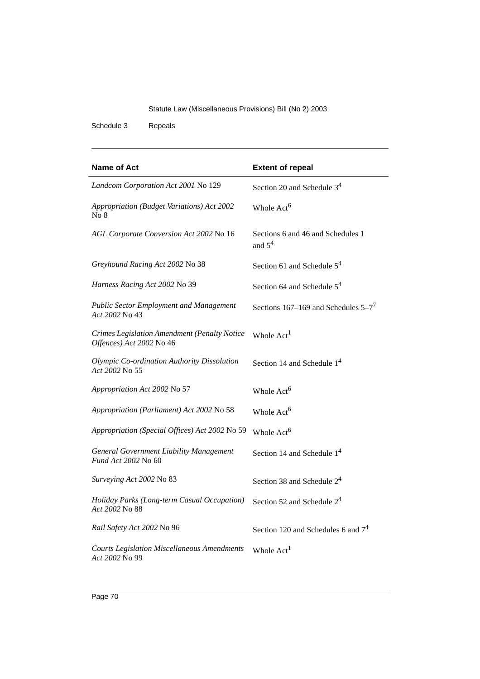Schedule 3 Repeals

| Name of Act                                                              | <b>Extent of repeal</b>                        |
|--------------------------------------------------------------------------|------------------------------------------------|
| Landcom Corporation Act 2001 No 129                                      | Section 20 and Schedule 3 <sup>4</sup>         |
| Appropriation (Budget Variations) Act 2002<br>No 8                       | Whole Act <sup>6</sup>                         |
| AGL Corporate Conversion Act 2002 No 16                                  | Sections 6 and 46 and Schedules 1<br>and $5^4$ |
| Greyhound Racing Act 2002 No 38                                          | Section 61 and Schedule $5^4$                  |
| Harness Racing Act 2002 No 39                                            | Section 64 and Schedule $5^4$                  |
| <b>Public Sector Employment and Management</b><br>Act 2002 No 43         | Sections 167–169 and Schedules $5-7^7$         |
| Crimes Legislation Amendment (Penalty Notice<br>Offences) Act 2002 No 46 | Whole Act <sup>1</sup>                         |
| Olympic Co-ordination Authority Dissolution<br>Act 2002 No 55            | Section 14 and Schedule $14$                   |
| Appropriation Act 2002 No 57                                             | Whole Act <sup>6</sup>                         |
| Appropriation (Parliament) Act 2002 No 58                                | Whole Act <sup>6</sup>                         |
| Appropriation (Special Offices) Act 2002 No 59                           | Whole Act <sup>6</sup>                         |
| <b>General Government Liability Management</b><br>Fund Act 2002 No 60    | Section 14 and Schedule 1 <sup>4</sup>         |
| Surveying Act 2002 No 83                                                 | Section 38 and Schedule $24$                   |
| Holiday Parks (Long-term Casual Occupation)<br>Act 2002 No 88            | Section 52 and Schedule $24$                   |
| Rail Safety Act 2002 No 96                                               | Section 120 and Schedules 6 and $74$           |
| <b>Courts Legislation Miscellaneous Amendments</b><br>Act 2002 No 99     | Whole Act <sup>1</sup>                         |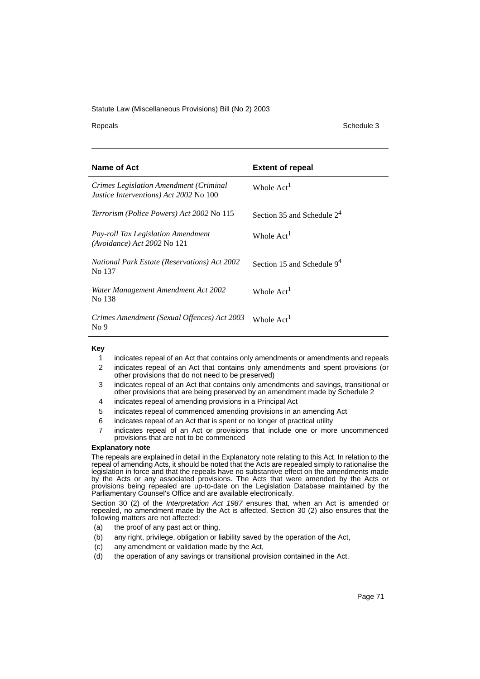Repeals Schedule 3

| Name of Act                                                                               | <b>Extent of repeal</b>      |
|-------------------------------------------------------------------------------------------|------------------------------|
| Crimes Legislation Amendment (Criminal)<br><i>Justice Interventions</i> ) Act 2002 No 100 | Whole Act <sup>1</sup>       |
| <i>Terrorism (Police Powers) Act 2002 No 115</i>                                          | Section 35 and Schedule $24$ |
| <i>Pay-roll Tax Legislation Amendment</i><br>$(Avoidance) Act 2002$ No 121                | Whole Act <sup>1</sup>       |
| <b>National Park Estate (Reservations) Act 2002</b><br>No 137                             | Section 15 and Schedule $94$ |
| Water Management Amendment Act 2002<br>No 138                                             | Whole Act <sup>1</sup>       |
| Crimes Amendment (Sexual Offences) Act 2003<br>No <sub>9</sub>                            | Whole Act <sup>1</sup>       |

#### **Key**

- 1 indicates repeal of an Act that contains only amendments or amendments and repeals
- 2 indicates repeal of an Act that contains only amendments and spent provisions (or other provisions that do not need to be preserved)
- 3 indicates repeal of an Act that contains only amendments and savings, transitional or other provisions that are being preserved by an amendment made by Schedule 2
- 4 indicates repeal of amending provisions in a Principal Act
- 5 indicates repeal of commenced amending provisions in an amending Act
- 6 indicates repeal of an Act that is spent or no longer of practical utility
- 7 indicates repeal of an Act or provisions that include one or more uncommenced provisions that are not to be commenced

#### **Explanatory note**

The repeals are explained in detail in the Explanatory note relating to this Act. In relation to the repeal of amending Acts, it should be noted that the Acts are repealed simply to rationalise the legislation in force and that the repeals have no substantive effect on the amendments made by the Acts or any associated provisions. The Acts that were amended by the Acts or provisions being repealed are up-to-date on the Legislation Database maintained by the Parliamentary Counsel's Office and are available electronically.

Section 30 (2) of the *Interpretation Act 1987* ensures that, when an Act is amended or repealed, no amendment made by the Act is affected. Section 30 (2) also ensures that the following matters are not affected:

- (a) the proof of any past act or thing,
- (b) any right, privilege, obligation or liability saved by the operation of the Act,
- (c) any amendment or validation made by the Act,
- (d) the operation of any savings or transitional provision contained in the Act.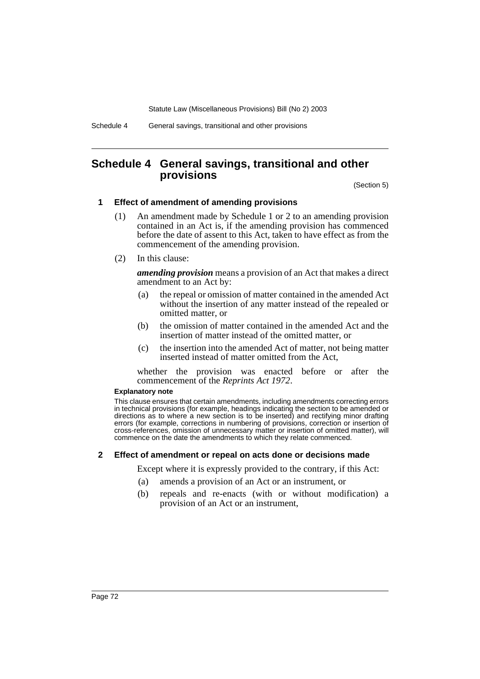Schedule 4 General savings, transitional and other provisions

# **Schedule 4 General savings, transitional and other provisions**

(Section 5)

## **1 Effect of amendment of amending provisions**

- (1) An amendment made by Schedule 1 or 2 to an amending provision contained in an Act is, if the amending provision has commenced before the date of assent to this Act, taken to have effect as from the commencement of the amending provision.
- (2) In this clause:

*amending provision* means a provision of an Act that makes a direct amendment to an Act by:

- (a) the repeal or omission of matter contained in the amended Act without the insertion of any matter instead of the repealed or omitted matter, or
- (b) the omission of matter contained in the amended Act and the insertion of matter instead of the omitted matter, or
- (c) the insertion into the amended Act of matter, not being matter inserted instead of matter omitted from the Act,

whether the provision was enacted before or after the commencement of the *Reprints Act 1972*.

#### **Explanatory note**

This clause ensures that certain amendments, including amendments correcting errors in technical provisions (for example, headings indicating the section to be amended or directions as to where a new section is to be inserted) and rectifying minor drafting errors (for example, corrections in numbering of provisions, correction or insertion of cross-references, omission of unnecessary matter or insertion of omitted matter), will commence on the date the amendments to which they relate commenced.

## **2 Effect of amendment or repeal on acts done or decisions made**

Except where it is expressly provided to the contrary, if this Act:

- (a) amends a provision of an Act or an instrument, or
- (b) repeals and re-enacts (with or without modification) a provision of an Act or an instrument,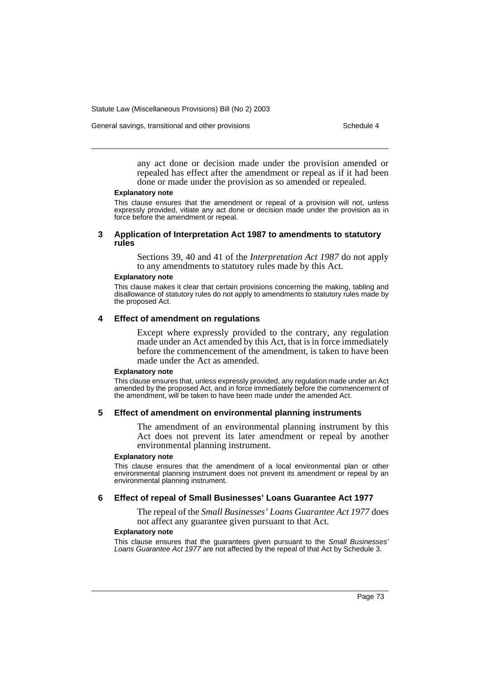General savings, transitional and other provisions Schedule 4

any act done or decision made under the provision amended or repealed has effect after the amendment or repeal as if it had been done or made under the provision as so amended or repealed.

#### **Explanatory note**

This clause ensures that the amendment or repeal of a provision will not, unless expressly provided, vitiate any act done or decision made under the provision as in force before the amendment or repeal.

### **3 Application of Interpretation Act 1987 to amendments to statutory rules**

Sections 39, 40 and 41 of the *Interpretation Act 1987* do not apply to any amendments to statutory rules made by this Act.

#### **Explanatory note**

This clause makes it clear that certain provisions concerning the making, tabling and disallowance of statutory rules do not apply to amendments to statutory rules made by the proposed Act.

## **4 Effect of amendment on regulations**

Except where expressly provided to the contrary, any regulation made under an Act amended by this Act, that is in force immediately before the commencement of the amendment, is taken to have been made under the Act as amended.

#### **Explanatory note**

This clause ensures that, unless expressly provided, any regulation made under an Act amended by the proposed Act, and in force immediately before the commencement of the amendment, will be taken to have been made under the amended Act.

## **5 Effect of amendment on environmental planning instruments**

The amendment of an environmental planning instrument by this Act does not prevent its later amendment or repeal by another environmental planning instrument.

### **Explanatory note**

This clause ensures that the amendment of a local environmental plan or other environmental planning instrument does not prevent its amendment or repeal by an environmental planning instrument.

## **6 Effect of repeal of Small Businesses' Loans Guarantee Act 1977**

The repeal of the *Small Businesses' Loans Guarantee Act 1977* does not affect any guarantee given pursuant to that Act.

### **Explanatory note**

This clause ensures that the guarantees given pursuant to the Small Businesses' Loans Guarantee Act 1977 are not affected by the repeal of that Act by Schedule 3.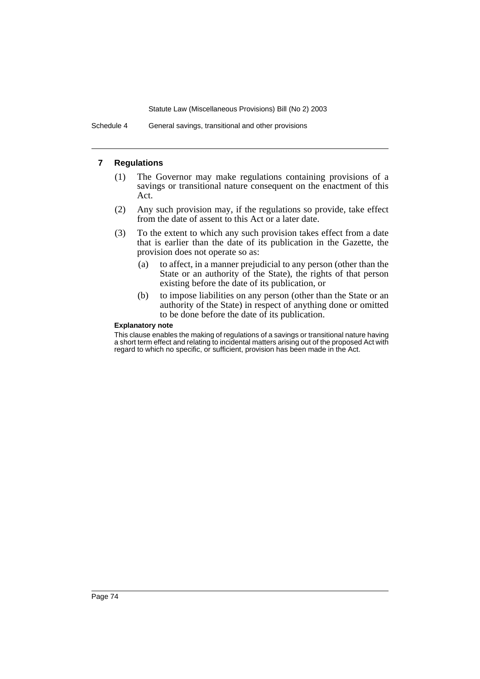Schedule 4 General savings, transitional and other provisions

## **7 Regulations**

- (1) The Governor may make regulations containing provisions of a savings or transitional nature consequent on the enactment of this Act.
- (2) Any such provision may, if the regulations so provide, take effect from the date of assent to this Act or a later date.
- (3) To the extent to which any such provision takes effect from a date that is earlier than the date of its publication in the Gazette, the provision does not operate so as:
	- (a) to affect, in a manner prejudicial to any person (other than the State or an authority of the State), the rights of that person existing before the date of its publication, or
	- (b) to impose liabilities on any person (other than the State or an authority of the State) in respect of anything done or omitted to be done before the date of its publication.

## **Explanatory note**

This clause enables the making of regulations of a savings or transitional nature having a short term effect and relating to incidental matters arising out of the proposed Act with regard to which no specific, or sufficient, provision has been made in the Act.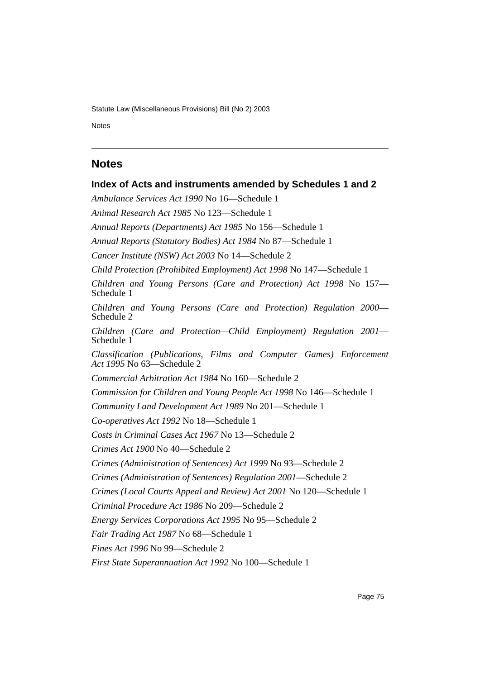Notes Schedule 4 and 200 million and 200 million and 200 million and 200 million and 200 million and 200 million

# **Notes**

**Index of Acts and instruments amended by Schedules 1 and 2** *Ambulance Services Act 1990* No 16—Schedule 1 *Animal Research Act 1985* No 123—Schedule 1 *Annual Reports (Departments) Act 1985* No 156—Schedule 1 *Annual Reports (Statutory Bodies) Act 1984* No 87—Schedule 1 *Cancer Institute (NSW) Act 2003* No 14—Schedule 2 *Child Protection (Prohibited Employment) Act 1998* No 147—Schedule 1 *Children and Young Persons (Care and Protection) Act 1998* No 157— Schedule 1 *Children and Young Persons (Care and Protection) Regulation 2000*— Schedule 2 *Children (Care and Protection—Child Employment) Regulation 2001*— Schedule 1 *Classification (Publications, Films and Computer Games) Enforcement Act 1995* No 63—Schedule 2 *Commercial Arbitration Act 1984* No 160—Schedule 2 *Commission for Children and Young People Act 1998* No 146—Schedule 1 *Community Land Development Act 1989* No 201—Schedule 1 *Co-operatives Act 1992* No 18—Schedule 1 *Costs in Criminal Cases Act 1967* No 13—Schedule 2 *Crimes Act 1900* No 40—Schedule 2 *Crimes (Administration of Sentences) Act 1999* No 93—Schedule 2 *Crimes (Administration of Sentences) Regulation 2001*—Schedule 2 *Crimes (Local Courts Appeal and Review) Act 2001* No 120—Schedule 1 *Criminal Procedure Act 1986* No 209—Schedule 2 *Energy Services Corporations Act 1995* No 95—Schedule 2 *Fair Trading Act 1987* No 68—Schedule 1 *Fines Act 1996* No 99—Schedule 2 *First State Superannuation Act 1992* No 100—Schedule 1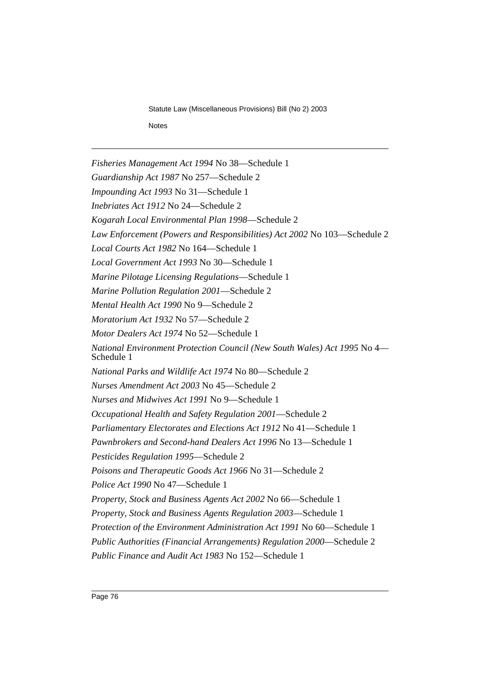*Fisheries Management Act 1994* No 38—Schedule 1 *Guardianship Act 1987* No 257—Schedule 2 *Impounding Act 1993* No 31—Schedule 1 *Inebriates Act 1912* No 24—Schedule 2 *Kogarah Local Environmental Plan 1998*—Schedule 2 *Law Enforcement (Powers and Responsibilities) Act 2002* No 103—Schedule 2 *Local Courts Act 1982* No 164—Schedule 1 *Local Government Act 1993* No 30—Schedule 1 *Marine Pilotage Licensing Regulations*—Schedule 1 *Marine Pollution Regulation 2001*—Schedule 2 *Mental Health Act 1990* No 9—Schedule 2 *Moratorium Act 1932* No 57—Schedule 2 *Motor Dealers Act 1974* No 52—Schedule 1 *National Environment Protection Council (New South Wales) Act 1995* No 4— Schedule 1 *National Parks and Wildlife Act 1974* No 80—Schedule 2 *Nurses Amendment Act 2003* No 45—Schedule 2 *Nurses and Midwives Act 1991* No 9—Schedule 1 *Occupational Health and Safety Regulation 2001*—Schedule 2 *Parliamentary Electorates and Elections Act 1912* No 41—Schedule 1 *Pawnbrokers and Second-hand Dealers Act 1996* No 13—Schedule 1 *Pesticides Regulation 1995*—Schedule 2 *Poisons and Therapeutic Goods Act 1966* No 31—Schedule 2 *Police Act 1990* No 47—Schedule 1 *Property, Stock and Business Agents Act 2002* No 66—Schedule 1 *Property, Stock and Business Agents Regulation 2003*—Schedule 1 *Protection of the Environment Administration Act 1991* No 60—Schedule 1 *Public Authorities (Financial Arrangements) Regulation 2000*—Schedule 2 *Public Finance and Audit Act 1983* No 152—Schedule 1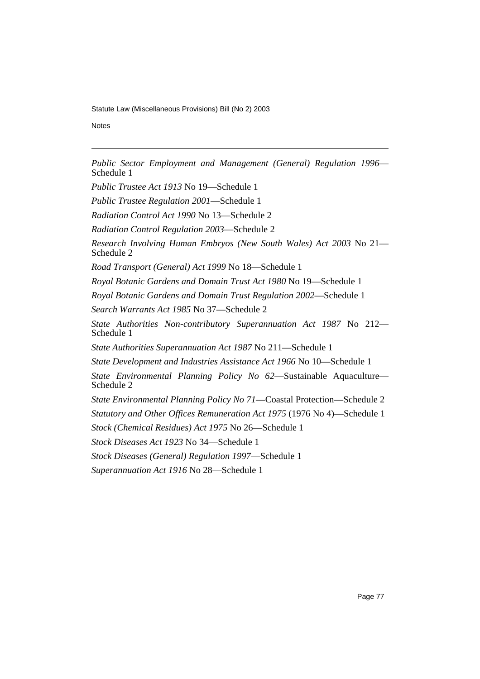Notes Schedule 4 and 200 million and 200 million and 200 million and 200 million and 200 million and 200 million

*Public Sector Employment and Management (General) Regulation 1996*— Schedule 1

*Public Trustee Act 1913* No 19—Schedule 1

*Public Trustee Regulation 2001*—Schedule 1

*Radiation Control Act 1990* No 13—Schedule 2

*Radiation Control Regulation 2003*—Schedule 2

*Research Involving Human Embryos (New South Wales) Act 2003* No 21— Schedule 2

*Road Transport (General) Act 1999* No 18—Schedule 1

*Royal Botanic Gardens and Domain Trust Act 1980* No 19—Schedule 1

*Royal Botanic Gardens and Domain Trust Regulation 2002*—Schedule 1

*Search Warrants Act 1985* No 37—Schedule 2

*State Authorities Non-contributory Superannuation Act 1987* No 212— Schedule 1

*State Authorities Superannuation Act 1987* No 211—Schedule 1

*State Development and Industries Assistance Act 1966* No 10—Schedule 1

*State Environmental Planning Policy No 62*—Sustainable Aquaculture— Schedule 2

*State Environmental Planning Policy No 71*—Coastal Protection—Schedule 2 *Statutory and Other Offices Remuneration Act 1975* (1976 No 4)—Schedule 1

*Stock (Chemical Residues) Act 1975* No 26—Schedule 1

*Stock Diseases Act 1923* No 34—Schedule 1

*Stock Diseases (General) Regulation 1997*—Schedule 1

*Superannuation Act 1916* No 28—Schedule 1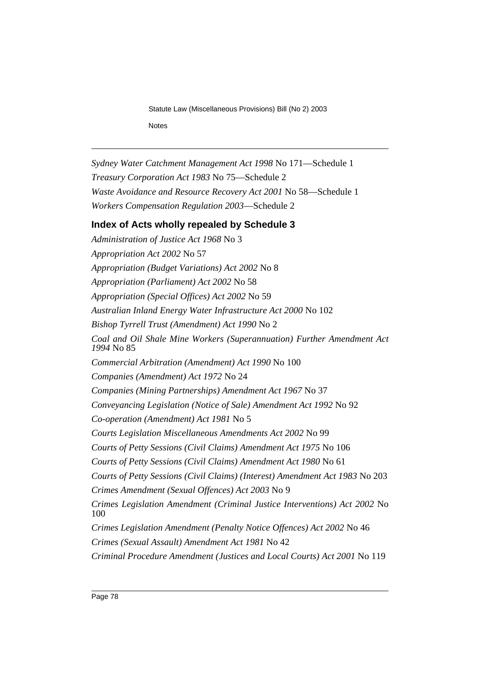*Sydney Water Catchment Management Act 1998* No 171—Schedule 1 *Treasury Corporation Act 1983* No 75—Schedule 2 *Waste Avoidance and Resource Recovery Act 2001* No 58—Schedule 1 *Workers Compensation Regulation 2003*—Schedule 2

# **Index of Acts wholly repealed by Schedule 3**

*Administration of Justice Act 1968* No 3 *Appropriation Act 2002* No 57 *Appropriation (Budget Variations) Act 2002* No 8 *Appropriation (Parliament) Act 2002* No 58 *Appropriation (Special Offices) Act 2002* No 59 *Australian Inland Energy Water Infrastructure Act 2000* No 102 *Bishop Tyrrell Trust (Amendment) Act 1990* No 2 *Coal and Oil Shale Mine Workers (Superannuation) Further Amendment Act 1994* No 85 *Commercial Arbitration (Amendment) Act 1990* No 100 *Companies (Amendment) Act 1972* No 24 *Companies (Mining Partnerships) Amendment Act 1967* No 37 *Conveyancing Legislation (Notice of Sale) Amendment Act 1992* No 92 *Co-operation (Amendment) Act 1981* No 5 *Courts Legislation Miscellaneous Amendments Act 2002* No 99 *Courts of Petty Sessions (Civil Claims) Amendment Act 1975* No 106 *Courts of Petty Sessions (Civil Claims) Amendment Act 1980* No 61 *Courts of Petty Sessions (Civil Claims) (Interest) Amendment Act 1983* No 203 *Crimes Amendment (Sexual Offences) Act 2003* No 9 *Crimes Legislation Amendment (Criminal Justice Interventions) Act 2002* No 100 *Crimes Legislation Amendment (Penalty Notice Offences) Act 2002* No 46 *Crimes (Sexual Assault) Amendment Act 1981* No 42 *Criminal Procedure Amendment (Justices and Local Courts) Act 2001* No 119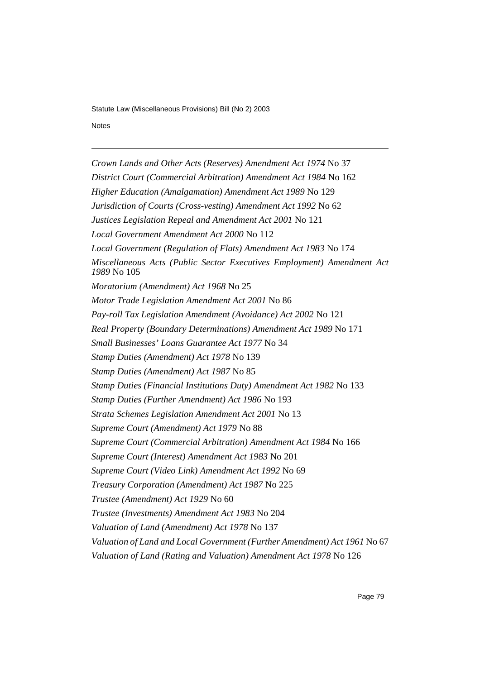Notes Schedule 4 and 200 million and 200 million and 200 million and 200 million and 200 million and 200 million

*Crown Lands and Other Acts (Reserves) Amendment Act 1974* No 37 *District Court (Commercial Arbitration) Amendment Act 1984* No 162 *Higher Education (Amalgamation) Amendment Act 1989* No 129 *Jurisdiction of Courts (Cross-vesting) Amendment Act 1992* No 62 *Justices Legislation Repeal and Amendment Act 2001* No 121 *Local Government Amendment Act 2000* No 112 *Local Government (Regulation of Flats) Amendment Act 1983* No 174 *Miscellaneous Acts (Public Sector Executives Employment) Amendment Act 1989* No 105 *Moratorium (Amendment) Act 1968* No 25 *Motor Trade Legislation Amendment Act 2001* No 86 *Pay-roll Tax Legislation Amendment (Avoidance) Act 2002* No 121 *Real Property (Boundary Determinations) Amendment Act 1989* No 171 *Small Businesses' Loans Guarantee Act 1977* No 34 *Stamp Duties (Amendment) Act 1978* No 139 *Stamp Duties (Amendment) Act 1987* No 85 *Stamp Duties (Financial Institutions Duty) Amendment Act 1982* No 133 *Stamp Duties (Further Amendment) Act 1986* No 193 *Strata Schemes Legislation Amendment Act 2001* No 13 *Supreme Court (Amendment) Act 1979* No 88 *Supreme Court (Commercial Arbitration) Amendment Act 1984* No 166 *Supreme Court (Interest) Amendment Act 1983* No 201 *Supreme Court (Video Link) Amendment Act 1992* No 69 *Treasury Corporation (Amendment) Act 1987* No 225 *Trustee (Amendment) Act 1929* No 60 *Trustee (Investments) Amendment Act 1983* No 204 *Valuation of Land (Amendment) Act 1978* No 137 *Valuation of Land and Local Government (Further Amendment) Act 1961* No 67 *Valuation of Land (Rating and Valuation) Amendment Act 1978* No 126